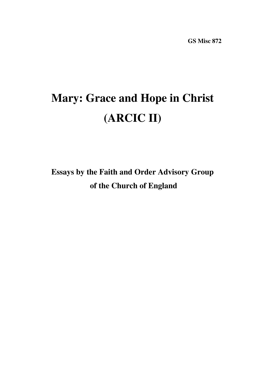# **Mary: Grace and Hope in Christ (ARCIC II)**

**Essays by the Faith and Order Advisory Group of the Church of England**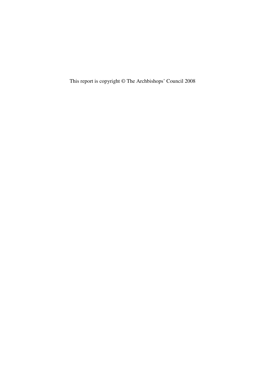This report is copyright © The Archbishops' Council 2008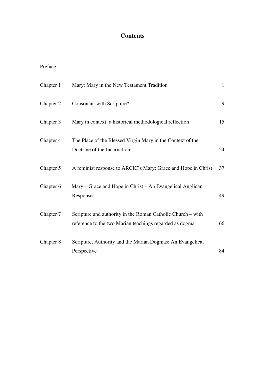# **Contents**

# Preface

| Chapter 1 | Mary: Mary in the New Testament Tradition                     | $\mathbf{1}$ |
|-----------|---------------------------------------------------------------|--------------|
| Chapter 2 | Consonant with Scripture?                                     | 9            |
| Chapter 3 | Mary in context: a historical methodological reflection       | 15           |
| Chapter 4 | The Place of the Blessed Virgin Mary in the Context of the    |              |
|           | Doctrine of the Incarnation                                   | 24           |
| Chapter 5 | A feminist response to ARCIC's Mary: Grace and Hope in Christ | 37           |
| Chapter 6 | Mary – Grace and Hope in Christ – An Evangelical Anglican     |              |
|           | Response                                                      | 49           |
| Chapter 7 | Scripture and authority in the Roman Catholic Church – with   |              |
|           | reference to the two Marian teachings regarded as dogma       | 66           |
| Chapter 8 | Scripture, Authority and the Marian Dogmas: An Evangelical    |              |
|           | Perspective                                                   | 84           |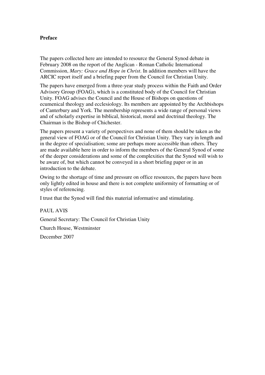## **Preface**

The papers collected here are intended to resource the General Synod debate in February 2008 on the report of the Anglican - Roman Catholic International Commission, *Mary: Grace and Hope in Christ*. In addition members will have the ARCIC report itself and a briefing paper from the Council for Christian Unity.

The papers have emerged from a three-year study process within the Faith and Order Advisory Group (FOAG), which is a constituted body of the Council for Christian Unity. FOAG advises the Council and the House of Bishops on questions of ecumenical theology and ecclesiology. Its members are appointed by the Archbishops of Canterbury and York. The membership represents a wide range of personal views and of scholarly expertise in biblical, historical, moral and doctrinal theology. The Chairman is the Bishop of Chichester.

The papers present a variety of perspectives and none of them should be taken as the general view of FOAG or of the Council for Christian Unity. They vary in length and in the degree of specialisation; some are perhaps more accessible than others. They are made available here in order to inform the members of the General Synod of some of the deeper considerations and some of the complexities that the Synod will wish to be aware of, but which cannot be conveyed in a short briefing paper or in an introduction to the debate.

Owing to the shortage of time and pressure on office resources, the papers have been only lightly edited in house and there is not complete uniformity of formatting or of styles of referencing.

I trust that the Synod will find this material informative and stimulating.

PAUL AVIS General Secretary: The Council for Christian Unity Church House, Westminster December 2007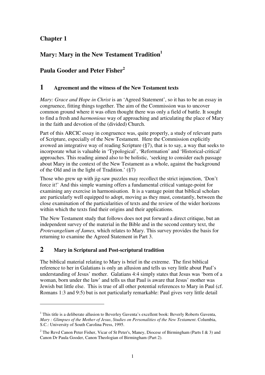# **Chapter 1**

 $\overline{a}$ 

# **Mary: Mary in the New Testament Tradition<sup>1</sup>**

# **Paula Gooder and Peter Fisher<sup>2</sup>**

# **1 Agreement and the witness of the New Testament texts**

*Mary: Grace and Hope in Christ* is an 'Agreed Statement', so it has to be an essay in congruence, fitting things together. The aim of the Commission was to uncover common ground where it was often thought there was only a field of battle. It sought to find a fresh and *harmonious* way of approaching and articulating the place of Mary in the faith and devotion of the (divided) Church.

Part of this ARCIC essay in congruence was, quite properly, a study of relevant parts of Scripture, especially of the New Testament. Here the Commission explicitly avowed an integrative way of reading Scripture (§7), that is to say, a way that seeks to incorporate what is valuable in 'Typological', 'Reformation' and 'Historical-critical' approaches. This reading aimed also to be holistic, 'seeking to consider each passage about Mary in the context of the New Testament as a whole, against the background of the Old and in the light of Tradition.' (§7)

Those who grew up with jig-saw puzzles may recollect the strict injunction, 'Don't force it!' And this simple warning offers a fundamental critical vantage-point for examining any exercise in harmonisation. It is a vantage point that biblical scholars are particularly well equipped to adopt, moving as they must, constantly, between the close examination of the particularities of texts and the review of the wider horizons within which the texts find their origins and their applications.

The New Testament study that follows does not put forward a direct critique, but an independent survey of the material in the Bible and in the second century text, the *Protevangelium of James,* which relates to Mary. This survey provides the basis for returning to examine the Agreed Statement in Part 3.

# **2 Mary in Scriptural and Post-scriptural tradition**

The biblical material relating to Mary is brief in the extreme. The first biblical reference to her in Galatians is only an allusion and tells us very little about Paul's understanding of Jesus' mother. Galatians 4:4 simply states that Jesus was 'born of a woman, born under the law' and tells us that Paul is aware that Jesus' mother was Jewish but little else. This is true of all other potential references to Mary in Paul (cf. Romans 1:3 and 9:5) but is not particularly remarkable: Paul gives very little detail

 $<sup>1</sup>$  This title is a deliberate allusion to Beverley Gaventa's excellent book: Beverly Roberts Gaventa,</sup> *Mary : Glimpses of the Mother of Jesus*, *Studies on Personalities of the New Testament*. Columbia, S.C.: University of South Carolina Press, 1995.

<sup>&</sup>lt;sup>2</sup> The Revd Canon Peter Fisher, Vicar of St Peter's, Maney, Diocese of Birmingham (Parts I & 3) and Canon Dr Paula Gooder, Canon Theologian of Birmingham (Part 2).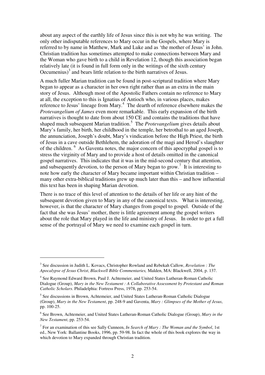about any aspect of the earthly life of Jesus since this is not why he was writing. The only other indisputable references to Mary occur in the Gospels, where Mary is referred to by name in Matthew, Mark and Luke and as 'the mother of Jesus' in John. Christian tradition has sometimes attempted to make connections between Mary and the Woman who gave birth to a child in Revelation 12, though this association began relatively late (it is found in full form only in the writings of the sixth century Oecumenius $3<sup>3</sup>$  and bears little relation to the birth narratives of Jesus.

A much fuller Marian tradition can be found in post-scriptural tradition where Mary began to appear as a character in her own right rather than as an extra in the main story of Jesus. Although most of the Apostolic Fathers contain no reference to Mary at all, the exception to this is Ignatius of Antioch who, in various places, makes reference to Jesus' lineage from Mary.<sup>4</sup> The dearth of reference elsewhere makes the *Protevangelium of James* even more remarkable. This early expansion of the birth narratives is thought to date from about 150 CE and contains the traditions that have shaped much subsequent Marian tradition.<sup>5</sup> The *Protevangelium* gives details about Mary's family, her birth, her childhood in the temple, her betrothal to an aged Joseph, the annunciation, Joseph's doubt, Mary's vindication before the High Priest, the birth of Jesus in a cave outside Bethlehem, the adoration of the magi and Herod's slaughter of the children. <sup>6</sup> As Gaventa notes, the major concern of this apocryphal gospel is to stress the virginity of Mary and to provide a host of details omitted in the canonical gospel narratives. This indicates that it was in the mid-second century that attention, and subsequently devotion, to the person of Mary began to grow.<sup>7</sup> It is interesting to note how early the character of Mary became important within Christian tradition – many other extra-biblical traditions grew up much later than this – and how influential this text has been in shaping Marian devotion.

There is no trace of this level of attention to the details of her life or any hint of the subsequent devotion given to Mary in any of the canonical texts. What is interesting, however, is that the character of Mary changes from gospel to gospel. Outside of the fact that she was Jesus' mother, there is little agreement among the gospel writers about the role that Mary played in the life and ministry of Jesus. In order to get a full sense of the portrayal of Mary we need to examine each gospel in turn.

<sup>3</sup> See discussion in Judith L. Kovacs, Christopher Rowland and Rebekah Callow, *Revelation : The Apocalypse of Jesus Christ*, *Blackwell Bible Commentaries,* Malden, MA: Blackwell, 2004, p. 137.

<sup>&</sup>lt;sup>4</sup> See Raymond Edward Brown, Paul J. Achtemeier, and United States Lutheran-Roman Catholic Dialogue (Group), *Mary in the New Testament : A Collaborative Assessment by Protestant and Roman Catholic Scholars*. Philadelphia: Fortress Press, 1978, pp. 253-54.

<sup>&</sup>lt;sup>5</sup> See discussions in Brown, Achtemeier, and United States Lutheran-Roman Catholic Dialogue (Group), *Mary in the New Testament*, pp. 248-9 and Gaventa, *Mary : Glimpses of the Mother of Jesus*, pp. 100-25.

<sup>6</sup> See Brown, Achtemeier, and United States Lutheran-Roman Catholic Dialogue (Group), *Mary in the New Testament*, pp. 253-54.

<sup>7</sup> For an examination of this see Sally Cunneen, *In Search of Mary : The Woman and the Symbol*, 1st ed., New York: Ballantine Books, 1996, pp. 59-98. In fact the whole of this book explores the way in which devotion to Mary expanded through Christian tradition.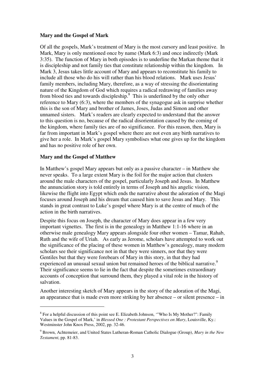## **Mary and the Gospel of Mark**

Of all the gospels, Mark's treatment of Mary is the most cursory and least positive. In Mark, Mary is only mentioned once by name (Mark 6:3) and once indirectly (Mark 3:35). The function of Mary in both episodes is to underline the Markan theme that it is discipleship and not family ties that constitute relationship within the kingdom. In Mark 3, Jesus takes little account of Mary and appears to reconstitute his family to include all those who do his will rather than his blood relations. Mark uses Jesus' family members, including Mary, therefore, as a way of stressing the disorientating nature of the Kingdom of God which requires a radical redrawing of families away from blood ties and towards discipleship.<sup>8</sup> This is underlined by the only other reference to Mary (6:3), where the members of the synagogue ask in surprise whether this is the son of Mary and brother of James, Joses, Judas and Simon and other unnamed sisters. Mark's readers are clearly expected to understand that the answer to this question is no, because of the radical disorientation caused by the coming of the kingdom, where family ties are of no significance. For this reason, then, Mary is far from important in Mark's gospel where there are not even any birth narratives to give her a role. In Mark's gospel Mary symbolises what one gives up for the kingdom and has no positive role of her own.

## **Mary and the Gospel of Matthew**

 $\overline{a}$ 

In Matthew's gospel Mary appears but only as a passive character – in Matthew she never speaks. To a large extent Mary is the foil for the major action that clusters around the male characters of the gospel, particularly Joseph and Jesus. In Matthew the annunciation story is told entirely in terms of Joseph and his angelic vision, likewise the flight into Egypt which ends the narrative about the adoration of the Magi focuses around Joseph and his dream that caused him to save Jesus and Mary. This stands in great contrast to Luke's gospel where Mary is at the centre of much of the action in the birth narratives.

Despite this focus on Joseph, the character of Mary does appear in a few very important vignettes. The first is in the genealogy in Matthew 1:1-16 where in an otherwise male genealogy Mary appears alongside four other women – Tamar, Rahab, Ruth and the wife of Uriah. As early as Jerome, scholars have attempted to work out the significance of the placing of these women in Matthew's genealogy, many modern scholars see their significance not in that they were sinners, nor that they were Gentiles but that they were forebears of Mary in this story, in that they had experienced an unusual sexual union but remained heroes of the biblical narrative.<sup>9</sup> Their significance seems to lie in the fact that despite the sometimes extraordinary accounts of conception that surround them, they played a vital role in the history of salvation.

Another interesting sketch of Mary appears in the story of the adoration of the Magi, an appearance that is made even more striking by her absence – or silent presence – in

 $8$  For a helpful discussion of this point see E. Elizabeth Johnson, "Who Is My Mother?": Family Values in the Gospel of Mark,' in *Blessed One : Protestant Perspectives on Mary*, Louisville, Ky.: Westminster John Knox Press, 2002, pp. 32-46.

<sup>9</sup> Brown, Achtemeier, and United States Lutheran-Roman Catholic Dialogue (Group), *Mary in the New Testament*, pp. 81-83.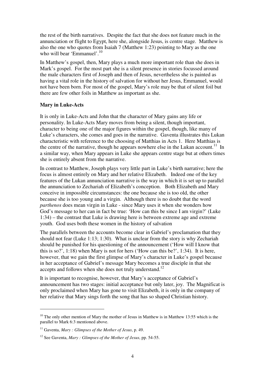the rest of the birth narratives. Despite the fact that she does not feature much in the annunciation or flight to Egypt, here she, alongside Jesus, is centre stage. Matthew is also the one who quotes from Isaiah 7 (Matthew 1:23) pointing to Mary as the one who will bear 'Emmanuel'.<sup>10</sup>

In Matthew's gospel, then, Mary plays a much more important role than she does in Mark's gospel. For the most part she is a silent presence in stories focussed around the male characters first of Joseph and then of Jesus, nevertheless she is painted as having a vital role in the history of salvation for without her Jesus, Emmanuel, would not have been born. For most of the gospel, Mary's role may be that of silent foil but there are few other foils in Matthew as important as she.

#### **Mary in Luke-Acts**

It is only in Luke-Acts and John that the character of Mary gains any life or personality. In Luke-Acts Mary moves from being a silent, though important, character to being one of the major figures within the gospel, though, like many of Luke's characters, she comes and goes in the narrative. Gaventa illustrates this Lukan characteristic with reference to the choosing of Matthias in Acts 1. Here Matthias is the centre of the narrative, though he appears nowhere else in the Lukan account.<sup>11</sup> In a similar way, when Mary appears in Luke she appears centre stage but at others times she is entirely absent from the narrative.

In contrast to Matthew, Joseph plays very little part in Luke's birth narrative; here the focus is almost entirely on Mary and her relative Elizabeth. Indeed one of the key features of the Lukan annunciation narrative is the way in which it is set up to parallel the annunciation to Zechariah of Elizabeth's conception. Both Elizabeth and Mary conceive in impossible circumstances: the one because she is too old, the other because she is too young and a virgin. Although there is no doubt that the word *parthenos* does mean virgin in Luke - since Mary uses it when she wonders how God's message to her can in fact be true: 'How can this be since I am virgin?' (Luke 1:34) – the contrast that Luke is drawing here is between extreme age and extreme youth. God uses both these women in the history of salvation

The parallels between the accounts become clear in Gabriel's proclamation that they should not fear (Luke 1:13; 1:30). What is unclear from the story is why Zechariah should be punished for his questioning of the announcement ('How will I know that this is so?', 1:18) when Mary is not for hers ('How can this be?', 1:34). It is here, however, that we gain the first glimpse of Mary's character in Luke's gospel because in her acceptance of Gabriel's message Mary becomes a true disciple in that she accepts and follows when she does not truly understand.<sup>12</sup>

It is important to recognise, however, that Mary's acceptance of Gabriel's announcement has two stages: initial acceptance but only later, joy. The Magnificat is only proclaimed when Mary has gone to visit Elizabeth, it is only in the company of her relative that Mary sings forth the song that has so shaped Christian history.

 $10$  The only other mention of Mary the mother of Jesus in Matthew is in Matthew 13:55 which is the parallel to Mark 6:3 mentioned above.

<sup>11</sup> Gaventa, *Mary : Glimpses of the Mother of Jesus*, p. 49.

<sup>12</sup> See Gaventa, *Mary : Glimpses of the Mother of Jesus*, pp. 54-55.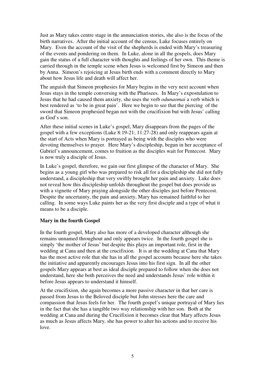Just as Mary takes centre stage in the annunciation stories, she also is the focus of the birth narratives. After the initial account of the census, Luke focuses entirely on Mary. Even the account of the visit of the shepherds is ended with Mary's treasuring of the events and pondering on them. In Luke, alone in all the gospels, does Mary gain the status of a full character with thoughts and feelings of her own. This theme is carried through in the temple scene when Jesus is welcomed first by Simeon and then by Anna. Simeon's rejoicing at Jesus birth ends with a comment directly to Mary about how Jesus life and death will affect her.

The anguish that Simeon prophesies for Mary begins in the very next account when Jesus stays in the temple conversing with the Pharisees. In Mary's expostulation to Jesus that he had caused them anxiety, she uses the verb *odunaomai* a verb which is best rendered as 'to be in great pain'. Here we begin to see that the piercing of the sword that Simeon prophesied began not with the crucifixion but with Jesus' calling as God's son.

After these initial scenes in Luke's gospel, Mary disappears from the pages of the gospel with a few exceptions (Luke 8:19-21; 11:27-28) and only reappears again at the start of Acts when Mary is portrayed as being with the disciples who were devoting themselves to prayer. Here Mary's discipleship, begun in her acceptance of Gabriel's announcement, comes to fruition as the disciples wait for Pentecost. Mary is now truly a disciple of Jesus.

In Luke's gospel, therefore, we gain our first glimpse of the character of Mary. She begins as a young girl who was prepared to risk all for a discipleship she did not fully understand, a discipleship that very swiftly brought her pain and anxiety. Luke does not reveal how this discipleship unfolds throughout the gospel but does provide us with a vignette of Mary praying alongside the other disciples just before Pentecost. Despite the uncertainty, the pain and anxiety, Mary has remained faithful to her calling. In some ways Luke paints her as the very first disciple and a type of what it means to be a disciple.

## **Mary in the fourth Gospel**

In the fourth gospel, Mary also has more of a developed character although she remains unnamed throughout and only appears twice. In the fourth gospel she is simply 'the mother of Jesus' but despite this plays an important role, first in the wedding at Cana and then at the crucifixion. It is at the wedding at Cana that Mary has the most active role that she has in all the gospel accounts because here she takes the initiative and apparently encourages Jesus into his first sign. In all the other gospels Mary appears at best as ideal disciple prepared to follow when she does not understand, here she both perceives the need and understands Jesus' role within it before Jesus appears to understand it himself.

At the crucifixion, she again becomes a more passive character in that her care is passed from Jesus to the Beloved disciple but John stresses here the care and compassion that Jesus feels for her. The fourth gospel's unique portrayal of Mary lies in the fact that she has a tangible two way relationship with her son. Both at the wedding at Cana and during the Crucifixion it becomes clear that Mary affects Jesus as much as Jesus affects Mary, she has power to alter his actions and to receive his love.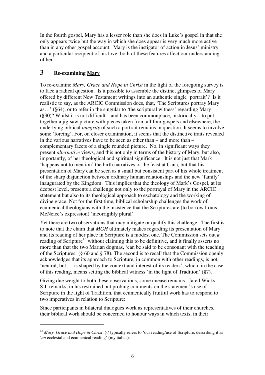In the fourth gospel, Mary has a lesser role than she does in Luke's gospel in that she only appears twice but the way in which she does appear is very much more active than in any other gospel account. Mary is the instigator of action in Jesus' ministry and a particular recipient of his love: both of these features affect our understanding of her.

# **3 Re-examining Mary**

 $\overline{a}$ 

To re-examine *Mary, Grace and Hope in Christ* in the light of the foregoing survey is to face a radical question. Is it possible to assemble the distinct glimpses of Mary offered by different New Testament writings into an authentic single 'portrait'? Is it realistic to say, as the ARCIC Commission does, that, 'The Scriptures portray Mary as…' (§64), or to refer in the singular to 'the scriptural witness' regarding Mary (§30)? Whilst it is not difficult – and has been commonplace, historically – to put together a jig-saw picture with pieces taken from all four gospels and elsewhere, the underlying biblical *integrity* of such a portrait remains in question. It seems to involve some 'forcing'. For, on closer examination, it seems that the distinctive traits revealed in the various narratives have to be seen as other than – and more than – complementary facets of a single rounded picture. No, in significant ways they present *alternative* views, and this not only in terms of the history of Mary, but also, importantly, of her theological and spiritual significance. It is not just that Mark 'happens not to mention' the birth narratives or the feast at Cana, but that his presentation of Mary can be seen as a small but consistent part of his whole treatment of the sharp disjunction between ordinary human relationships and the new 'family' inaugurated by the Kingdom. This implies that the theology of Mark's Gospel, at its deepest level, presents a challenge not only to the portrayal of Mary in the ARCIC statement but also to its theological approach to eschatology and the working of divine grace. Not for the first time, biblical scholarship challenges the work of ecumenical theologians with the insistence that the Scriptures are (to borrow Louis McNeice's expression) 'incorrigibly plural'.

Yet there are two observations that may mitigate or qualify this challenge. The first is to note that the claim that *MGH* ultimately makes regarding its presentation of Mary and its reading of her place in Scripture is a modest one. The Commission sets out *a* reading of Scripture<sup>13</sup> without claiming this to be definitive, and it finally asserts no more than that the two Marian dogmas, 'can be said to be consonant with the teaching of the Scriptures' (§ 60 and § 78). The second is to recall that the Commission openly acknowledges that its approach to Scripture, in common with other readings, is not, 'neutral, but … is shaped by the context and interest of its readers', which, in the case of this reading, means setting the biblical witness 'in the light of Tradition' (§7).

Giving due weight to both these observations, some unease remains. Jared Wicks, S.J. remarks, in his restrained but probing comments on the statement's use of Scripture in the light of Tradition, that ecumenically fruitful work has to respond to two imperatives in relation to Scripture:

Since participants in bilateral dialogues work as representatives of their churches, their biblical work should be concerned to honour ways in which texts, in their

<sup>&</sup>lt;sup>13</sup> *Mary, Grace and Hope in Christ* §7 typically refers to 'our reading/use of Scripture, describing it as '*an* ecclesial and ecumenical reading' (my italics).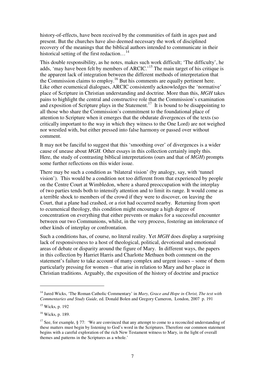history-of-effects, have been received by the communities of faith in ages past and present. But the churches have also deemed necessary the work of disciplined recovery of the meanings that the biblical authors intended to communicate in their historical setting of the first redaction...<sup>14</sup>

This double responsibility, as he notes, makes such work difficult; 'The difficulty', he adds, 'may have been felt by members of ARCIC.<sup>15</sup> The main target of his critique is the apparent lack of integration between the different methods of interpretation that the Commission claims to employ.<sup>16</sup> But his comments are equally pertinent here. Like other ecumenical dialogues, ARCIC consistently acknowledges the 'normative' place of Scripture in Christian understanding and doctrine. More than this, *MGH* takes pains to highlight the central and constructive role that the Commission's examination and exposition of Scripture plays in the Statement.<sup>17</sup> It is bound to be disappointing to all those who share the Commission's commitment to the foundational place of attention to Scripture when it emerges that the obdurate divergences of the texts (so critically important to the way in which they witness to the One Lord) are not weighed nor wrestled with, but either pressed into false harmony or passed over without comment.

It may not be fanciful to suggest that this 'smoothing over' of divergences is a wider cause of unease about *MGH.* Other essays in this collection certainly imply this. Here, the study of contrasting biblical interpretations (ours and that of *MGH*) prompts some further reflections on this wider issue.

There may be such a condition as 'bilateral vision' (by analogy, say, with 'tunnel vision'). This would be a condition not too different from that experienced by people on the Centre Court at Wimbledon, where a shared preoccupation with the interplay of two parties tends both to intensify attention and to limit its range. It would come as a terrible shock to members of the crowd if they were to discover, on leaving the Court, that a plane had crashed, or a riot had occurred nearby. Returning from sport to ecumenical theology, this condition might encourage a high degree of concentration on everything that either prevents or makes for a successful encounter between our two Communions, whilst, in the very process, fostering an intolerance of other kinds of interplay or confrontation.

Such a conditions has, of course, no literal reality. Yet *MGH* does display a surprising lack of responsiveness to a host of theological, political, devotional and emotional areas of debate or disparity around the figure of Mary. In different ways, the papers in this collection by Harriet Harris and Charlotte Methuen both comment on the statement's failure to take account of many complex and urgent issues – some of them particularly pressing for women – that arise in relation to Mary and her place in Christian traditions. Arguably, the exposition of the history of doctrine and practice

<sup>14</sup> Jared Wicks, 'The Roman Catholic Commentary' in *Mary, Grace and Hope in Christ, The text with Commentaries and Study Guide,* ed. Donald Bolen and Gregory Cameron, London, 2007 p. 191

<sup>&</sup>lt;sup>15</sup> Wicks, p. 192

<sup>16</sup> Wicks, p. 189.

<sup>&</sup>lt;sup>17</sup> See, for example, § 77: 'We are convinced that any attempt to come to a reconciled understanding of these matters must begin by listening to God's word in the Scriptures. Therefore our common statement begins with a careful exploration of the rich New Testament witness to Mary, in the light of overall themes and patterns in the Scriptures as a whole.'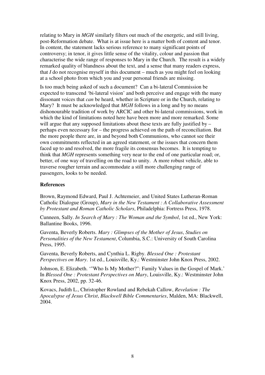relating to Mary in *MGH* similarly filters out much of the energetic, and still living, post-Reformation debate. What is at issue here is a matter both of content and tenor. In content, the statement lacks serious reference to many significant points of controversy; in tenor, it gives little sense of the vitality, colour and passion that characterise the wide range of responses to Mary in the Church. The result is a widely remarked quality of blandness about the text, and a sense that many readers express, that *I* do not recognise myself in this document – much as you might feel on looking at a school photo from which you and your personal friends are missing.

Is too much being asked of such a document? Can a bi-lateral Commission be expected to transcend 'bi-lateral vision' and both perceive and engage with the many dissonant voices that *can* be heard, whether in Scripture or in the Church, relating to Mary? It must be acknowledged that *MGH* follows in a long and by no means dishonourable tradition of work by ARCIC and other bi-lateral commissions, work in which the kind of limitations noted here have been more and more remarked. Some will argue that any supposed limitations about these texts are fully justified by – perhaps even necessary for – the progress achieved on the path of reconciliation. But the more people there are, in and beyond both Communions, who cannot see their own commitments reflected in an agreed statement, or the issues that concern them faced up to and resolved, the more fragile its consensus becomes. It is tempting to think that *MGH* represents something very near to the end of one particular road; or, better, of one way of travelling on the road to unity. A more robust vehicle, able to traverse rougher terrain and accommodate a still more challenging range of passengers, looks to be needed.

## **References**

Brown, Raymond Edward, Paul J. Achtemeier, and United States Lutheran-Roman Catholic Dialogue (Group), *Mary in the New Testament : A Collaborative Assessment by Protestant and Roman Catholic Scholars*, Philadelphia: Fortress Press, 1978.

Cunneen, Sally. *In Search of Mary : The Woman and the Symbol*, 1st ed., New York: Ballantine Books, 1996.

Gaventa, Beverly Roberts. *Mary : Glimpses of the Mother of Jesus*, *Studies on Personalities of the New Testament*, Columbia, S.C.: University of South Carolina Press, 1995.

Gaventa, Beverly Roberts, and Cynthia L. Rigby. *Blessed One : Protestant Perspectives on Mary*. 1st ed., Louisville, Ky.: Westminster John Knox Press, 2002.

Johnson, E. Elizabeth. '"Who Is My Mother?": Family Values in the Gospel of Mark.' In *Blessed One : Protestant Perspectives on Mary*, Louisville, Ky.: Westminster John Knox Press, 2002, pp. 32-46.

Kovacs, Judith L., Christopher Rowland and Rebekah Callow, *Revelation : The Apocalypse of Jesus Christ*, *Blackwell Bible Commentaries*, Malden, MA: Blackwell, 2004.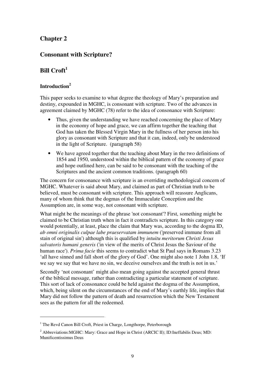# **Chapter 2**

# **Consonant with Scripture?**

# **Bill Croft<sup>1</sup>**

# **Introduction<sup>2</sup>**

 $\overline{a}$ 

This paper seeks to examine to what degree the theology of Mary's preparation and destiny, expounded in MGHC, is consonant with scripture. Two of the advances in agreement claimed by MGHC (78) refer to the idea of consonance with Scripture:

- Thus, given the understanding we have reached concerning the place of Mary in the economy of hope and grace, we can affirm together the teaching that God has taken the Blessed Virgin Mary in the fullness of her person into his glory as consonant with Scripture and that it can, indeed, only be understood in the light of Scripture. (paragraph 58)
- We have agreed together that the teaching about Mary in the two definitions of 1854 and 1950, understood within the biblical pattern of the economy of grace and hope outlined here, can be said to be consonant with the teaching of the Scriptures and the ancient common traditions. (paragraph 60)

The concern for consonance with scripture is an overriding methodological concern of MGHC. Whatever is said about Mary, and claimed as part of Christian truth to be believed, must be consonant with scripture. This approach will reassure Anglicans, many of whom think that the dogmas of the Immaculate Conception and the Assumption are, in some way, not consonant with scripture.

What might be the meanings of the phrase 'not consonant'? First, something might be claimed to be Christian truth when in fact it contradicts scripture. In this category one would potentially, at least, place the claim that Mary was, according to the dogma ID, *ab omni originalis culpae labe praeservatam immunem* ('preserved immune from all stain of original sin') although this is qualified by *intuitu meritorum Christi Jesus salvatoris humani generis* ('in view of the merits of Christ Jesus the Saviour of the human race'). *Prima facie* this seems to contradict what St Paul says in Romans 3.23 'all have sinned and fall short of the glory of God'. One might also note 1 John 1.8, 'If we say we say that we have no sin, we deceive ourselves and the truth is not in us.'

Secondly 'not consonant' might also mean going against the accepted general thrust of the biblical message, rather than contradicting a particular statement of scripture. This sort of lack of consonance could be held against the dogma of the Assumption, which, being silent on the circumstances of the end of Mary's earthly life, implies that Mary did not follow the pattern of death and resurrection which the New Testament sees as the pattern for all the redeemed.

<sup>&</sup>lt;sup>1</sup> The Revd Canon Bill Croft, Priest in Charge, Longthorpe, Peterborough

<sup>&</sup>lt;sup>2</sup> Abbreviations: MGHC: Mary: Grace and Hope in Christ (ARCIC II); ID: Ineffabilis Deus; MD: Munificentissimus Deus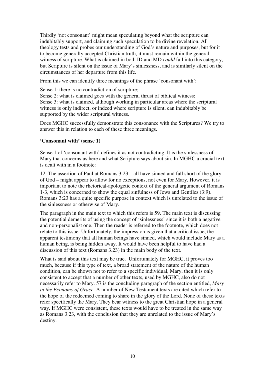Thirdly 'not consonant' might mean speculating beyond what the scripture can indubitably support, and claiming such speculation to be divine revelation. All theology tests and probes our understanding of God's nature and purposes, but for it to become generally accepted Christian truth, it must remain within the general witness of scripture. What is claimed in both ID and MD *could* fall into this category, but Scripture is silent on the issue of Mary's sinlessness, and is similarly silent on the circumstances of her departure from this life.

From this we can identify three meanings of the phrase 'consonant with':

Sense 1: there is no contradiction of scripture;

Sense 2: what is claimed goes with the general thrust of biblical witness; Sense 3: what is claimed, although working in particular areas where the scriptural witness is only indirect, or indeed where scripture is silent, can indubitably be supported by the wider scriptural witness.

Does MGHC successfully demonstrate this consonance with the Scriptures? We try to answer this in relation to each of these three meanings.

#### **'Consonant with' (sense 1)**

Sense 1 of 'consonant with' defines it as not contradicting. It is the sinlessness of Mary that concerns us here and what Scripture says about sin. In MGHC a crucial text is dealt with in a footnote:

12. The assertion of Paul at Romans 3:23 – all have sinned and fall short of the glory of God – might appear to allow for no exceptions, not even for Mary. However, it is important to note the rhetorical-apologetic context of the general argument of Romans 1-3, which is concerned to show the equal sinfulness of Jews and Gentiles (3:9). Romans 3:23 has a quite specific purpose in context which is unrelated to the issue of the sinlessness or otherwise of Mary.

The paragraph in the main text to which this refers is 59. The main text is discussing the potential demerits of using the concept of 'sinlessness' since it is both a negative and non-personalist one. Then the reader is referred to the footnote, which does not relate to this issue. Unfortunately, the impression is given that a critical issue, the apparent testimony that all human beings have sinned, which would include Mary as a human being, is being hidden away. It would have been helpful to have had a discussion of this text (Romans 3.23) in the main body of the text.

What is said about this text may be true. Unfortunately for MGHC, it proves too much, because if this type of text, a broad statement of the nature of the human condition, can be shown not to refer to a specific individual, Mary, then it is only consistent to accept that a number of other texts, used by MGHC, also do not necessarily refer to Mary. 57 is the concluding paragraph of the section entitled, *Mary in the Economy of Grace*. A number of New Testament texts are cited which refer to the hope of the redeemed coming to share in the glory of the Lord. None of these texts refer specifically the Mary. They bear witness to the great Christian hope in a general way. If MGHC were consistent, these texts would have to be treated in the same way as Romans 3.23, with the conclusion that they are unrelated to the issue of Mary's destiny.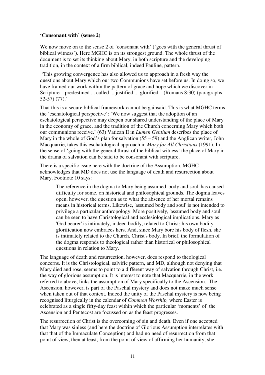## **'Consonant with' (sense 2)**

We now move on to the sense 2 of 'consonant with' ('goes with the general thrust of biblical witness'). Here MGHC is on its strongest ground. The whole thrust of the document is to set its thinking about Mary, in both scripture and the developing tradition, in the context of a firm biblical, indeed Pauline, pattern.

 'This growing convergence has also allowed us to approach in a fresh way the questions about Mary which our two Communions have set before us. In doing so, we have framed our work within the pattern of grace and hope which we discover in Scripture – predestined ... called ... justified ... glorified – (Romans 8:30) (paragraphs 52-57) (77).'

That this is a secure biblical framework cannot be gainsaid. This is what MGHC terms the 'eschatological perspective': 'We now suggest that the adoption of an eschatological perspective may deepen our shared understanding of the place of Mary in the economy of grace, and the tradition of the Church concerning Mary which both our communions receive.' (63) Vatican II in *Lumen Gentium* describes the place of Mary in the whole of God's plan for salvation  $(55 – 59)$  and the Anglican writer, John Macquarrie, takes this eschatological approach in *Mary for All Christians* (1991). In the sense of 'going with the general thrust of the biblical witness' the place of Mary in the drama of salvation can be said to be consonant with scripture.

There is a specific issue here with the doctrine of the Assumption. MGHC acknowledges that MD does not use the language of death and resurrection about Mary. Footnote 10 says:

The reference in the dogma to Mary being assumed 'body and soul' has caused difficulty for some, on historical and philosophical grounds. The dogma leaves open, however, the question as to what the absence of her mortal remains means in historical terms. Likewise, 'assumed body and soul' is not intended to privilege a particular anthropology. More positively, 'assumed body and soul' can be seen to have Christological and ecclesiological implications. Mary as 'God bearer' is intimately, indeed bodily, related to Christ: his own bodily glorification now embraces hers. And, since Mary bore his body of flesh, she is intimately related to the Church, Christ's body. In brief, the formulation of the dogma responds to theological rather than historical or philosophical questions in relation to Mary.

The language of death and resurrection, however, does respond to theological concerns. It is the Christological, salvific pattern, and MD, although not denying that Mary died and rose, seems to point to a different way of salvation through Christ, i.e. the way of glorious assumption. It is interest to note that Macquarrie, in the work referred to above, links the assumption of Mary specifically to the Ascension. The Ascension, however, is part of the Paschal mystery and does not make much sense when taken out of that context. Indeed the unity of the Paschal mystery is now being recognised liturgically in the calendar of *Common Worship,* where Easter is celebrated as a single fifty-day feast within which the particular 'moments' of the Ascension and Pentecost are focussed on as the feast progresses.

The resurrection of Christ is the overcoming of sin and death. Even if one accepted that Mary was sinless (and here the doctrine of Glorious Assumption interrelates with that that of the Immaculate Conception) and had no need of resurrection from that point of view, then at least, from the point of view of affirming her humanity, she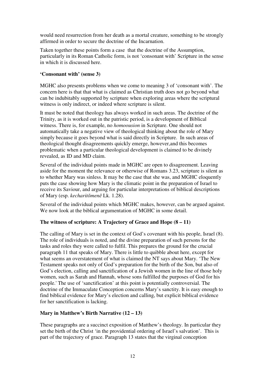would need resurrection from her death as a mortal creature, something to be strongly affirmed in order to secure the doctrine of the Incarnation.

Taken together these points form a case that the doctrine of the Assumption, particularly in its Roman Catholic form, is not 'consonant with' Scripture in the sense in which it is discussed here.

## **'Consonant with' (sense 3)**

MGHC also presents problems when we come to meaning 3 of 'consonant with'. The concern here is that that what is claimed as Christian truth does not go beyond what can be indubitably supported by scripture when exploring areas where the scriptural witness is only indirect, or indeed where scripture is silent.

It must be noted that theology has always worked in such areas. The doctrine of the Trinity, as it is worked out in the patristic period, is a development of Biblical witness. There is, for example, no *homoousion* in Scripture. One should not automatically take a negative view of theological thinking about the role of Mary simply because it goes beyond what is said directly in Scripture. In such areas of theological thought disagreements quickly emerge, however,and this becomes problematic when a particular theological development is claimed to be divinely revealed, as ID and MD claim.

Several of the individual points made in MGHC are open to disagreement. Leaving aside for the moment the relevance or otherwise of Romans 3.23, scripture is silent as to whether Mary was sinless. It may be the case that she was, and MGHC eloquently puts the case showing how Mary is the climatic point in the preparation of Israel to receive its Saviour, and arguing for particular interpretations of biblical descriptions of Mary (esp. *kecharit*ō*men*ē Lk. 1.28).

Several of the individual points which MGHC makes, however, can be argued against. We now look at the biblical argumentation of MGHC in some detail.

## **The witness of scripture: A Trajectory of Grace and Hope (8 – 11)**

The calling of Mary is set in the context of God's covenant with his people, Israel (8). The role of individuals is noted, and the divine preparation of such persons for the tasks and roles they were called to fulfil. This prepares the ground for the crucial paragraph 11 that speaks of Mary. There is little to quibble about here, except for what seems an overstatement of what is claimed the NT says about Mary. 'The New Testament speaks not only of God's preparation for the birth of the Son, but also of God's election, calling and sanctification of a Jewish women in the line of those holy women, such as Sarah and Hannah, whose sons fulfilled the purposes of God for his people.' The use of 'sanctification' at this point is potentially controversial. The doctrine of the Immaculate Conception concerns Mary's sanctity. It is easy enough to find biblical evidence for Mary's election and calling, but explicit biblical evidence for her sanctification is lacking.

## **Mary in Matthew's Birth Narrative (12 – 13)**

These paragraphs are a succinct exposition of Matthew's theology. In particular they set the birth of the Christ 'in the providential ordering of Israel's salvation'. This is part of the trajectory of grace. Paragraph 13 states that the virginal conception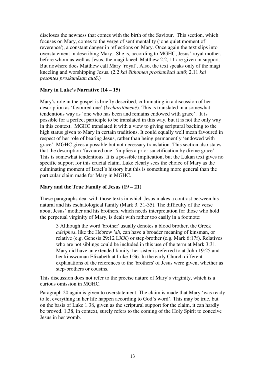discloses the newness that comes with the birth of the Saviour. This section, which focuses on Mary, comes to the verge of sentimentality ('one quiet moment of reverence'), a constant danger in reflections on Mary. Once again the text slips into overstatement in describing Mary. She is, according to MGHC, Jesus' royal mother, before whom as well as Jesus, the magi kneel. Matthew 2.2, 11 are given in support. But nowhere does Matthew call Mary 'royal'. Also, the text speaks only of the magi kneeling and worshipping Jesus. (2.2 *kai* ē*lthomen proskun*ē*sai aut*ō; 2.11 *kai pesontes proskun*ē*san aut*ō.)

## **Mary in Luke's Narrative (14 – 15)**

Mary's role in the gospel is briefly described, culminating in a discussion of her description as 'favoured one' (*kecharit*ō*men*ē). This is translated in a somewhat tendentious way as 'one who has been and remains endowed with grace'. It is possible for a perfect participle to be translated in this way, but it is not the only way in this context. MGHC translated it with a view to giving scriptural backing to the high status given to Mary in certain traditions. It could equally well mean favoured in respect of her role of bearing Jesus, rather than being permanently 'endowed with grace'. MGHC gives a possible but not necessary translation. This section also states that the description 'favoured one' 'implies a prior sanctification by divine grace'. This is somewhat tendentious. It is a possible implication, but the Lukan text gives no specific support for this crucial claim. Luke clearly sees the choice of Mary as the culminating moment of Israel's history but this is something more general than the particular claim made for Mary in MGHC.

## **Mary and the True Family of Jesus (19 – 21)**

These paragraphs deal with those texts in which Jesus makes a contrast between his natural and his eschatological family (Mark 3. 31-35). The difficulty of the verse about Jesus' mother and his brothers, which needs interpretation for those who hold the perpetual virginity of Mary, is dealt with rather too easily in a footnote:

3 Although the word 'brother' usually denotes a blood brother, the Greek *adelphos*, like the Hebrew *'ah*, can have a broader meaning of kinsman, or relative (e.g. Genesis 29:12 LXX) or step-brother (e.g. Mark 6:17f). Relatives who are not siblings could be included in this use of the term at Mark 3:31. Mary did have an extended family: her sister is referred to at John 19:25 and her kinswoman Elizabeth at Luke 1:36. In the early Church different explanations of the references to the 'brothers' of Jesus were given, whether as step-brothers or cousins.

This discussion does not refer to the precise nature of Mary's virginity, which is a curious omission in MGHC.

Paragraph 20 again is given to overstatement. The claim is made that Mary 'was ready to let everything in her life happen according to God's word'. This may be true, but on the basis of Luke 1.38, given as the scriptural support for the claim, it can hardly be proved. 1.38, in context, surely refers to the coming of the Holy Spirit to conceive Jesus in her womb.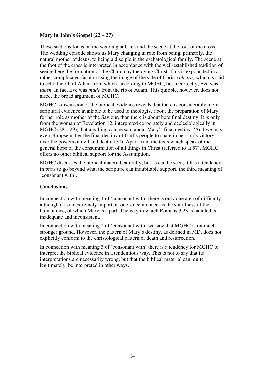## **Mary in John's Gospel (22 – 27)**

These sections focus on the wedding at Cana and the scene at the foot of the cross. The wedding episode shows us Mary changing in role from being, primarily, the natural mother of Jesus, to being a disciple in the eschatological family. The scene at the foot of the cross is interpreted in accordance with the well-established tradition of seeing here the formation of the Church by the dying Christ. This is expounded in a rather complicated fashion using the image of the side of Christ (*pleura*) which is said to echo the rib of Adam from which, according to MGHC, but incorrectly, Eve was *taken*. In fact Eve was *made* from the rib of Adam. This quibble, however, does not affect the broad argument of MGHC.

MGHC's discussion of the biblical evidence reveals that there is considerably more scriptural evidence available to be used to theologise about the preparation of Mary for her role as mother of the Saviour, than there is about here final destiny. It is only from the woman of Revelation 12, interpreted corporately and ecclesiologically in MGHC (28 – 29), that anything can be said about Mary's final destiny: 'And we may even glimpse in her the final destiny of God's people to share in her son's victory over the powers of evil and death' (30). Apart from the texts which speak of the general hope of the consummation of all things in Christ (referred to at 57), MGHC offers no other biblical support for the Assumption.

MGHC discusses the biblical material carefully, but as can be seen, it has a tendency in parts to go beyond what the scripture can indubitable support, the third meaning of 'consonant with'.

## **Conclusions**

In connection with meaning 1 of 'consonant with' there is only one area of difficulty although it is an extremely important one since it concerns the sinfulness of the human race, of which Mary is a part. The way in which Romans 3.23 is handled is inadequate and inconsistent.

In connection with meaning 2 of 'consonant with' we saw that MGHC is on much stronger ground. However, the pattern of Mary's destiny, as defined in MD, does not explicitly conform to the christological pattern of death and resurrection.

In connection with meaning 3 of 'consonant with' there is a tendency for MGHC to interpret the biblical evidence in a tendentious way. This is not to say that its interpretations are necessarily wrong, but that the biblical material can, quite legitimately, be interpreted in other ways.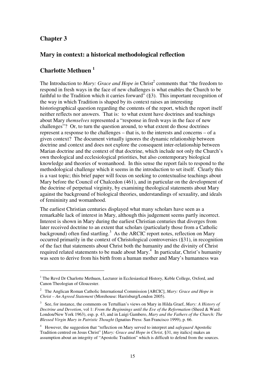# **Chapter 3**

 $\overline{a}$ 

# **Mary in context: a historical methodological reflection**

# **Charlotte Methuen <sup>1</sup>**

The Introduction to *Mary: Grace and Hope in* Christ<sup>2</sup> comments that "the freedom to respond in fresh ways in the face of new challenges is what enables the Church to be faithful to the Tradition which it carries forward" (§3). This important recognition of the way in which Tradition is shaped by its context raises an interesting historiographical question regarding the contents of the report, which the report itself neither reflects nor answers. That is: to what extent have doctrines and teachings about Mary *themselves* represented a "response in fresh ways in the face of new challenges"? Or, to turn the question around, to what extent do those doctrines represent a response to the challenges – that is, to the interests and concerns – of a given context? The document virtually ignores the dynamic relationship between doctrine and context and does not explore the consequent inter-relationship between Marian doctrine and the context of that doctrine, which include not only the Church's own theological and ecclesiological priorities, but also contemporary biological knowledge and theories of womanhood. In this sense the report fails to respond to the methodological challenge which it seems in the introduction to set itself. Clearly this is a vast topic; this brief paper will focus on seeking to contextualise teachings about Mary before the Council of Chalcedon (461), and in particular on the development of the doctrine of perpetual virginity, by examining theological statements about Mary against the background of biological theories, understandings of sexuality, and ideals of femininity and womanhood.

The earliest Christian centuries displayed what many scholars have seen as a remarkable lack of interest in Mary, although this judgement seems partly incorrect. Interest is shown in Mary during the earliest Christian centuries that diverges from later received doctrine to an extent that scholars (particularly those from a Catholic background) often find startling.<sup>3</sup> As the ARCIC report notes, reflection on Mary occurred primarily in the context of Christological controversies (§31), in recognition of the fact that statements about Christ both the humanity and the divinity of Christ required related statements to be made about Mary. $4\,$  In particular, Christ's humanity was seen to derive from his birth from a human mother and Mary's humanness was

<sup>&</sup>lt;sup>1</sup> The Revd Dr Charlotte Methuen, Lecturer in Ecclesiastical History, Keble College, Oxford, and Canon Theologian of Gloucester.

<sup>2</sup> The Anglican Roman Catholic International Commission [ARCIC], *Mary: Grace and Hope in Christ – An Agreed Statement* (Morehouse: Harrisburg/London 2005).

<sup>3</sup> See, for instance, the comments on Tertullian's views on Mary in Hilda Graef, *Mary: A History of Doctrine and Devotion*, vol 1: *From the Beginnings until the Eve of the Reformation* (Sheed & Ward: London/New York 1963), esp. p. 43, and in Luigi Gambero, *Mary and the Fathers of the Church: The Blessed Virgin Mary in Patristic Thought* (Ignatius Press: San Francisco 1999), p. 66.

<sup>&</sup>lt;sup>4</sup> However, the suggestion that "reflection on Mary served to interpret and *safeguard* Apostolic Tradition centred on Jesus Christ" [*Mary: Grace and Hope in Christ*, §31, my italics] makes an assumption about an integrity of "Apostolic Tradition" which is difficult to defend from the sources.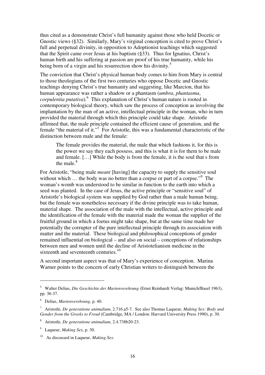thus cited as a demonstrate Christ's full humanity against those who held Docetic or Gnostic views (§32). Similarly, Mary's virginal conception is cited to prove Christ's full and perpetual divinity, in opposition to Adoptionist teachings which suggested that the Spirit came over Jesus at his baptism (§33). Thus for Ignatius, Christ's human birth and his suffering at passion are proof of his true humanity, while his being born of a virgin and his resurrection show his divinity.<sup>5</sup>

The conviction that Christ's physical human body comes to him from Mary is central to those theologians of the first two centuries who oppose Docetic and Gnostic teachings denying Christ's true humanity and suggesting, like Marcion, that his human appearance was rather a shadow or a phantasm (*umbra*, *phantasma*, *corpulentia putativa*). <sup>6</sup> This explanation of Christ's human nature is rooted in contemporary biological theory, which saw the process of conception as involving the implantation by the man of an active, intellectual principle in the woman, who in turn provided the material through which this principle could take shape. Aristotle affirmed that, the male principle contained the efficient cause of generation, and the female "the material of it."<sup>7</sup> For Aristotle, this was a fundamental characteristic of the distinction between male and the female:

The female provides the material, the male that which fashions it, for this is the power we say they each possess, and this is what it is for them to be male and female. […] While the body is from the female, it is the soul that s from the male. $8<sup>8</sup>$ 

For Aristotle, "being male *meant* [having] the capacity to supply the sensitive soul without which ... the body was no better than a corpse or part of a corpse."<sup>9</sup> The woman's womb was understood to be similar in function to the earth into which a seed was planted. In the case of Jesus, the active principle or "sensitive soul" of Aristotle's biological system was supplied by God rather than a male human being, but the female was nonetheless necessary if the divine principle was to take human, material shape. The association of the male with the intellectual, active principle and the identification of the female with the material made the woman the supplier of the fruitful ground in which a foetus might take shape, but at the same time made her potentially the corrupter of the pure intellectual principle through its association with matter and the material. These biological and philosophical conceptions of gender remained influential on biological – and also on social – conceptions of relationships between men and women until the decline of Aristotelianism medicine in the sixteenth and seventeenth centuries.<sup>10</sup>

A second important aspect was that of Mary's experience of conception. Marina Warner points to the concern of early Christian writers to distinguish between the

<sup>5</sup> Walter Delius, *Die Geschichte der Marienverehrung* (Ernst Reinhardt Verlag: Munich/Basel 1963), pp. 36-37.

<sup>6</sup> Delius, *Marienverehrung*, p. 40.

<sup>7</sup> Aristotle, *De generatione animalium*, 2.716.a5-7. See also Thomas Laqueur, *Making Sex: Body and Gender from the Greeks to Freud* (Cambridge, MA / London: Harvard University Press 1990), p. 30.

<sup>8</sup> Aristotle, *De generatione animalium*, 2.4.738b20-23.

<sup>9</sup> Laqueur, *Making Sex*, p. 30.

<sup>10</sup> As discussed in Laqueur, *Making Sex*.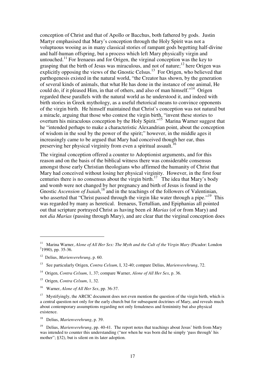conception of Christ and that of Apollo or Bacchus, both fathered by gods. Justin Martyr emphasised that Mary's conception through the Holy Spirit was not a voluptuous wooing as in many classical stories of rampant gods begetting half-divine and half-human offspring, but a process which left Mary physically virgin and untouched.<sup>11</sup> For Irenaeus and for Origen, the virginal conception was the key to grasping that the birth of Jesus was miraculous, and not of nature; $^{12}$  here Origen was explicitly opposing the views of the Gnostic Celsus.<sup>13</sup> For Origen, who believed that parthogenesis existed in the natural world, "the Creator has shown, by the generation of several kinds of animals, that what He has done in the instance of one animal, He could do, if it pleased Him, in that of others, and also of man himself."<sup>14</sup> Origen regarded these parallels with the natural world as he understood it, and indeed with birth stories in Greek mythology, as a useful rhetorical means to convince opponents of the virgin birth. He himself maintained that Christ's conception was not natural but a miracle, arguing that those who contest the virgin birth, "invent these stories to overturn his miraculous conception by the Holy Spirit."<sup>15</sup> Marina Warner suggest that he "intended perhaps to make a characteristic Alexandrian point, about the conception of wisdom in the soul by the power of the spirit;" however, in the middle ages it increasingly came to be argued that Mary had conceived though her ear, thus preserving her physical virginity from even a spiritual assault.<sup>16</sup>

The virginal conception offered a counter to Adoptionist arguments, and for this reason and on the basis of the biblical witness there was considerable consensus amongst those early Christian theologians who affirmed the humanity of Christ that Mary had conceived without losing her physical virginity. However, in the first four centuries there is no consensus about the virgin birth.<sup>17</sup> The idea that Mary's body and womb were not changed by her pregnancy and birth of Jesus is found in the Gnostic *Ascension of Isaiah*,<sup>18</sup> and in the teachings of the followers of Valentinian, who asserted that "Christ passed through the virgin like water through a pipe."<sup>19</sup> This was regarded by many as heretical. Irenaeus, Tertullian, and Epiphanias all pointed out that scripture portrayed Christ as having been *ek Marias* (of or from Mary) and not *dia Marias* (passing through Mary), and are clear that the virginal conception does

<sup>&</sup>lt;sup>11</sup> Marina Warner, *Alone of All Her Sex: The Myth and the Cult of the Virgin Mary* (Picador: London  $2$ 1990), pp. 35-36.

<sup>12</sup> Delius, *Marienverehrung*, p. 60.

<sup>13</sup> See particularly Origen, *Contra Celsum*, I, 32-40; compare Delius, *Marienverehrung*, 72.

<sup>14</sup> Origen, *Contra Celsum*, 1, 37; compare Warner, *Alone of All Her Sex*, p. 36.

<sup>15</sup> Origen, *Contra Celsum*, 1, 32.

<sup>16</sup> Warner, *Alone of All Her Sex*, pp. 36-37.

<sup>&</sup>lt;sup>17</sup> Mystifyingly, the ARCIC document does not even mention the question of the virgin birth, which is a central question not only for the early church but for subsequent doctrines of Mary, and reveals much about contemporary assumptions regarding not only femaleness and femininity but also physical existence.

<sup>18</sup> Delius, *Marienverehrung*, p. 39.

<sup>19</sup> Delius, *Marienverehrung*, pp. 40-41. The report notes that teachings about Jesus' birth from Mary was intended to counter this understanding ("nor when he was born did he simply 'pass through' his mother"; §32), but is silent on its later adoption.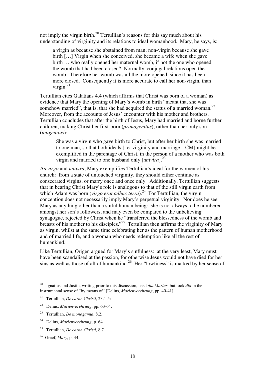not imply the virgin birth.<sup>20</sup> Tertullian's reasons for this say much about his understanding of virginity and its relations to ideal womanhood. Mary, he says, is:

a virgin as because she abstained from man; non-virgin because she gave birth […] Virgin when she conceived, she became a wife when she gave birth … who really opened her maternal womb, if not the one who opened the womb that had been closed? Normally, conjugal relations open the womb. Therefore her womb was all the more opened, since it has been more closed. Consequently it is more accurate to call her non-virgin, than virgin. $^{21}$ 

Tertullian cites Galatians 4.4 (which affirms that Christ was born of a woman) as evidence that Mary the opening of Mary's womb in birth "meant that she was somehow married", that is, that she had acquired the status of a married woman.<sup>22</sup> Moreover, from the accounts of Jesus' encounter with his mother and brothers, Tertullian concludes that after the birth of Jesus, Mary had married and borne further children, making Christ her first-born (*primogenitus*), rather than her only son (*unigenitus*):

She was a virgin who gave birth to Christ, but after her birth she was married to one man, so that both ideals [i.e. virginity and marriage – CM] might be exemplified in the parentage of Christ, in the person of a mother who was both virgin and married to one husband only [*univira*].<sup>23</sup>

As *virgo* and *univira*, Mary exemplifies Tertullian's ideal for the women of his church: from a state of untouched virginity, they should either continue as consecrated virgins, or marry once and once only. Additionally, Tertullian suggests that in bearing Christ Mary's role is analogous to that of the still virgin earth from which Adam was born (*virgo erat adhuc terra*).<sup>24</sup> For Tertullian, the virgin conception does not necessarily imply Mary's perpetual virginity. Nor does he see Mary as anything other than a sinful human being: she is not always to be numbered amongst her son's followers, and may even be compared to the unbelieving synagogue, rejected by Christ when he "transferred the blessedness of the womb and breasts of his mother to his disciples."<sup>25</sup> Tertullian then affirms the virginity of Mary as virgin, whilst at the same time celebrating her as the pattern of human motherhood and of married life, and a woman who needs redemption like all the rest of humankind.

Like Tertullian, Origen argued for Mary's sinfulness: at the very least, Mary must have been scandalised at the passion, for otherwise Jesus would not have died for her sins as well as those of all of humankind.<sup>26</sup> Her "lowliness" is marked by her sense of

<sup>20</sup> Ignatius and Justin, writing prior to this discussion, used *dia Marias*, but took *dia* in the instrumental sense of "by means of" [Delius, *Marienverehrung*, pp. 40-41].

<sup>21</sup> Tertullian, *De carne Christi*, 23.1-5:

<sup>22</sup> Delius, *Marienverehrung*, pp. 63-64.

<sup>23</sup> Tertullian, *De monogamia*, 8.2.

<sup>24</sup> Delius, *Marienverehrung*, p. 64.

<sup>25</sup> Tertullian, *De carne Christi*, 8.7.

<sup>26</sup> Graef, *Mary*, p. 44.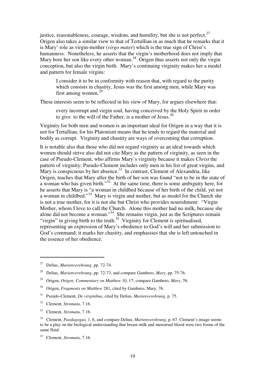justice, reasonableness, courage, wisdom, and humility, but she is not perfect.<sup>27</sup> Origen also takes a similar view to that of Tertullian in as much that he remarks that it is Mary' role as virgin-mother (*virgo mater*) which is the true sign of Christ's humanness. Nonetheless, he asserts that the virgin's motherhood does not imply that Mary bore her son like every other woman.<sup>28</sup> Origen thus asserts not only the virgin conception, but also the virgin birth. Mary's continuing virginity makes her a model and pattern for female virgins:

I consider it to be in conformity with reason that, with regard to the purity which consists in chastity, Jesus was the first among men, while Mary was first among women.<sup>29</sup>

These interests seem to be reflected in his view of Mary, for argues elsewhere that:

every incorrupt and virgin soul, having conceived by the Holy Spirit in order to give to the will of the Father, is a mother of Jesus. $30$ 

Virginity for both men and women is an important ideal for Origen in a way that it is not for Tertullian, for his Platonism means that he tends to regard the material and bodily as corrupt. Virginity and chastity are ways of overcoming that corruption.

It is notable also that those who did not regard virginity as an ideal towards which women should strive also did not cite Mary as the pattern of virginity, as seen in the case of Pseudo-Clement, who affirms Mary's virginity because it makes *Christ* the pattern of virginity; Pseudo-Clement includes only men in his list of great virgins, and Mary is conspicuous by her absence. $31$  In contrast, Clement of Alexandria, like Origen, teaches that Mary after the birth of her son was found "not to be in the state of a woman who has given birth."<sup>32</sup> At the same time, there is some ambiguity here, for he asserts that Mary is "a woman in childbed because of her birth of the child, yet not a woman in childbed."<sup>33</sup> Mary is virgin and mother, but as model for the Church she is not a true mother, for it is not she but Christ who provides nourishment: "Virgin Mother, whom I love to call the Church. Alone this mother had no milk, because she alone did not become a woman."<sup>34</sup> She remains virgin, just as the Scriptures remain "virgin" in giving birth to the truth.<sup>35</sup> Virginity for Clement is spiritualised, representing an expression of Mary's obedience to God's will and her submission to God's command; it marks her chastity, and emphasises that she is left untouched in the essence of her obedience.

<sup>27</sup> Delius, *Marienverehrung*, pp. 72-74.

<sup>28</sup> Delius, *Marienverehrung*, pp. 72-73, and compare Gambero, *Mary*, pp. 75-76.

<sup>29</sup> Origen, *Origen, Commentary on Matthew* 10, 17; compare Gambero, *Mary*, 76.

<sup>30</sup> Origen, *Fragments on Matthew* 281, cited by Gambero, Mary, 76.

<sup>31</sup> Pseudo-Clement, *De virginibus*, cited by Delius, *Marienverehrung*, p. 75.

<sup>32</sup> Clement, *Stromata*, 7.16.

<sup>33</sup> Clement, *Stromata*, 7.16.

<sup>34</sup> Clement, *Paedagogus,* 1, 6, and compare Delius, *Marienverehrung*, p. 67. Clement's image seems to be a play on the biological understanding that breast milk and menstrual blood were two forms of the same fluid.

<sup>35</sup> Clement, *Stromata*, 7.16.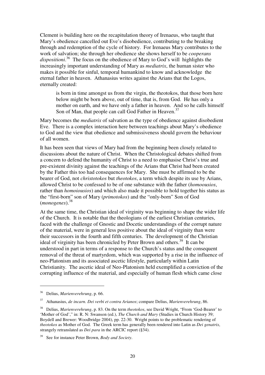Clement is building here on the recapitulation theory of Irenaeus, who taught that Mary's obedience cancelled out Eve's disobedience, contributing to the breaking through and redemption of the cycle of history. For Irenaeus Mary contributes to the work of salvation; she through her obedience she shows herself to be *cooperans dispositioni*. <sup>36</sup> The focus on the obedience of Mary to God's will highlights the increasingly important understanding of Mary as *mediatrix*, the human sister who makes it possible for sinful, temporal humankind to know and acknowledge the eternal father in heaven. Athanasius writes against the Arians that the Logos, eternally created:

is born in time amongst us from the virgin, the theotokos, that those born here below might be born above, out of time, that is, from God. He has only a mother on earth, and we have only a father in heaven. And so he calls himself Son of Man, that people can call God Father in Heaven.<sup>37</sup>

Mary becomes the *mediatrix* of salvation as the type of obedience against disobedient Eve. There is a complex interaction here between teachings about Mary's obedience to God and the view that obedience and submissiveness should govern the behaviour of all women.

It has been seen that views of Mary had from the beginning been closely related to discussions about the nature of Christ. When the Christological debates shifted from a concern to defend the humanity of Christ to a need to emphasise Christ's true and pre-existent divinity against the teachings of the Arians that Christ had been created by the Father this too had consequences for Mary. She must be affirmed to be the bearer of God, not *christotokos* but *theotokos*, a term which despite its use by Arians, allowed Christ to be confessed to be of one substance with the father (*homoousios*, rather than *homoiousios*) and which also made it possible to hold together his status as the "first-born" son of Mary (*primotokos*) and the "only-born" Son of God (*monogenes*).<sup>38</sup>

At the same time, the Christian ideal of virginity was beginning to shape the wider life of the Church. It is notable that the theologians of the earliest Christian centuries, faced with the challenge of Gnostic and Docetic understandings of the corrupt nature of the material, were in general less positive about the ideal of virginity than were their successors in the fourth and fifth centuries. The development of the Christian ideal of virginity has been chronicled by Peter Brown and others.<sup>39</sup> It can be understood in part in terms of a response to the Church's status and the consequent removal of the threat of martyrdom, which was supported by a rise in the influence of neo-Platonism and its associated ascetic lifestyle, particularly within Latin Christianity. The ascetic ideal of Neo-Platonism held exemplified a conviction of the corrupting influence of the material, and especially of human flesh which came close

<sup>36</sup> Delius, *Marienverehrung*, p. 66.

<sup>37</sup> Athanasius, *de incarn. Dei verbi et contra Arianos*; compare Delius, *Marienverehrung*, 86.

<sup>38</sup> Delius, *Marienverehrung*, p. 83. On the term *theotokos*, see David Wright, "From 'God-Bearer' to 'Mother of God'," in: R. N: Swanson (ed.), *The Church and Mary* (Studies in Church History 39; Boydell and Brewer: Woodbridge 2004), pp. 22-30. Wright points to the problematic rendering of *theotokos* as Mother of God. The Greek term has generally been rendered into Latin as *Dei genatrix*, strangely retranslated as *Dei para* in the ARCIC report (§34).

See for instance Peter Brown, *Body and Society*.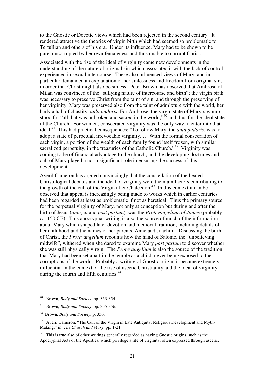to the Gnostic or Docetic views which had been rejected in the second century. It rendered attractive the theories of virgin birth which had seemed so problematic to Tertullian and others of his era. Under its influence, Mary had to be shown to be pure, uncorrupted by her own femaleness and thus unable to corrupt Christ.

Associated with the rise of the ideal of virginity came new developments in the understanding of the nature of original sin which associated it with the lack of control experienced in sexual intercourse. These also influenced views of Mary, and in particular demanded an explanation of her sinlessness and freedom from original sin, in order that Christ might also be sinless. Peter Brown has observed that Ambrose of Milan was convinced of the "sullying nature of intercourse and birth"; the virgin birth was necessary to preserve Christ from the taint of sin, and through the preserving of her virginity, Mary was preserved also from the taint of admixture with the world, her body a hall of chastity, *aula pudoris*. For Ambrose, the virgin state of Mary's womb stood for "all that was unbroken and sacred in the world,"<sup>40</sup> and thus for the ideal state of the Church. For women, consecrated virginity was the only way to enter into that ideal.<sup>41</sup> This had practical consequences: "To follow Mary, the *aula pudoris*, was to adopt a state of perpetual, irrevocable virginity. … With the formal consecration of each virgin, a portion of the wealth of each family found itself frozen, with similar sacralized perpetuity, in the treasuries of the Catholic Church."<sup>42</sup> Virginity was coming to be of financial advantage to the church, and the developing doctrines and cult of Mary played a not insignificant role in ensuring the success of this development.

Averil Cameron has argued convincingly that the constellation of the heated Christological debates and the ideal of virginity were the main factors contributing to the growth of the cult of the Virgin after Chalcedon. <sup>43</sup> In this context it can be observed that appeal is increasingly being made to works which in earlier centuries had been regarded at least as problematic if not as heretical. Thus the primary source for the perpetual virginity of Mary, not only at conception but during and after the birth of Jesus (*ante*, *in* and *post partum*), was the *Protevangelium of James* (probably ca. 150 CE). This apocryphal writing is also the source of much of the information about Mary which shaped later devotion and medieval tradition, including details of her childhood and the names of her parents, Anne and Joachim. Discussing the birth of Christ, the *Protevangelium* recounts how the hand of Salome, the "unbelieving midwife", withered when she dared to examine Mary *post partum* to discover whether she was still physically virgin. The *Protevangelium* is also the source of the tradition that Mary had been set apart in the temple as a child, never being exposed to the corruptions of the world. Probably a writing of Gnostic origin, it became extremely influential in the context of the rise of ascetic Christianity and the ideal of virginity during the fourth and fifth centuries.<sup>44</sup>

<sup>40</sup> Brown, *Body and Society*, pp. 353-354.

<sup>41</sup> Brown, *Body and Society*, pp. 355-356.

<sup>42</sup> Brown, *Body and Society*, p. 356.

<sup>43</sup> Averil Cameron, "The Cult of the Virgin in Late Antiquity: Religious Development and Myth-Making," in: *The Church and Mary*, pp. 1-21.

<sup>&</sup>lt;sup>44</sup> This is true also of other writings generally regarded as having Gnostic origins, such as the Apocryphal Acts of the Apostles, which privilege a life of virginity, often expressed through ascetic,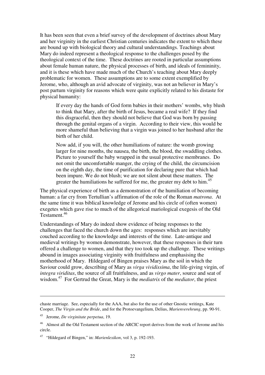It has been seen that even a brief survey of the development of doctrines about Mary and her virginity in the earliest Christian centuries indicates the extent to which these are bound up with biological theory and cultural understandings. Teachings about Mary do indeed represent a theological response to the challenges posed by the theological context of the time. These doctrines are rooted in particular assumptions about female human nature, the physical processes of birth, and ideals of femininity, and it is these which have made much of the Church's teaching about Mary deeply problematic for women. These assumptions are to some extent exemplified by Jerome, who, although an avid advocate of virginity, was not an believer in Mary's post partum virginity for reasons which were quite explicitly related to his distaste for physical humanity:

If every day the hands of God form babies in their mothers' wombs, why blush to think that Mary, after the birth of Jesus, became a real wife? If they find this disgraceful, then they should not believe that God was born by passing through the genital organs of a virgin. According to their view, this would be more shameful than believing that a virgin was joined to her husband after the birth of her child.

Now add, if you will, the other humiliations of nature: the womb growing larger for nine months, the nausea, the birth, the blood, the swaddling clothes. Picture to yourself the baby wrapped in the usual protective membranes. Do not omit the uncomfortable manger, the crying of the child, the circumcision on the eighth day, the time of purification for declaring pure that which had been impure. We do not blush; we are not silent about these matters. The greater the humiliations he suffered for me, the greater my debt to him.<sup>45</sup>

The physical experience of birth as a demonstration of the humiliation of becoming human: a far cry from Tertullian's affirmation of the role of the Roman *matrona*. At the same time it was biblical knowledge of Jerome and his circle of (often women) exegetes which gave rise to much of the allegorical mariological exegesis of the Old Testament.<sup>46</sup>

Understandings of Mary do indeed show evidence of being responses to the challenges that faced the church down the ages: responses which are inevitably couched according to the knowledge and interests of the time. Late-antique and medieval writings by women demonstrate, however, that these responses in their turn offered a challenge to women, and that they too took up the challenge. These writings abound in images associating virginity with fruitfulness and emphasising the motherhood of Mary. Hildegard of Bingen praises Mary as the soil in which the Saviour could grow, describing of Mary as *virga vividissima*, the life-giving virgin, of *integra viriditas*, the source of all fruitfulness, and as *virgo mater*, source and seat of wisdom.<sup>47</sup> For Gertrud the Great, Mary is the *mediatrix* of the *mediator*, the priest

chaste marriage. See, especially for the AAA, but also for the use of other Gnostic writings, Kate Cooper, *The Virgin and the Bride*, and for the Protoevangelium, Delius, *Marienverehrung*, pp. 90-91.

<sup>45</sup> Jerome, *De virginitate perpetua*, 19.

<sup>&</sup>lt;sup>46</sup> Almost all the Old Testament section of the ARCIC report derives from the work of Jerome and his circle.

<sup>47</sup> "Hildegard of Bingen," in: *Marienlexikon*, vol 3, p. 192-193.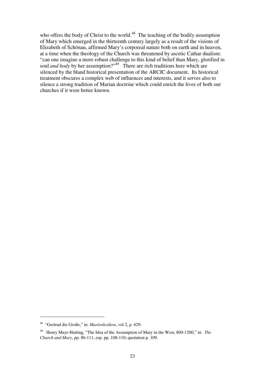who offers the body of Christ to the world.<sup>48</sup> The teaching of the bodily assumption of Mary which emerged in the thirteenth century largely as a result of the visions of Elizabeth of Schönau, affirmed Mary's corporeal nature both on earth and in heaven, at a time when the theology of the Church was threatened by ascetic Cathar dualism: "can one imagine a more robust challenge to this kind of belief than Mary, glorified in soul *and body* by her assumption?"<sup>49</sup> There are rich traditions here which are silenced by the bland historical presentation of the ARCIC document. Its historical treatment obscures a complex web of influences and interests, and it serves also to silence a strong tradition of Marian doctrine which could enrich the lives of both our churches if it were better known.

<sup>48</sup> "Gertrud die Große," in: *Marienlexikon*, vol 2, p. 629.

<sup>49</sup> Henry Mayr-Harting, "The Idea of the Assumption of Mary in the West, 800-1200," in: *The Church and Mary*, pp. 86-111, esp. pp. 108-110; quotation p. 109.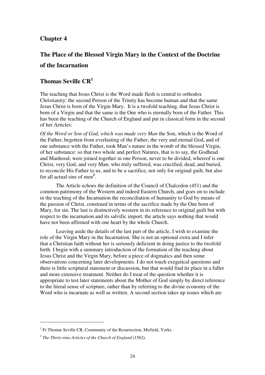# **Chapter 4**

# **The Place of the Blessed Virgin Mary in the Context of the Doctrine**

# **of the Incarnation**

# **Thomas Seville CR<sup>1</sup>**

The teaching that Jesus Christ is the Word made flesh is central to orthodox Christianity: the second Person of the Trinity has become human and that the same Jesus Christ is born of the Virgin Mary. It is a twofold teaching, that Jesus Christ is born of a Virgin and that the same is the One who is eternally born of the Father. This has been the teaching of the Church of England and put in classical form in the second of her Articles:

*Of the Word or Son of God, which was made very Man* the Son, which is the Word of the Father, begotten from everlasting of the Father, the very and eternal God, and of one substance with the Father, took Man's nature in the womb of the blessed Virgin, of her substance: so that two whole and perfect Natures, that is to say, the Godhead and Manhood, were joined together in one Person, never to be divided, whereof is one Christ, very God, and very Man; who truly suffered, was crucified, dead, and buried, to reconcile His Father to us, and to be a sacrifice, not only for original guilt, but also for all actual sins of men**<sup>2</sup>** .

The Article echoes the definition of the Council of Chalcedon (451) and the common patrimony of the Western and indeed Eastern Church, and goes on to include in the teaching of the Incarnation the reconciliation of humanity to God by means of the passion of Christ, construed in terms of the sacrifice made by the One born of Mary, for sin. The last is distinctively western in its reference to original guilt but with respect to the incarnation and its salvific import, the article says nothing that would have not been affirmed with one heart by the whole Church.

 Leaving aside the details of the last part of the article, I wish to examine the role of the Virgin Mary in the Incarnation. She is not an optional extra and I infer that a Christian faith without her is seriously deficient in doing justice to the twofold birth. I begin with a summary introduction of the formation of the teaching about Jesus Christ and the Virgin Mary, before a piece of dogmatics and then some observations concerning later developments. I do not touch exegetical questions and there is little scriptural statement or discussion, but that would find its place in a fuller and more extensive treatment. Neither do I treat of the question whether it is appropriate to test later statements about the Mother of God simply by direct reference to the literal sense of scripture, rather than by referring to the divine economy of the Word who is incarnate as well as written. A second section takes up issues which are

<sup>&</sup>lt;sup>1</sup> Fr Thomas Seville CR, Community of the Resurrection, Mirfield, Yorks.

<sup>2</sup> *The Thirty-nine Articles of the Church of England* (1562).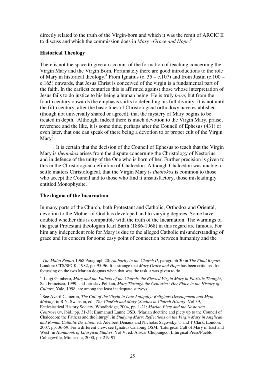directly related to the truth of the Virgin-born and which it was the remit of ARCIC II to discuss and which the commission does in *Mary –Grace and Hope*. 3

#### **Historical Theology**

There is not the space to give an account of the formation of teaching concerning the Virgin Mary and the Virgin Born. Fortunately there are good introductions to the role of Mary in historical theology.<sup>4</sup> From Ignatius (c.  $35 - c.107$ ) and from Justin (c. 100 – c.165) onwards, that Jesus Christ is conceived of the virgin is a fundamental part of the faith. In the earliest centuries this is affirmed against those whose interpretation of Jesus fails to do justice to his being a human being. He is truly *born*, but from the fourth century onwards the emphasis shifts to defending his full divinity. It is not until the fifth century, after the basic lines of Christological orthodoxy have established (though not universally shared or agreed), that the mystery of Mary begins to be treated in depth. Although, indeed there is much devotion to the Virgin Mary, praise, reverence and the like, it is some time, perhaps after the Council of Ephesus (431) or even later, that one can speak of there being a devotion to or proper cult of the Virgin Mary<sup>5</sup>.

 It is certain that the decision of the Council of Ephesus to teach that the Virgin Mary is *theotokos* arises from the dispute concerning the Christology of Nestorius, and in defence of the unity of the One who is born of her. Further precision is given to this in the Christological definition of Chalcedon. Although Chalcedon was unable to settle matters Christological, that the Virgin Mary is *theotokos* is common to those who accept the Council and to those who find it unsatisfactory, those misleadingly entitled Monophysite.

## **The dogma of the Incarnation**

 $\overline{a}$ 

In many parts of the Church, both Protestant and Catholic, Orthodox and Oriental, devotion to the Mother of God has developed and to varying degrees. Some have doubted whether this is compatible with the truth of the Incarnation. The warnings of the great Protestant theologian Karl Barth (1886-1968) in this regard are famous. For him any independent role for Mary is due to the alleged Catholic misunderstanding of grace and its concern for some easy point of connection between humanity and the

<sup>3</sup> *The Malta Report* 1968 Paragraph 20; *Authority in the Church II*, paragraph 30 in *The Final Report,* London: CTS/SPCK, 1982, pp. 95-96. It is strange that *Mary Grace and Hope* has been criticised for focussing on the two Marian dogmas when that was the task it was given to do.

<sup>4</sup> Luigi Gambero, *Mary and the Fathers of the Church: the Blessed Virgin Mary in Patristic Thought*, San Francisco, 1999, and Jaroslav Pelikan, *Mary Through the Centuries: Her Place in the History of Culture*, Yale, 1998, are among the least inadequate surveys.

<sup>&</sup>lt;sup>5</sup> See Averil Cameron, *The Cult of the Virgin in Late Antiquity: Religious Development and Myth-Making*, in R.N. Swanson, ed., *The ChuRch and Mary* (*Studies in Church History*, Vol 39, Ecclesiastical History Society, Woodbridge, 2004, pp. 1-21; *Marian Piety and the Nestorian Controversy*, ibid., pp. 31-38; Emmanuel Lanne OSB, 'Marian doctrine and piety up to the Council of Chalcedon: the Fathers and the liturgy', in *Studying Mary: Reflections on the Virgin Mary in Anglican and Roman Catholic Devotion*, ed. Adelbert Denaux and Nicholas Sagovsky, T and T Clark, London, 2007, pp. 36-59. For a different view, see Ignatius Calabuig OSM, 'Liturgical Cult of Mary in East and West' in *Handbook of Liturgical Studies*, Vol V, ed. Anscar Chupungco, Liturgical Press/Pueblo, Collegeville, Minnesota, 2000, pp. 219-97.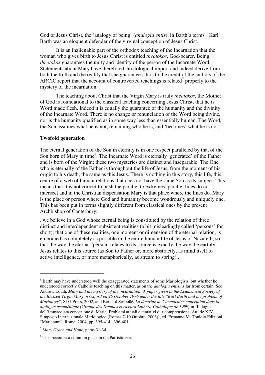God of Jesus Christ, the 'analogy of being' (*analogia entis*), in Barth's terms<sup>6</sup>. Karl Barth was an eloquent defender of the virginal conception of Jesus Christ.

It is an inalienable part of the orthodox teaching of the Incarnation that the woman who gives birth to Jesus Christ is entitled *theotokos*, God-bearer. Being *theotokos* guarantees the unity and identity of the person of the Incarnate Word. Statements about Mary have therefore Christological import and indeed derive from both the truth and the reality that she guarantees. It is to the credit of the authors of the ARCIC report that the account of controverted teachings is related<sup>7</sup> properly to the mystery of the incarnation.

 The teaching about Christ that the Virgin Mary is truly *theotokos*, the Mother of God is foundational to the classical teaching concerning Jesus Christ, that he is Word made flesh. Indeed it is equally the guarantee of the humanity and the divinity of the Incarnate Word. There is no change or renunciation of the Word being divine, nor is the humanity qualified as in some way less than essentially human. The Word, the Son assumes what he is not, remaining who he is, and 'becomes' what he is not.

#### **Twofold generation**

The eternal generation of the Son in eternity is in one respect paralleled by that of the Son born of Mary in time<sup>8</sup>. The Incarnate Word is eternally 'generated' of the Father and is born of the Virgin; these two mysteries are distinct and inseparable. The One who is eternally of the Father is throughout the life of Jesus, from the moment of his origin to his death, the same as this Jesus. There is nothing in this story, this life, this centre of a web of human relations that does not have the same Son as its subject. This means that it is not correct to push the parallel to extremes; parallel lines do not intersect and in the Christian dispensation Mary is that place where the lines do. Mary is the place or person where God and humanity become wondrously and uniquely one. This has been put in terms slightly different from classical ones by the present Archbishop of Canterbury:

..we believe in a God whose eternal being is constituted by the relation of three distinct and interdependent subsistent realities (a bit misleadingly called 'persons' for short); that one of these realities, one moment or dimension of the eternal relation, is embodied as completely as possible in the entire human life of Jesus of Nazareth, so that the way the eternal 'person' relates to its source is exactly the way the earthly Jesus relates to this source (as Son to Father or, more abstractly, as mind itself to active intelligence, or more metaphorically, as stream to spring)..

 $6$  Barth may have understood well the exaggerated statements of some Mariologists, but whether he understood correctly Catholic teaching on this matter, as on the *analogia entis*, is far from certain. See Andrew Louth, *Mary and the mystery of the incarnation: A paper given to the Ecumenical Society of the Blessed Virgin Mary in Oxford on 25 October 1976 under the title "Karl Barth and the problem of Mariology*", SLG Press, 2002, and Bernard Sesboüé, *La doctrine de l'immaculée conception dans la dialogue œcuménique (Groupe des Dombes et Accord Luthéro-Catholique de 1999*) in *'*Il dogma dell'immacolata concezione di Maria: Problemi attuali e tentativi di ricomprensione. Atti de XIV Simposio Internazionale Mariologico (Romas 7-10 Ottobre, 2003)', ed. Ermanno M. Toniolo Edizioni "Marianum", Rome, 2004, pp. 395-414, 396-401.

<sup>7</sup> *Mary Grace and Hope*, paras 31-34.

<sup>&</sup>lt;sup>8</sup> This becomes a common place in the Patristic era.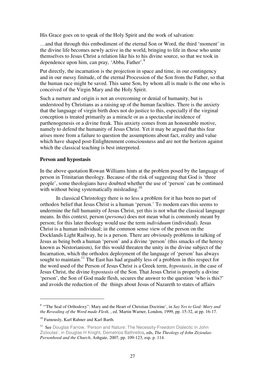His Grace goes on to speak of the Holy Spirit and the work of salvation:

…and that through this embodiment of the eternal Son or Word, the third 'moment' in the divine life becomes newly active in the world, bringing to life in those who unite themselves to Jesus Christ a relation like his to his divine source, so that we took in dependence upon him, can pray, 'Abba, Father'.<sup>9</sup>

Put directly, the incarnation is the projection in space and time, in our contingency and in our messy finitude, of the eternal Procession of the Son from the Father, so that the human race might be saved. This same Son, by whom all is made is the one who is conceived of the Virgin Mary and the Holy Spirit.

Such a nurture and origin is not an overcoming or denial of humanity, but is understood by Christians as a raising up of the human faculties. There is the anxiety that the language of virgin birth does not do justice to this, especially if the virginal conception is treated primarily as a miracle or as a spectacular incidence of parthenogenesis or a divine freak. This anxiety comes from an honourable motive, namely to defend the humanity of Jesus Christ. Yet it may be argued that this fear arises more from a failure to question the assumptions about fact, reality and value which have shaped post-Enlightenment consciousness and are not the horizon against which the classical teaching is best interpreted.

#### **Person and hypostasis**

In the above quotation Rowan Williams hints at the problem posed by the language of person in Trinitarian theology. Because of the risk of suggesting that God is 'three people', some theologians have doubted whether the use of 'person' can be continued with without being systematically misleading.<sup>10</sup>

 In classical Christology there is no less a problem for it has been no part of orthodox belief that Jesus Christ is a human 'person.' To modern ears this seems to undermine the full humanity of Jesus Christ, yet this is not what the classical language means. In this context, person (*persona*) does not mean what is commonly meant by person; for this later theology would use the term *individuum* (individual). Jesus Christ is a human individual; in the common sense view of the person on the Docklands Light Railway, he is a person. There are obviously problems in talking of Jesus as being both a human 'person' and a divine 'person' (this smacks of the heresy known as Nestorianism), for this would threaten the unity in the divine subject of the Incarnation, which the orthodox deployment of the language of 'person' has always sought to maintain.<sup>11</sup> The East has had arguably less of a problem in this respect for the word used of the Person of Jesus Christ is a Greek term, *hypostasis*, in the case of Jesus Christ, the divine *hypostasis* of the Son. That Jesus Christ is properly a divine 'person', the Son of God made flesh, secures the answer to the question 'who is this?' and avoids the reduction of the things about Jesus of Nazareth to states of affairs

<sup>&</sup>lt;sup>9</sup> "The Seal of Orthodoxy": Mary and the Heart of Christian Doctrine', in Say Yes to God: Mary and *the Revealing of the Word made Flesh,* , ed. Martin Warner, London, 1999, pp. 15-32, at pp. 16-17.

<sup>&</sup>lt;sup>10</sup> Famously, Karl Rahner and Karl Barth.

<sup>&</sup>lt;sup>11</sup> See Douglas Farrow, 'Person and Nature: The Necessity-Freedom Dialectic in John Zizioulas', in Douglas H Knight, Demetrios Bathrellos*,* eds, *The Theology of John Zizioulas: Personhood and the Church*, Ashgate, 2007, pp. 109-123, esp. p. 114.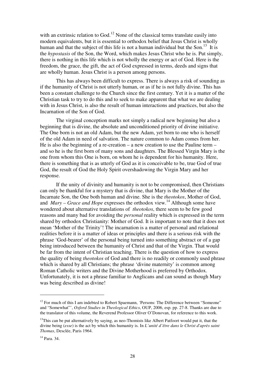with an extrinsic relation to  $God<sup>12</sup>$  None of the classical terms translate easily into modern equivalents, but it is essential to orthodox belief that Jesus Christ is wholly human and that the subject of this life is not a human individual but the Son.<sup>13</sup> It is the *hypostasis* of the Son, the Word, which makes Jesus Christ who he is. Put simply, there is nothing in this life which is not wholly the energy or act of God. Here is the freedom, the grace, the gift, the act of God expressed in terms, deeds and signs that are wholly human. Jesus Christ is a person among persons.

 This has always been difficult to express. There is always a risk of sounding as if the humanity of Christ is not utterly human, or as if he is not fully divine. This has been a constant challenge to the Church since the first century. Yet it is a matter of the Christian task to try to do this and to seek to make apparent that what we are dealing with in Jesus Christ, is also the result of human interactions and practices, but also the Incarnation of the Son of God.

 The virginal conception marks not simply a radical new beginning but also a beginning that is divine, the absolute and unconditioned priority of divine initiative. The One born is not an old Adam, but the new Adam, yet born to one who is herself of the old Adam in need of salvation. The nature common to Adam comes from her. He is also the beginning of a re-creation – a new creation to use the Pauline term – and so he is the first born of many sons and daughters. The Blessed Virgin Mary is the one from whom this One is born, on whom he is dependent for his humanity. Here, there is something that is as utterly of God as it is conceivable to be, true God of true God, the result of God the Holy Spirit overshadowing the Virgin Mary and her response.

 If the unity of divinity and humanity is not to be compromised, then Christians can only be thankful for a mystery that is divine, that Mary is the Mother of the Incarnate Son, the One both human and divine. She is the *theotokos*, Mother of God, and *Mary – Grace and Hope* expresses the orthodox view.<sup>14</sup> Although some have wondered about alternative translations of *theotokos*, there seem to be few good reasons and many bad for avoiding the *personal* reality which is expressed in the term shared by orthodox Christianity: Mother of God. It is important to note that it does not mean 'Mother of the Trinity'! The incarnation is a matter of personal and relational realities before it is a matter of ideas or principles and there is a serious risk with the phrase 'God-bearer' of the personal being turned into something abstract or of a gap being introduced between the humanity of Christ and that of the Virgin. That would be far from the intent of Christian teaching. There is the question of how to express the quality of being *theotokos* of God and there is no readily or commonly used phrase which is shared by all Christians; the phrase 'divine maternity' is common among Roman Catholic writers and the Divine Motherhood is preferred by Orthodox. Unfortunately, it is not a phrase familiar to Anglicans and can sound as though Mary was being described as divine!

<sup>&</sup>lt;sup>12</sup> For much of this I am indebted to Robert Spaemann, *'Persons: The Difference between "Someone"* and "Somewhat"', *Oxford Studies in Theological Ethics*, OUP, 2006, esp. pp. 27-8. Thanks are due to the translator of this volume, the Reverend Professor Oliver O'Donovan, for reference to this work.

 $13$ This can be put alternatively by saying, as neo-Thomists like Albert Patfoort would put it, that the divine being (*esse*) is the act by which this humanity is. In *L'unité d'être dans le Christ d'après saint Thomas*, Desclée, Paris 1964.

<sup>14</sup> Para. 34.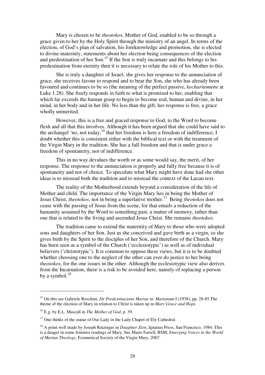Mary is chosen to be *theotokos*, Mother of God, enabled to be so through a grace given to her by the Holy Spirit through the ministry of an angel. In terms of the election, of God's plan of salvation, his foreknowledge and promotion, she is elected to divine maternity, statements about her election being consequences of the election and predestination of her Son.<sup>15</sup> If the Son is truly incarnate and this belongs to his predestination from eternity then it is necessary to relate the role of his Mother to this.

 She is truly a daughter of Israel; she gives her response to the annunciation of grace, she receives favour to respond and to bear the Son, she who has already been favoured and continues to be so (the meaning of the perfect passive, *kecharitomene* at Luke 1.28). She freely responds in faith to what is promised to her, enabling that which far exceeds the human grasp to begin to become real, human and divine, in her mind, in her body and in her life. No less than the gift, her response is free, a grace wholly unmerited.

 However, this is a free and graced response to God, to the Word to become flesh and all that this involves. Although it has been argued that she could have said to the archangel 'no, not today,<sup>16</sup> that her freedom is here a freedom of indifference, I doubt whether this is consistent either with the biblical text or with the treatment of the Virgin Mary in the tradition. She has a full freedom and that is under grace a freedom of spontaneity, not of indifference.

 This in no way devalues the worth or as some would say, the merit, of her response. The response to the annunciation is properly and fully free because it is of spontaneity and not of choice. To speculate what Mary might have done had she other ideas is to misread both the tradition and to misread the context of the Lucan text.

 The reality of the Motherhood extends beyond a consideration of the life of Mother and child. The importance of the Virgin Mary lies in being the Mother of Jesus Christ, *theotokos*, not in being a superlative mother.<sup>17</sup> Being *theotokos* does not cease with the passing of Jesus from the scene, for that entails a reduction of the humanity assumed by the Word to something past, a matter of memory, rather than one that is related to the living and ascended Jesus Christ. She remains *theotokos*.

 The tradition came to extend the maternity of Mary to those who were adopted sons and daughters of her Son. Just as she conceived and gave birth as a virgin, so she gives birth by the Spirit to the disciples of her Son, and therefore of the Church. Mary has been seen as a symbol of the Church ('ecclesiotypic') as well as of individual believers ('christotypic'). It is common to oppose these views, but it is to be doubted whether choosing one to the neglect of the other can ever do justice to her being *theotokos*, for the one issues in the other. Although the ecclesiotypic view also derives from the Incarnation, there is a risk to be avoided here, namely of replacing a person by a symbol. $^{18}$ 

<sup>15</sup> On this see Gabriele Roschini, *De Predestinazione Mariae* in *Marianum* I (1938), pp. 28-85.The theme of the election of Mary in relation to Christ is taken up in *Mary Grace and Hope.*

<sup>16</sup> E.g. by E.L. Mascall in *The Mother of God*, p. 39.

<sup>&</sup>lt;sup>17</sup> One thinks of the statue of Our Lady in the Lady Chapel of Ely Cathedral.

<sup>18</sup> A point well made by Joseph Ratzinger in *Daughter Zion*, Ignatius Press, San Francisco, 1984. This is a danger in some feminist readings of Mary. See Marie Farrell, RSM, *Emerging Voices in the World of Marian Theology,* Ecumenical Society of the Virgin Mary, 2007.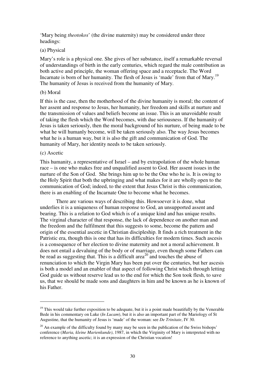'Mary being *theotokos*' (the divine maternity) may be considered under three headings:

#### (a) Physical

Mary's role is a physical one. She gives of her substance, itself a remarkable reversal of understandings of birth in the early centuries, which regard the male contribution as both active and principle, the woman offering space and a receptacle. The Word Incarnate is born of her humanity. The flesh of Jesus is 'made' from that of Mary.<sup>19</sup> The humanity of Jesus is received from the humanity of Mary.

#### (b) Moral

If this is the case, then the motherhood of the divine humanity is moral; the content of her assent and response to Jesus, her humanity, her freedom and skills at nurture and the transmission of values and beliefs become an issue. This is an unavoidable result of taking the flesh which the Word becomes, with due seriousness. If the humanity of Jesus is taken seriously, then the moral background of his nurture, of being made to be what he will humanly become, will be taken seriously also. The way Jesus becomes what he is a human way, but it is also the gift and communication of God. The humanity of Mary, her identity needs to be taken seriously.

#### (c) Ascetic

 $\overline{a}$ 

This humanity, a representative of Israel – and by extrapolation of the whole human race – is one who makes free and unqualified assent to God. Her assent issues in the nurture of the Son of God. She brings him up to be the One who he is. It is owing to the Holy Spirit that both the upbringing and what makes for it are wholly open to the communication of God; indeed, to the extent that Jesus Christ is this communication, there is an enabling of the Incarnate One to become what he becomes.

 There are various ways of describing this. Howsoever it is done, what underlies it is a uniqueness of human response to God, an unsupported assent and bearing. This is a relation to God which is of a unique kind and has unique results. The virginal character of that response, the lack of dependence on another man and the freedom and the fulfilment that this suggests to some, become the pattern and origin of the essential ascetic in Christian discipleship. It finds a rich treatment in the Patristic era, though this is one that has its difficulties for modern times. Such ascesis is a consequence of her election to divine maternity and not a moral achievement. It does not entail a devaluing of the body or of marriage, even though some Fathers can be read as suggesting that. This is a difficult area<sup>20</sup> and touches the abuse of renunciation to which the Virgin Mary has been put over the centuries, but her ascesis is both a model and an enabler of that aspect of following Christ which through letting God guide us without reserve lead us to the end for which the Son took flesh, to save us, that we should be made sons and daughters in him and be known as he is known of his Father.

 $19$  This would take further exposition to be adequate, but it is a point made beautifully by the Venerable Bede in his commentary on Luke (*In Lucam*), but it is also an important part of the Mariology of St Augustine, that the humanity of Jesus is 'made' of the woman: see *De Trinitate*, IV 30.

 $20$  An example of the difficulty found by many may be seen in the publication of the Swiss bishops' conference (*Maria, kleine Marienkunde)*, 1987, in which the Virginity of Mary is interpreted with no reference to anything ascetic; it is an expression of the Christian vocation!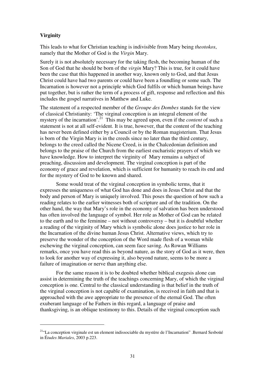## **Virginity**

 $\overline{a}$ 

This leads to what for Christian teaching is indivisible from Mary being *theotokos*, namely that the Mother of God is the *Virgin* Mary.

Surely it is not absolutely necessary for the taking flesh, the becoming human of the Son of God that he should be born of the *virgin* Mary? This is true, for it could have been the case that this happened in another way, known only to God, and that Jesus Christ could have had two parents or could have been a foundling or some such. The Incarnation is however not a principle which God fulfils or which human beings have put together, but is rather the term of a process of gift, response and reflection and this includes the gospel narratives in Matthew and Luke.

The statement of a respected member of the *Groupe des Dombes* stands for the view of classical Christianity: 'The virginal conception is an integral element of the mystery of the incarnation'.<sup>21</sup> This may be agreed upon, even if the *content* of such a statement is not at all self-evident. It is true, however, that the content of the teaching has never been defined either by a Council or by the Roman magisterium. That Jesus is born of the Virgin Mary is in the creeds since no later than the third century, belongs to the creed called the Nicene Creed, is in the Chalcedonian definition and belongs to the praise of the Church from the earliest eucharistic prayers of which we have knowledge. How to interpret the virginity of Mary remains a subject of preaching, discussion and development. The virginal conception is part of the economy of grace and revelation, which is sufficient for humanity to reach its end and for the mystery of God to be known and shared.

 Some would treat of the virginal conception in symbolic terms, that it expresses the uniqueness of what God has done and does in Jesus Christ and that the body and person of Mary is uniquely involved. This poses the question of how such a reading relates to the earlier witnesses both of scripture and of the tradition. On the other hand, the way that Mary's role in the economy of salvation has been understood has often involved the language of symbol. Her role as Mother of God can be related to the earth and to the feminine – not without controversy – but it is doubtful whether a reading of the virginity of Mary which is symbolic alone does justice to her role in the Incarnation of the divine human Jesus Christ. Alternative views, which try to preserve the wonder of the conception of the Word made flesh of a woman while eschewing the virginal conception, can seem face saving. As Rowan Williams remarks, once you have read this as beyond nature, as the story of God as it were, then to look for another way of expressing it, also beyond nature, seems to be more a failure of imagination or nerve than anything else.

 For the same reason it is to be doubted whether biblical exegesis alone can assist in determining the truth of the teachings concerning Mary, of which the virginal conception is one. Central to the classical understanding is that belief in the truth of the virginal conception is not capable of examination, is received in faith and that is approached with the awe appropriate to the presence of the eternal God. The often exuberant language of he Fathers in this regard, a language of praise and thanksgiving, is an oblique testimony to this. Details of the virginal conception such

<sup>21</sup>"La conception virginale est un element indissociable du mystère de l'Incarnation" .Bernard Sesboüé in É*tudes Mariales*, 2003 p.223.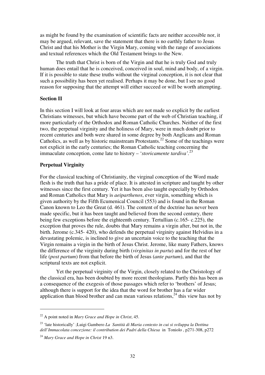as might be found by the examination of scientific facts are neither accessible nor, it may be argued, relevant, save the statement that there is no earthly father to Jesus Christ and that his Mother is the Virgin Mary, coming with the range of associations and textual references which the Old Testament brings to the New.

 The truth that Christ is born of the Virgin and that he is truly God and truly human does entail that he is conceived, conceived in soul, mind and body, of a virgin. If it is possible to state these truths without the virginal conception, it is not clear that such a possibility has been yet realised. Perhaps it may be done, but I see no good reason for supposing that the attempt will either succeed or will be worth attempting.

#### **Section II**

In this section I will look at four areas which are not made so explicit by the earliest Christians witnesses, but which have become part of the web of Christian teaching, if more particularly of the Orthodox and Roman Catholic Churches. Neither of the first two, the perpetual virginity and the holiness of Mary, were in much doubt prior to recent centuries and both were shared in some degree by both Anglicans and Roman Catholics, as well as by historic mainstream Protestants.<sup>22</sup> Some of the teachings were not explicit in the early centuries; the Roman Catholic teaching concerning the immaculate conception, come late to history – '*storicamente tardiva'.*<sup>23</sup>

#### **Perpetual Virginity**

For the classical teaching of Christianity, the virginal conception of the Word made flesh is the truth that has a pride of place. It is attested in scripture and taught by other witnesses since the first century. Yet it has been also taught especially by Orthodox and Roman Catholics that Mary is *aeiparthenos*, ever virgin, something which is given authority by the Fifth Ecumenical Council (553) and is found in the Roman Canon known to Leo the Great (d. 461). The content of the doctrine has never been made specific, but it has been taught and believed from the second century, there being few exceptions before the eighteenth century. Tertullian (c.165- c.225), the exception that proves the rule, doubts that Mary remains a virgin after, but not in, the birth. Jerome (c.345- 420), who defends the perpetual virginity against Helvidius in a devastating polemic, is inclined to give an uncertain voice to the teaching that the Virgin remains a virgin in the birth of Jesus Christ. Jerome, like many Fathers, knows the difference of the virginity during birth (*virginitas in partu*) and for the rest of her life (*post partum*) from that before the birth of Jesus (*ante partum*), and that the scriptural texts are not explicit.

 Yet the perpetual virginity of the Virgin, closely related to the Christology of the classical era, has been doubted by more recent theologians. Partly this has been as a consequence of the exegesis of those passages which refer to 'brothers' of Jesus; although there is support for the idea that the word for brother has a far wider application than blood brother and can mean various relations, $2<sup>4</sup>$  this view has not by

<sup>22</sup> A point noted in *Mary Grace and Hope in Christ*, 45.

<sup>23</sup> 'late historically' ;Luigi Gambero *La Santità di Maria contesto in cui si sviluppa la Dottina dell'Immacolata concezione: il contribution dei Padri della Chiesa* in Toniolo , p271-308, p272

<sup>24</sup> *Mary Grace and Hope in Christ* 19 n3.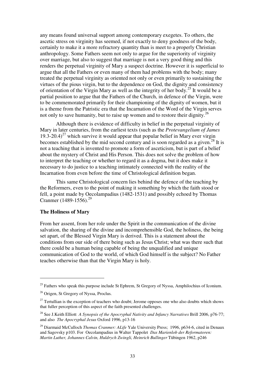any means found universal support among contemporary exegetes. To others, the ascetic stress on virginity has seemed, if not exactly to deny goodness of the body, certainly to make it a more refractory quantity than is meet to a properly Christian anthropology. Some Fathers seem not only to argue for the superiority of virginity over marriage, but also to suggest that marriage is not a very good thing and this renders the perpetual virginity of Mary a suspect doctrine. However it is superficial to argue that all the Fathers or even many of them had problems with the body; many treated the perpetual virginity as oriented not only or even primarily to sustaining the virtues of the pious virgin, but to the dependence on God, the dignity and consistency of orientation of the Virgin Mary as well as the integrity of her body.<sup>25</sup> It would be a partial position to argue that the Fathers of the Church, in defence of the Virgin, were to be commemorated primarily for their championing of the dignity of women, but it is a theme from the Patristic era that the Incarnation of the Word of the Virgin serves not only to save humanity, but to raise up women and to restore their dignity.<sup>26</sup>

 Although there is evidence of difficulty in belief in the perpetual virginity of Mary in later centuries, from the earliest texts (such as the *Protevangelium of James*   $19.3-20.4$ <sup>27</sup> which survive it would appear that popular belief in Mary ever virgin becomes established by the mid second century and is soon regarded as a given.<sup>28</sup> It is not a teaching that is invented to promote a form of asceticism, but is part of a belief about the mystery of Christ and His Person. This does not solve the problem of how to interpret the teaching or whether to regard it as a dogma, but it does make it necessary to do justice to a teaching intimately connected with the reality of the Incarnation from even before the time of Christological definition began.

 This same Christological concern lies behind the defence of the teaching by the Reformers, even to the point of making it something by which the faith stood or fell, a point made by Oecolampadius (1482-1531) and possibly echoed by Thomas Cranmer (1489-1556).<sup>29</sup>

#### **The Holiness of Mary**

 $\overline{a}$ 

From her assent, from her role under the Spirit in the communication of the divine salvation, the sharing of the divine and incomprehensible God, the holiness, the being set apart, of the Blessed Virgin Mary is derived. This is a statement about the conditions from our side of there being such as Jesus Christ; what was there such that there could be a human being capable of being the unqualified and unique communication of God to the world, of which God himself is the subject? No Father teaches otherwise than that the Virgin Mary is holy.

<sup>&</sup>lt;sup>25</sup> Fathers who speak this purpose include St Ephrem, St Gregory of Nyssa, Amphilochius of Iconium.

<sup>&</sup>lt;sup>26</sup> Origen, St Gregory of Nyssa, Proclus.

 $27$  Tertullian is the exception of teachers who doubt; Jerome opposes one who also doubts which shows that fuller perception of this aspect of the faith presented challenges.

<sup>28</sup> See J.Keith Elliott *A Synopsis of the Apocryphal Nativity and Infancy Narratives* Brill 2006, p76-77; and also *The Apocryphal Jesus* Oxford 1996, p13-16

<sup>29</sup> Diarmaid McCulloch *Thomas Cranmer: ALife* Yale University Press; 1996, p634-6, cited in Denaux and Sagovsky p103. For Oecolampadius in Walter Tappolet *Das Marienlob der Reformatoren: Martin Luther, Johannes Calvin, Huldrych Zwingli, Heinrich Bullinger* Tübingen 1962, p246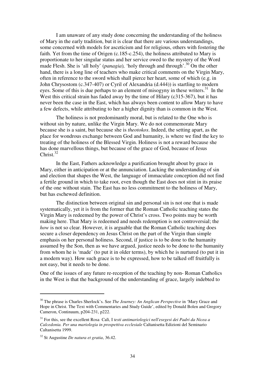I am unaware of any study done concerning the understanding of the holiness of Mary in the early tradition, but it is clear that there are various understandings, some concerned with models for asceticism and for religious, others with fostering the faith. Yet from the time of Origen (c.185-c.254), the holiness attributed to Mary is proportionate to her singular status and her service owed to the mystery of the Word made Flesh. She is 'all holy' (*panagia*)*,* 'holy through and through'.<sup>30</sup> On the other hand, there is a long line of teachers who make critical comments on the Virgin Mary, often in reference to the sword which shall pierce her heart, some of which (e.g. in John Chrysostom (c.347-407) or Cyril of Alexandria (d.444)) is startling to modern eyes. Some of this is due perhaps to an element of misogyny in these writers.<sup>31</sup> In the West this critical strain has faded away by the time of Hilary (c315-367), but it has never been the case in the East, which has always been content to allow Mary to have a few defects, while attributing to her a higher dignity than is common in the West.

The holiness is not predominantly moral, but is related to the One who is without sin by nature, unlike the Virgin Mary. We do not commemorate Mary because she is a saint, but because she is *theotokos*. Indeed, the setting apart, as the place for wondrous exchange between God and humanity, is where we find the key to treating of the holiness of the Blessed Virgin. Holiness is not a reward because she has done marvellous things, but because of the grace of God, because of Jesus Christ<sup>32</sup>

 In the East, Fathers acknowledge a purification brought about by grace in Mary, either in anticipation or at the annunciation. Lacking the understanding of sin and election that shapes the West, the language of immaculate conception did not find a fertile ground in which to take root, even though the East does not stint in its praise of the one without stain. The East has no less commitment to the holiness of Mary, but has eschewed definition.

 The distinction between original sin and personal sin is not one that is made systematically, yet it is from the former that the Roman Catholic teaching states the Virgin Mary is redeemed by the power of Christ's cross. Two points may be worth making here. That Mary is redeemed and needs redemption is not controversial; the *how* is not so clear. However, it is arguable that the Roman Catholic teaching does secure a closer dependency on Jesus Christ on the part of the Virgin than simple emphasis on her personal holiness. Second, if justice is to be done to the humanity assumed by the Son, then as we have argued, justice needs to be done to the humanity from whom he is 'made' (to put it in older terms), by which he is nurtured (to put it in a modern way). How such grace is to be expressed, how to be talked off fruitfully is not easy, but it needs to be done.

One of the issues of any future re-reception of the teaching by non- Roman Catholics in the West is that the background of the understanding of grace, largely indebted to

<sup>30</sup> The phrase is Charles Sherlock's. See *The Journey: An Anglican Perspective* in 'Mary Grace and Hope in Christ. The Text with Commentaries and Study Guide', edited by Donald Bolen and Gregory Cameron, Continuum, p204-231, p222.

<sup>31</sup> For this, see the excellent Rosa Calì, I *testi antimariologici nell'esegesi dei Padri da Nicea a Calcedonia. Per una mariologia in prospettiva ecclesiale* Caltanisetta Edizioni del Seminario Caltanisetta 1999.

<sup>32</sup> St Augustine *De natura et gratia*, 36.42.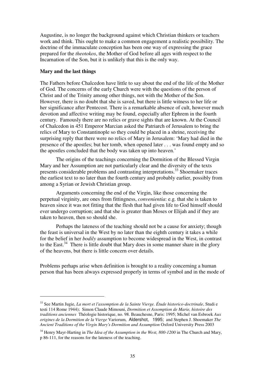Augustine, is no longer the background against which Christian thinkers or teachers work and think. This ought to make a common engagement a realistic possibility. The doctrine of the immaculate conception has been one way of expressing the grace prepared for the *theotokos*, the Mother of God before all ages with respect to the Incarnation of the Son, but it is unlikely that this is the only way.

#### **Mary and the last things**

 $\overline{a}$ 

The Fathers before Chalcedon have little to say about the end of the life of the Mother of God. The concerns of the early Church were with the questions of the person of Christ and of the Trinity among other things, not with the Mother of the Son. However, there is no doubt that she is saved, but there is little witness to her life or her significance after Pentecost. There is a remarkable absence of cult, however much devotion and affective writing may be found, especially after Ephrem in the fourth century. Famously there are no relics or grave sights that are known. At the Council of Chalcedon in 451 Emperor Marcian asked the Patriarch of Jerusalem to bring the relics of Mary to Constantinople so they could be placed in a shrine, receiving the surprising reply that there were no relics of Mary in Jerusalem: 'Mary had died in the presence of the apostles; but her tomb, when opened later . . . was found empty and so the apostles concluded that the body was taken up into heaven.'

 The origins of the teachings concerning the Dormition of the Blessed Virgin Mary and her Assumption are not particularly clear and the diversity of the texts presents considerable problems and contrasting interpretations.<sup>33</sup> Shoemaker traces the earliest text to no later than the fourth century and probably earlier, possibly from among a Syrian or Jewish Christian group.

 Arguments concerning the end of the Virgin, like those concerning the perpetual virginity, are ones from fittingness, *convenientia*: e.g. that she is taken to heaven since it was not fitting that the flesh that had given life to God himself should ever undergo corruption; and that she is greater than Moses or Elijah and if they are taken to heaven, then so should she.

 Perhaps the lateness of the teaching should not be a cause for anxiety; though the feast is universal in the West by no later than the eighth century it takes a while for the belief in her *bodily* assumption to become widespread in the West, in contrast to the East.<sup>34</sup> There is little doubt that Mary does in some manner share in the glory of the heavens, but there is little concern over details.

Problems perhaps arise when definition is brought to a reality concerning a human person that has been always expressed properly in terms of symbol and in the mode of

<sup>33</sup> See Martin Jugie, *La mort et l'assomption de la Sainte Vierge. Étude historico-doctrinale*, Studi e testi 114 Rome 1944); Simon Claude Mimouni, *Dormition et Assomption de Marie, histoire des traditions anciennes* Théologie historique, no. 98. Beauchesne, Paris: 1995; Michel van Esbroek *Aux origines de la Dormition de la Vierge* Variorum, Aldershot, 1995; and Stephen J. Shoemaker *The Ancient Traditions of the Virgin Mary's Dormition and Assumption* Oxford University Press 2003

<sup>&</sup>lt;sup>34</sup> Henry Mayr-Harting in *The Idea of the Assumption in the West, 800-1200* in The Church and Mary, p 86-111, for the reasons for the lateness of the teaching.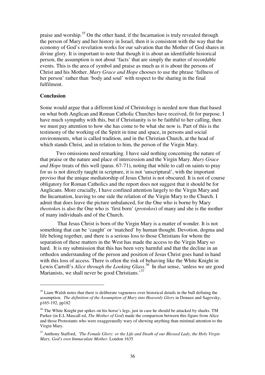praise and worship.<sup>35</sup> On the other hand, if the Incarnation is truly revealed through the person of Mary and her history in Israel, then it is consistent with the way that the economy of God's revelation works for our salvation that the Mother of God shares in divine glory. It is important to note that though it is about an identifiable historical person, the assumption is not about 'facts' that are simply the matter of recordable events. This is the area of symbol and praise as much as it is about the persons of Christ and his Mother. *Mary Grace and Hope* chooses to use the phrase 'fullness of her person' rather than 'body and soul' with respect to the sharing in the final fulfilment.

#### **Conclusion**

 $\overline{a}$ 

Some would argue that a different kind of Christology is needed now than that based on what both Anglican and Roman Catholic Churches have received, fit for purpose. I have much sympathy with this, but if Christianity is to be faithful to her calling, then we must pay attention to how she has come to be what she now is. Part of this is the testimony of the working of the Spirit in time and space, in persons and social environments, what is called tradition, and in the Christian Church, at the head of which stands Christ, and in relation to him, the person of the Virgin Mary.

 Two omissions need remarking. I have said nothing concerning the nature of that praise or the nature and place of intercession and the Virgin Mary. *Mary Grace and Hope* treats of this well (paras. 67-71), noting that while to call on saints to pray for us is not directly taught in scripture, it is not 'unscriptural', with the important proviso that the unique mediatorship of Jesus Christ is not obscured. It is not of course obligatory for Roman Catholics and the report does not suggest that it should be for Anglicans. More crucially, I have confined attention largely to the Virgin Mary and the Incarnation, leaving to one side the relation of the Virgin Mary to the Church. I admit that does leave the picture unbalanced, for the One who is borne by Mary *theotoko*s is also the One who is 'first born' (*protokos*) of many and she is the mother of many individuals and of the Church.

 That Jesus Christ is born of the Virgin Mary is a matter of wonder. It is not something that can be 'caught' or 'matched' by human thought. Devotion, dogma and life belong together, and there is a serious loss to those Christians for whom the separation of these matters in the West has made the access to the Virgin Mary so hard. It is my submission that this has been very harmful and that the decline in an orthodox understanding of the person and position of Jesus Christ goes hand in hand with this loss of access. There is often the risk of behaving like the White Knight in Lewis Carroll's *Alice through the Looking Glass*. <sup>36</sup> In *that* sense, 'unless we are good Marianists, we shall never be good Christians.<sup>37</sup>

<sup>&</sup>lt;sup>35</sup> Liam Walsh notes that there is deliberate vagueness over historical details in the bull defining the assumption. *The definition of the Assumption of Mary into Heavenly Glory* in Denaux and Sagovsky, p165-192, pp182

<sup>&</sup>lt;sup>36</sup> The White Knight put spikes on his horse's legs, just in case he should be attacked by sharks. TM Parker (in E.L Mascall ed, *The Mother of God*) made the comparison between this figure from Alice and those Protestants who were exaggeratedly wary of shewing anything than minimal attention to the Virgin Mary.

<sup>37</sup> Anthony Stafford, *'The Female Glory: or the Life and Death of our Blessed Lady, the Holy Virgin Mary, God's own Immaculate Mother*. London 1635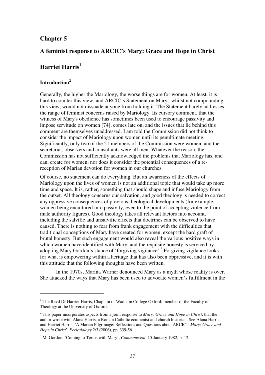# **Chapter 5**

# **A feminist response to ARCIC's Mary: Grace and Hope in Christ**

# **Harriet Harris<sup>1</sup>**

# **Introduction<sup>2</sup>**

 $\overline{a}$ 

Generally, the higher the Mariology, the worse things are for women. At least, it is hard to counter this view, and ARCIC's Statement on Mary, whilst not compounding this view, would not dissuade anyone from holding it. The Statement barely addresses the range of feminist concerns raised by Mariology. Its cursory comment, that the witness of Mary's obedience has sometimes been used to encourage passivity and impose servitude on women [74], comes late on, and the issues that lie behind this comment are themselves unaddressed. I am told the Commission did not think to consider the impact of Mariology upon women until its penultimate meeting. Significantly, only two of the 21 members of the Commission were women, and the secretariat, observers and consultants were all men. Whatever the reason, the Commission has not sufficiently acknowledged the problems that Mariology has, and can, create for women, nor does it consider the potential consequences of a rereception of Marian devotion for women in our churches.

Of course, no statement can do everything. But an awareness of the effects of Mariology upon the lives of women is not an additional topic that would take up more time and space. It is, rather, something that should shape and infuse Mariology from the outset. All theology concerns our salvation, and good theology is needed to correct any oppressive consequences of previous theological developments (for example, women being encultured into passivity, even to the point of accepting violence from male authority figures). Good theology takes all relevant factors into account, including the salvific and unsalvific effects that doctrines can be observed to have caused. There is nothing to fear from frank engagement with the difficulties that traditional conceptions of Mary have created for women, except the hard graft of brutal honesty. But such engagement would also reveal the various positive ways in which women have identified with Mary, and the requisite honesty is serviced by adopting Mary Gordon's stance of 'forgiving vigilance'.<sup>3</sup> Forgiving vigilance looks for what is empowering within a heritage that has also been oppressive, and it is with this attitude that the following thoughts have been written.

In the 1970s, Marina Warner denounced Mary as a myth whose reality is over. She attacked the ways that Mary has been used to advocate women's fulfillment in the

<sup>&</sup>lt;sup>1</sup> The Revd Dr Harriet Harris, Chaplain of Wadham College Oxford; member of the Faculty of Theology at the University of Oxford.

<sup>2</sup> This paper incorporates aspects from a joint response to *Mary: Grace and Hope in Christ*, that the author wrote with Alana Harris, a Roman Catholic ecumenist and church historian. See Alana Harris and Harriet Harris, 'A Marian Pilgrimage: Reflections and Questions about ARCIC's *Mary: Grace and Hope in Christ*', *Ecclesiology* 2/3 (2006), pp. 339-56.

<sup>3</sup> M. Gordon, 'Coming to Terms with Mary', *Commonweal*, 15 January 1982, p. 12.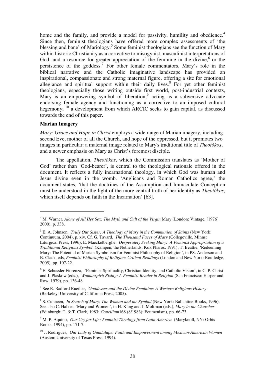home and the family, and provide a model for passivity, humility and obedience.<sup>4</sup> Since then, feminist theologians have offered more complex assessments of 'the blessing and bane' of Mariology.<sup>5</sup> Some feminist theologians see the function of Mary within historic Christianity as a corrective to misogynist, masculinist interpretations of God, and a resource for greater appreciation of the feminine in the divine, $6$  or the persistence of the goddess.<sup>7</sup> For other female commentators, Mary's role in the biblical narrative and the Catholic imaginative landscape has provided an inspirational, compassionate and strong maternal figure, offering a site for emotional allegiance and spiritual support within their daily lives.<sup>8</sup> For yet other feminist theologians, especially those writing outside first world, post-industrial contexts, Mary is an empowering symbol of liberation,<sup>9</sup> acting as a subversive advocate endorsing female agency and functioning as a corrective to an imposed cultural hegemony;  $10$  a development from which ARCIC seeks to gain capital, as discussed towards the end of this paper.

#### **Marian Imagery**

 $\overline{a}$ 

*Mary: Grace and Hope in Christ* employs a wide range of Marian imagery, including second Eve, mother of all the Church, and hope of the oppressed, but it promotes two images in particular: a maternal image related to Mary's traditional title of *Theotókos*, and a newer emphasis on Mary as Christ's foremost disciple.

The appellation, *Theotókos*, which the Commission translates as 'Mother of God' rather than 'God-bearer', is central to the theological rationale offered in the document. It reflects a fully incarnational theology, in which God was human and Jesus divine even in the womb. 'Anglicans and Roman Catholics agree,' the document states, 'that the doctrines of the Assumption and Immaculate Conception must be understood in the light of the more central truth of her identity as *Theotókos*, which itself depends on faith in the Incarnation' [63].

<sup>&</sup>lt;sup>4</sup> M. Warner, *Alone of All Her Sex: The Myth and Cult of the Virgin Mary (London: Vintage, [1976]* 2000), p. 338.

<sup>5</sup> E. A. Johnson, *Truly Our Sister: A Theology of Mary in the Communion of Saints* (New York: Continuum, 2004), p. xiv. Cf. G. Tavard, *The Thousand Faces of Mary* (Collegeville, Minns: Liturgical Press, 1996); E. Maeckelberghe, *Desperately Seeking Mary: A Feminist Appropriation of a Traditional Religious Symbol* (Kampen, the Netherlands: Kok Pharos, 1991); T. Beattie, 'Redeeming Mary: The Potential of Marian Symbolism for Feminist Philosophy of Religion', in PS. Anderson and B. Clack, eds, *Feminist Phillosophy of Religion: Critical Readings* (London and New York: Routledge, 2005), pp. 107-22.

<sup>&</sup>lt;sup>6</sup> E. Schussler Fiorenza, 'Feminist Spirituality, Christian Identity, and Catholic Vision', in C. P. Christ and J. Plaskow (eds.), *Womanspirit Rising: A Feminist Reader in Religion* (San Francisco: Harper and Row, 1979), pp. 136-48.

<sup>7</sup> See R. Radford Ruether, *Goddesses and the Divine Feminine: A Western Religious History* (Berkeley: University of California Press, 2005).

<sup>8</sup> S. Cunneen, *In Search of Mary: The Woman and the Symbol* (New York: Ballantine Books, 1996). See also C. Halkes, 'Mary and Women', in H. Küng and J. Moltman (eds.), *Mary in the Churches* (Edinburgh: T. & T. Clark, 1983; *Concilium*168 (8/1983): Ecumenism), pp. 66-73.

<sup>&</sup>lt;sup>9</sup> M. P. Aquino, *Our Cry for Life: Feminist Theology from Latin America* (Maryknoll, NY: Orbis Books, 1994), pp. 171-7.

<sup>10</sup> J. Rodrigues, *Our Lady of Guadalupe: Faith and Empowerment among Mexican-American Women* (Austen: University of Texas Press, 1994).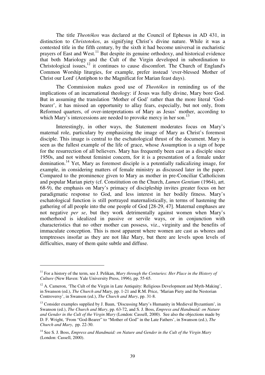The title *Theotókos* was declared at the Council of Ephesus in AD 431, in distinction to *Christotokos*, as signifying Christ's divine nature. While it was a contested title in the fifth century, by the sixth it had become universal in eucharistic prayers of East and West.<sup>11</sup> But despite its genuine orthodoxy, and historical evidence that both Mariology and the Cult of the Virgin developed in subordination to Christological issues, $12$  it continues to cause discomfort. The Church of England's Common Worship liturgies, for example, prefer instead 'ever-blessed Mother of Christ our Lord' (Antiphon to the Magnificat for Marian feast days).

The Commission makes good use of *Theotókos* in reminding us of the implications of an incarnational theology: if Jesus was fully divine, Mary bore God. But in assuming the translation 'Mother of God' rather than the more literal 'Godbearer', it has missed an opportunity to allay fears, especially, but not only, from Reformed quarters, of over-interpretations of Mary as Jesus' mother, according to which Mary's intercessions are needed to provoke mercy in her son.<sup>13</sup>

Interestingly, in other ways, the Statement moderates focus on Mary's maternal role, particulary by emphasizing the image of Mary as Christ's foremost disciple. This image is central to the eschatological thrust of the document. Mary is seen as the fullest example of the life of grace, whose Assumption is a sign of hope for the resurrection of all believers. Mary has frequently been cast as a disciple since 1950s, and not without feminist concern, for it is a presentation of a female under domination.<sup>14</sup> Yet, Mary as foremost disciple is a potentially radicalizing image, for example, in considering matters of female ministry as discussed later in the paper. Compared to the prominence given to Mary as mother in pre-Conciliar Catholicism and popular Marian piety (cf. Constitution on the Church, *Lumen Gentium* (1964), art. 68-9), the emphasis on Mary's primacy of discipleship invites greater focus on her paradigmatic response to God, and less interest in her bodily fitness. Mary's eschatological function is still portrayed maternalistically, in terms of hastening the gathering of all people into the one people of God [28-29, 47]. Maternal emphases are not negative *per se*, but they work detrimentally against women when Mary's motherhood is idealized in passive or servile ways, or in conjunction with characteristics that no other mother can possess, viz., virginity and the benefits of immaculate conception. This is most apparent where women are cast as whores and temptresses insofar as they are not like Mary, but there are levels upon levels of difficulties, many of them quite subtle and diffuse.

<sup>&</sup>lt;sup>11</sup> For a history of the term, see J. Pelikan, *Mary through the Centuries: Her Place in the History of Culture* (New Haven: Yale University Press, 1996), pp. 55-65.

 $12$  A. Cameron, 'The Cult of the Virgin in Late Antiquity: Religious Development and Myth-Making', in Swanson (ed.), *The Church and* Mary, pp. 1-21 and R.M. Price, 'Marian Piety and the Nestorian Controversy', in Swanson (ed.), *The Church and Mary*, pp. 31-8.

<sup>&</sup>lt;sup>13</sup> Consider examples supplied by J. Baun, 'Discussing Mary's Humanity in Medieval Byzantium', in Swanson (ed.), *The Church and Mary*, pp. 63-72, and S. J. Boss, *Empress and Handmaid: on Nature and Gender in the Cult of the Virgin Mary* (London: Cassell, 2000). See also the objections made by D. F. Wright, 'From "God-Bearer" to "Mother of God" in the Late Fathers', in Swanson (ed.), *The Church and Mary*, pp. 22-30.

<sup>14</sup> See S. J. Boss, *Empress and Handmaid: on Nature and Gender in the Cult of the Virgin Mary* (London: Cassell, 2000).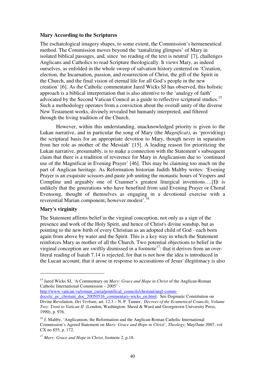#### **Mary According to the Scriptures**

The eschatological imagery shapes, to some extent, the Commission's hermeneutical method. The Commission moves beyond the 'tantalizing glimpses' of Mary in isolated biblical passages, and, since 'no reading of the text is neutral' [7], challenges Anglicans and Catholics to read Scripture theologically. It views Mary, as indeed ourselves, as enfolded in the whole sweep of salvation history centered on 'Creation, election, the Incarnation, passion, and resurrection of Christ, the gift of the Spirit in the Church, and the final vision of eternal life for all God's people in the new creation' [6]. As the Catholic commentator Jared Wicks SJ has observed, this holistic approach is a biblical interpretation that is also attentive to the 'analogy of faith' advocated by the Second Vatican Council as a guide to reflective scriptural studies.<sup>15</sup> Such a methodology operates from a conviction about the overall unity of the diverse New Testament works, divinely revealed but humanly interpreted, and filtered through the living tradition of the Church.

However, within this understanding, unacknowledged priority is given to the Lukan narrative, and in particular the song of Mary (the *Magnificat)*, as 'provid(ing) the scriptural basis for an appropriate devotion to Mary, though never in separation from her role as mother of the Messiah' [15]. A leading reason for prioritizing the Lukan narrative, presumably, is to make a connection with the Statement's subsequent claim that there is a tradition of reverence for Mary in Anglicanism due to 'continued use of the Magnificat in Evening Prayer' [46]. This may be claiming too much on the part of Anglican heritage. As Reformation historian Judith Maltby writes: 'Evening Prayer is an exquisite scissors and paste job uniting the monastic hours of Vespers and Compline and arguably one of Cranmer's greatest liturgical inventions….[I]t is unlikely that the generations who have benefited from said Evening Prayer or Choral Evensong, thought of themselves as engaging in a devotional exercise with a reverential Marian component, however modest'.<sup>16</sup>

#### **Mary's virginity**

 $\overline{a}$ 

The Statement affirms belief in the virginal conception, not only as a sign of the presence and work of the Holy Spirit, and hence of Christ's divine sonship, but as pointing to the new birth of every Christian as an adopted child of God - each born again from above by water and the Spirit. This is a key way in which the Statement reinforces Mary as mother of all the Church. Two potential objections to belief in the virginal conception are swiftly dismissed in a footnote<sup>17</sup>: that it derives from an overliteral reading of Isaiah 7.14 is rejected, for that is not how the idea is introduced in the Lucan account; that it arose in response to accusations of Jesus' illegitimacy is also

http://www.vatican.va/roman\_curia/pontifical\_councils/chrstuni/angl-comm-

<sup>&</sup>lt;sup>15</sup> Jared Wicks SJ, 'A Commentary on *Mary: Grace and Hope in Christ* of the Anglican-Roman Catholic International Commission – 2005' -

docs/rc\_pc\_chrstuni\_doc\_20050516\_commentary-wicks\_en.html. See Dogmatic Constitution on Divine Revelation, *Dei Verbum*, art. 12.3 – N. P. Tanner, *Decrees of the Ecumenical Councils, Volume Two: Trent to Vatican II* (London, Washington: Sheed & Ward and Georgetown University Press, 1990), p. 976.

<sup>&</sup>lt;sup>16</sup> J. Maltby, 'Anglicanism, the Reformation and the Anglican-Roman Catholic International Commission's Agreed Statement on *Mary: Grace and Hope in Christ*', *Theology,* May/June 2007, vol CX no 855, p. 172.

<sup>17</sup> *Mary: Grace and Hope in Christ*, footnote 2, p.18.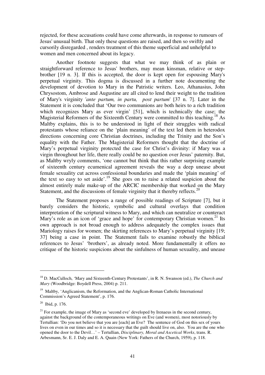rejected, for these accusations could have come afterwards, in response to rumours of Jesus' unusual birth. That only these questions are raised, and then so swiftly and cursorily disregarded , renders treatment of this theme superficial and unhelpful to women and men concerned about its legacy.

 Another footnote suggests that what we may think of as plain or straightforward reference to Jesus' brothers, may mean kinsman, relative or stepbrother [19 n. 3]. If this is accepted, the door is kept open for espousing Mary's perpetual virginity. This dogma is discussed in a further note documenting the development of devotion to Mary in the Patristic writers. Leo, Athanasius, John Chrysostom, Ambrose and Augustine are all cited to lend their weight to the tradition of Mary's virginity '*ante partum, in partu, post partum*' [37 n. 7]. Later in the Statement it is concluded that 'Our two communions are both heirs to a rich tradition which recognizes Mary as ever virgin' [51], which is technically the case; the Magisterial Reformers of the Sixteenth Century were committed to this teaching.<sup>18</sup> As Maltby explains, this is to be understood in light of their struggles with radical protestants whose reliance on the 'plain meaning' of the text led them in heterodox directions concerning core Christian doctrines, including the Trinity and the Son's equality with the Father. The Magisterial Reformers thought that the doctrine of Mary's perpetual virginity protected the case for Christ's divinity: if Mary was a virgin throughout her life, there really could be no question over Jesus' paternity. But, as Maltby wryly comments, 'one cannot but think that this rather surprising example of sixteenth century ecumenical agreement reveals the way a deep unease about female sexuality cut across confessional boundaries and made the 'plain meaning' of the text so easy to set aside'.<sup>19</sup> She goes on to raise a related suspicion about the almost entirely male make-up of the ARCIC membership that worked on the Mary Statement, and the discussions of female virginity that it thereby reflects.<sup>20</sup>

The Statement proposes a range of possible readings of Scripture [7], but it barely considers the historic, symbolic and cultural overlays that condition interpretation of the scriptural witness to Mary, and which can neutralize or counteract Mary's role as an icon of 'grace and hope' for contemporary Christian women.<sup>21</sup> Its own approach is not broad enough to address adequately the complex issues that Mariology raises for women; the skirting references to Mary's perpetual virginity [19; 37] being a case in point. The Statement fails to examine robustly the biblical references to Jesus' 'brothers', as already noted. More fundamentally it offers no critique of the historic suspicions about the sinfulness of human sexuality, and unease

<sup>18</sup> D. MacCulloch, 'Mary and Sixteenth-Century Protestants', in R. N. Swanson (ed.), *The Church and Mary* (Woodbridge: Boydell Press, 2004) p. 211.

<sup>&</sup>lt;sup>19</sup> Maltby, 'Anglicanism, the Reformation, and the Anglican-Roman Catholic International Commission's Agreed Statement', p. 176.

 $20$  Ibid, p. 176.

 $21$  For example, the image of Mary as 'second eve' developed by Irenaeus in the second century, against the background of the contemporaneous writings on Eve (and women), most notoriously by Tertullian: 'Do you not believe that you are [each] an Eve? The sentence of God on this sex of yours lives on even in our times and so it is necessary that the guilt should live on, also. You are the one who opened the door to the Devil…' – Tertullian, *Disciplinary, Moral and Ascetical Works*, trans. R. Arbesmann, Sr. E. J. Daly and E. A. Quain (New York: Fathers of the Church, 1959), p. 118.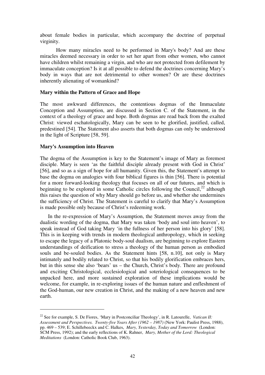about female bodies in particular, which accompany the doctrine of perpetual virginity.

How many miracles need to be performed in Mary's body? And are these miracles deemed necessary in order to set her apart from other women, who cannot have children whilst remaining a virgin, and who are not protected from defilement by immaculate conception? Is it at all possible to defend the doctrines concerning Mary's body in ways that are not detrimental to other women? Or are these doctrines inherently alienating of womankind?

#### **Mary within the Pattern of Grace and Hope**

The most awkward differences, the contentious dogmas of the Immaculate Conception and Assumption, are discussed in Section C. of the Statement, in the context of a theology of grace and hope. Both dogmas are read back from the exalted Christ: viewed eschatologically, Mary can be seen to be glorified, justified, called, predestined [54]. The Statement also asserts that both dogmas can only be understood in the light of Scripture [58, 59].

#### **Mary's Assumption into Heaven**

 $\overline{a}$ 

The dogma of the Assumption is key to the Statement's image of Mary as foremost disciple. Mary is seen 'as the faithful disciple already present with God in Christ' [56], and so as a sign of hope for all humanity. Given this, the Statement's attempt to base the dogma on analogies with four biblical figures is thin [56]. There is potential for a more forward-looking theology that focuses on all of our futures, and which is beginning to be explored in some Catholic circles following the Council, $^{22}$  although this raises the question of why Mary should go before us, and whether she undermines the sufficiency of Christ. The Statement is careful to clarify that Mary's Assumption is made possible only because of Christ's redeeming work.

 In the re-expression of Mary's Assumption, the Statement moves away from the dualistic wording of the dogma, that Mary was taken 'body and soul into heaven', to speak instead of God taking Mary 'in the fullness of her person into his glory' [58]. This is in keeping with trends in modern theological anthropology, which in seeking to escape the legacy of a Platonic body-soul dualism, are beginning to explore Eastern understandings of deification to stress a theology of the human person as embodied souls and be-souled bodies. As the Statement hints [58, n.10], not only is Mary intimately and bodily related to Christ, so that his bodily glorification embraces hers, but in this sense she also 'bears' us – the Church, Christ's body. There are profound and exciting Christological, ecclesiological and soteriological consequences to be unpacked here, and more sustained exploration of these implications would be welcome, for example, in re-exploring issues of the human nature and enfleshment of the God-human, our new creation in Christ, and the making of a new heaven and new earth.

<sup>&</sup>lt;sup>22</sup> See for example, S. De Fiores, 'Mary in Postconciliar Theology', in R. Latourelle, *Vatican II: Assessment and Perspectives. Twenty-five Years After (1962 – 1987)* (New York: Paulist Press, 1988), pp. 469 – 539; E. Schillebeeckx and C. Halkes, *Mary, Yesterday, Today and Tomorrow* (London: SCM Press, 1992); and the early reflections of K. Rahner, *Mary, Mother of the Lord: Theological Meditations* (London: Catholic Book Club, 1963).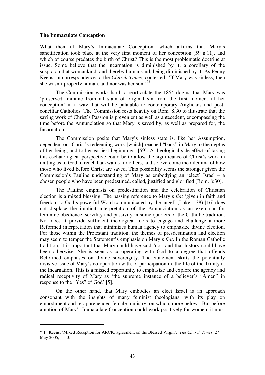#### **The Immaculate Conception**

 $\overline{a}$ 

What then of Mary's Immaculate Conception, which affirms that Mary's sanctification took place at the very first moment of her conception [59 n.11], and which of course predates the birth of Christ? This is the most problematic doctrine at issue. Some believe that the incarnation is diminished by it; a corollary of the suspicion that womankind, and thereby humankind, being diminished by it. As Penny Keens, in correspondence to the *Church Times,* contested: 'If Mary was sinless, then she wasn't properly human, and nor was her son.<sup>23</sup>

The Commission works hard to rearticulate the 1854 dogma that Mary was 'preserved immune from all stain of original sin from the first moment of her conception' in a way that will be palatable to contemporary Anglicans and postconciliar Catholics. The Commission rests heavily on Rom. 8.30 to illustrate that the saving work of Christ's Passion is prevenient as well as antecedent, encompassing the time before the Annunciation so that Mary is saved by, as well as prepared for, the Incarnation.

The Commission posits that Mary's sinless state is, like her Assumption, dependent on 'Christ's redeeming work [which] reached "back" in Mary to the depths of her being, and to her earliest beginnings' [59]. A theological side-effect of taking this eschatological perspective could be to allow the significance of Christ's work in uniting us to God to reach backwards for others, and so overcome the dilemma of how those who lived before Christ are saved. This possibility seems the stronger given the Commission's Pauline understanding of Mary as embodying an 'elect' Israel – a chosen people who have been predestined, called, justified and glorified (Rom. 8:30).

The Pauline emphasis on predestination and the celebration of Christian election is a mixed blessing. The passing reference to Mary's *fiat* 'given in faith and freedom to God's powerful Word communicated by the angel' (Luke 1:38) [16] does not displace the implicit interpretation of the Annunciation as an exemplar for feminine obedience, servility and passivity in some quarters of the Catholic tradition. Nor does it provide sufficient theological tools to engage and challenge a more Reformed interpretation that minimizes human agency to emphasize divine election. For those within the Protestant tradition, the themes of presdestination and election may seem to temper the Statement's emphasis on Mary's *fiat*. In the Roman Catholic tradition, it is important that Mary could have said 'no', and that history could have been otherwise. She is seen as co-operating with God to a degree that offends Reformed emphases on divine sovereignty. The Statement skirts the potentially divisive issue of Mary's co-operation with, or participation in, the life of the Trinity at the Incarnation. This is a missed opportunity to emphasize and explore the agency and radical receptivity of Mary as 'the supreme instance of a believer's "Amen" in response to the "Yes" of God' [5].

 On the other hand, that Mary embodies an elect Israel is an approach consonant with the insights of many feminist theologians, with its play on embodiment and re-apprehended female ministry, on which, more below. But before a notion of Mary's Immaculate Conception could work positively for women, it must

<sup>23</sup> P. Keens, 'Mixed Reception for ARCIC agreement on the Blessed Virgin', *The Church Times*, 27 May 2005, p. 13.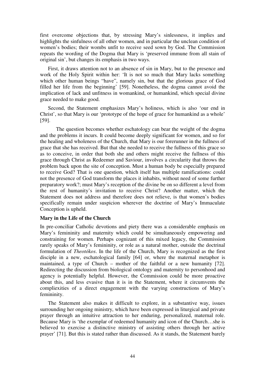first overcome objections that, by stressing Mary's sinlessness, it implies and highlights the sinfulness of all other women, and in particular the unclean condition of women's bodies; their wombs unfit to receive seed sown by God. The Commission repeats the wording of the Dogma that Mary is 'preserved immune from all stain of original sin', but changes its emphasis in two ways.

 First, it draws attention not to an absence of sin in Mary, but to the presence and work of the Holy Spirit within her: 'It is not so much that Mary lacks something which other human beings "have", namely sin, but that the glorious grace of God filled her life from the beginning' [59]. Nonetheless, the dogma cannot avoid the implication of lack and unfitness in womankind, or humankind, which special divine grace needed to make good.

 Second, the Statement emphasizes Mary's holiness, which is also 'our end in Christ', so that Mary is our 'prototype of the hope of grace for humankind as a whole' [59].

 The question becomes whether eschatology can bear the weight of the dogma and the problems it incurs. It could become deeply significant for women, and so for the healing and wholeness of the Church, that Mary is our forerunner in the fullness of grace that she has received. But that she needed to receive the fullness of this grace so as to conceive, in order that both she and others might receive the fullness of this grace through Christ as Redeemer and Saviour, involves a circularity that throws the problem back upon the site of conception. Must a human body be especially prepared to receive God? That is one question, which itself has multiple ramifications: could not the presence of God transform the places it inhabits, without need of some further preparatory work?; must Mary's reception of the divine be on so different a level from the rest of humanity's invitation to receive Christ? Another matter, which the Statement does not address and therefore does not relieve, is that women's bodies specifically remain under suspicion wherever the doctrine of Mary's Immaculate Conception is upheld.

## **Mary in the Life of the Church**

In pre-conciliar Catholic devotions and piety there was a considerable emphasis on Mary's femininity and maternity which could be simultaneously empowering and constraining for women. Perhaps cognizant of this mixed legacy, the Commission rarely speaks of Mary's femininity, or role as a natural mother, outside the doctrinal formulation of *Theotókos*. In the life of the Church, Mary is recognized as the first disciple in a new, eschatological family [64] or, where the maternal metaphor is maintained, a type of Church – mother of the faithful or a new humanity [72]. Redirecting the discussion from biological ontology and maternity to personhood and agency is potentially helpful. However, the Commission could be more proactive about this, and less evasive than it is in the Statement, where it circumvents the compliexities of a direct engagement with the varying constructions of Mary's femininity.

 The Statement also makes it difficult to explore, in a substantive way, issues surrounding her ongoing ministry, which have been expressed in liturgical and private prayer through an intuitive attraction to her enduring, personalized, maternal role. Because Mary is 'the exemplar of redeemed humanity and icon of the Church…she is believed to exercise a distinctive ministry of assisting others through her active prayer' [71]. But this is stated rather than discussed. As it stands, the Statement barely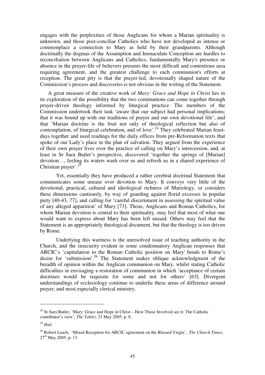engages with the perplexities of those Anglicans for whom a Marian spirituality is unknown, and those post-conciliar Catholics who have not developed as intense or commonplace a connection to Mary as held by their grandparents. Although doctrinally the dogmas of the Assumption and Immaculate Conception are hurdles to reconciliation between Anglicans and Catholics, fundamentally Mary's presence or absence in the prayer-life of believers presents the most difficult and contentious area requiring agreement, and the greatest challenge to each communion's efforts at reception. The great pity is that the prayer-led, devotionally shaped nature of the Commission's process and discoveries is not obvious in the writing of the Statement.

 A great measure of the creative work of *Mary: Grace and Hope in Christ* lies in its exploration of the possibility that the two communions can come together through prayer-driven theology informed by liturgical practice. The members of the Commission undertook their task 'aware that our subject had personal implications; that it was bound up with our traditions of prayer and our own devotional life', and that 'Marian doctrine is the fruit not only of theological reflection but also of contemplation, of liturgical celebration, and of love'.<sup>24</sup> They celebrated Marian feastdays together and used readings for the daily offices from pre-Reformation texts that spoke of our Lady's place in the plan of salvation. They argued from the experience of their own prayer lives over the practice of calling on Mary's intercession, and, at least in Sr Sara Butler's perspective, discovered 'together the springs of [Marian] devotion…, feeling its waters wash over us and refresh us in a shared experience of Christian prayer'.<sup>25</sup>

 Yet, essentially they have produced a rather cerebral doctrinal Statement that communicates some unease over devotion to Mary. It conveys very little of the devotional, practical, cultural and ideological richness of Mariology, or considers these dimensions cautiously, by way of guarding against florid excesses in popular piety [40-43, 77], and calling for 'careful discernment in assessing the spiritual value of any alleged apparition' of Mary [73]. Those, Anglicans and Roman Catholics, for whom Marian devotion is central to their spirituality, may feel that most of what one would want to express about Mary has been left unsaid. Others may feel that the Statement is an appropriately theological document, but that the theology is too driven by Rome.

 Underlying this wariness is the unresolved issue of teaching authority in the Church, and the insecurity evident in some condemnatory Anglican responses that ARCIC's 'capitulation to the Roman Catholic position on Mary' bends to Rome's desire for 'submission'.<sup>26</sup> The Statement makes oblique acknowledgment of the breadth of opinion within the Anglican communion on Mary, whilst stating Catholic difficulties in envisaging a restoration of communion in which 'acceptance of certain doctrines would be requisite for some and not for others' [63]. Divergent understandings of ecclesiology continue to underlie these areas of difference around prayer, and most especially clerical ministry.

 $24$  Sr Sara Butler, 'Mary: Grace and Hope in Christ – How Those Involved see it: The Catholic contributor's view', *The Tablet*, 21 May 2005, p. 8.

<sup>25</sup> *Ibid*.

<sup>26</sup> Robert Leach, 'Mixed Reception for ARCIC agreement on the Blessed Virgin', *The Church Times*,  $27<sup>th</sup>$  May 2005, p. 13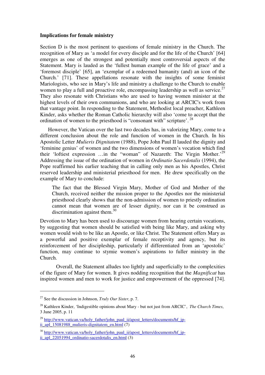#### **Implications for female ministry**

Section D is the most pertinent to questions of female ministry in the Church. The recognition of Mary as 'a model for every disciple and for the life of the Church' [64] emerges as one of the strongest and potentially most controversial aspects of the Statement. Mary is lauded as the 'fullest human example of the life of grace' and a 'foremost disciple' [65], an 'exemplar of a redeemed humanity (and) an icon of the Church.' [71]. These appellations resonate with the insights of some feminist Mariologists, who see in Mary's life and ministry a challenge to the Church to enable women to play a full and proactive role, encompassing leadership as well as service.<sup>27</sup> They also resonate with Christians who are used to having women minister at the highest levels of their own communions, and who are looking at ARCIC's work from that vantage point. In responding to the Statement, Methodist local preacher, Kathleen Kinder, asks whether the Roman Catholic hierarchy will also 'come to accept that the ordination of women to the priesthood is "consonant with" scripture'.<sup>28</sup>

 However, the Vatican over the last two decades has, in valorizing Mary, come to a different conclusion about the role and function of women in the Church. In his Apostolic Letter *Mulieris Dignitatem* (1988), Pope John Paul II lauded the dignity and 'feminine genius' of women and the two dimensions of women's vocation which find their 'loftiest expression ...in the "woman" of Nazareth: The Virgin Mother.<sup>29</sup> Addressing the issue of the ordination of women in *Ordinatio Sacerdotalis* (1994), the Pope reaffirmed his earlier teaching that in calling only men as his Apostles, Christ reserved leadership and ministerial priesthood for men. He drew specifically on the example of Mary to conclude:

The fact that the Blessed Virgin Mary, Mother of God and Mother of the Church, received neither the mission proper to the Apostles nor the ministerial priesthood clearly shows that the non-admission of women to priestly ordination cannot mean that women are of lesser dignity, nor can it be construed as discrimination against them. $30<sup>30</sup>$ 

Devotion to Mary has been used to discourage women from hearing certain vocations, by suggesting that women should be satisfied with being like Mary, and asking why women would wish to be like an Apostle, or like Christ. The Statement offers Mary as a powerful and positive exemplar of female receptivity and agency, but its reinforcement of her discipleship, particularly if differentiated from an 'apostolic' function, may continue to stymie women's aspirations to fuller ministry in the Church.

Overall, the Statement alludes too lightly and superficially to the complexities of the figure of Mary for women. It gives nodding recognition that the *Magnificat* has inspired women and men to work for justice and empowerment of the oppressed [74].

<sup>27</sup> See the discussion in Johnson, *Truly Our Sister*, p. 7.

<sup>28</sup> Kathleen Kinder, 'Indigestible opinions about Mary - but not just from ARCIC', *The Church Times*, 3 June 2005, p. 11

 $^{29}$  http://www.vatican.va/holy\_father/john\_paul\_ii/apost\_letters/documents/hf\_jpii\_apl\_15081988\_mulieris-dignitatem\_en.html  $(7)$ 

 $30$  http://www.vatican.va/holy father/john paul ii/apost letters/documents/hf jpii apl  $22051994$  ordinatio-sacerdotalis en.html (3)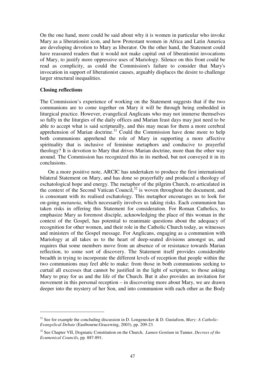On the one hand, more could be said about why it is women in particular who invoke Mary as a liberationist icon, and how Protestant women in Africa and Latin America are developing devotion to Mary as liberator. On the other hand, the Statement could have reassured readers that it would not make capital out of liberationist invocations of Mary, to justify more oppressive uses of Mariology. Silence on this front could be read as complicity, as could the Commission's failure to consider that Mary's invocation in support of liberationist causes, arguably displaces the desire to challenge larger structural inequalities.

#### **Closing reflections**

 $\overline{a}$ 

The Commission's experience of working on the Statement suggests that if the two communions are to come together on Mary it will be through being embedded in liturgical practice. However, evangelical Anglicans who may not immerse themselves so fully in the liturgies of the daily offices and Marian feast days may just need to be able to accept what is said scripturally, and this may mean for them a more cerebral apprehension of Marian doctrine.<sup>31</sup> Could the Commission have done more to help both communions apprehend the role of Mary in supporting a more affective spirituality that is inclusive of feminine metaphors and conducive to prayerful theology? It is devotion to Mary that drives Marian doctrine, more than the other way around. The Commission has recognized this in its method, but not conveyed it in its conclusions.

 On a more positive note, ARCIC has undertaken to produce the first international bilateral Statement on Mary, and has done so prayerfully and produced a theology of eschatological hope and energy. The metaphor of the pilgrim Church, re-articulated in the context of the Second Vatican Council,  $32$  is woven throughout the document, and is consonant with its realised eschatology. This metaphor encourages us to look for on-going *metanoia*, which necessarily involves us taking risks. Each communion has taken risks in offering this Statement for consideration. For Roman Catholics, to emphasize Mary as foremost disciple, acknowledging the place of this woman in the context of the Gospel, has potential to reanimate questions about the adequacy of recognition for other women, and their role in the Catholic Church today, as witnesses and ministers of the Gospel message. For Anglicans, engaging as a communion with Mariology at all takes us to the heart of deep-seated divisions amongst us, and requires that some members move from an absence of or resistance towards Marian reflection, to some sort of discovery. The Statement itself provides considerable breadth in trying to incorporate the different levels of reception that people within the two communions may feel able to make: from those in both communions seeking to curtail all excesses that cannot be justified in the light of scripture, to those asking Mary to pray for us and the life of the Church. But it also provides an invitation for movement in this personal reception – in discovering more about Mary, we are drawn deeper into the mystery of her Son, and into communion with each other as the Body

<sup>31</sup> See for example the concluding discussion in D. Longenecker & D. Gustafson, *Mary: A Catholic-Evangelical Debate* (Eastbourne:Gracewing, 2003), pp. 209-23.

<sup>32</sup> See Chapter VII, Dogmatic Constitution on the Church, *Lumen Gentium* in Tanner, *Decrees of the Ecumenical Councils*, pp. 887-891.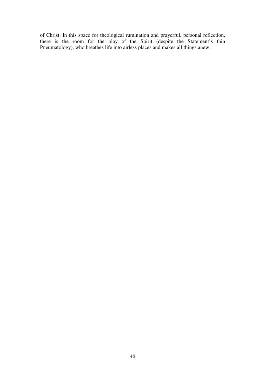of Christ. In this space for theological rumination and prayerful, personal reflection, there is the room for the play of the Spirit (despite the Statement's thin Pneumatology), who breathes life into airless places and makes all things anew.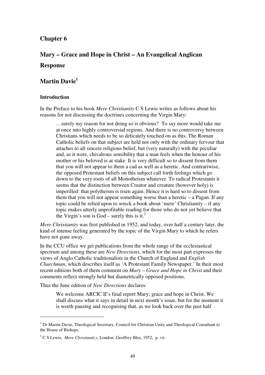# **Chapter 6**

# **Mary – Grace and Hope in Christ – An Evangelical Anglican**

# **Response**

# **Martin Davie<sup>1</sup>**

# **Introduction**

 $\overline{a}$ 

In the Preface to his book *Mere Christianity* C S Lewis writes as follows about his reasons for not discussing the doctrines concerning the Virgin Mary:

…surely my reason for not doing so is obvious? To say more would take me at once into highly controversial regions. And there is no controversy between Christians which needs to be so delicately touched on as this. The Roman Catholic beliefs on that subject are held not only with the ordinary fervour that attaches to all sincere religious belief, but (very naturally) with the peculiar and, as it were, chivalrous sensibility that a man feels when the honour of his mother or his beloved is at stake. It is very difficult so to dissent from them that you will not appear to them a cad as well as a heretic. And contrariwise, the opposed Protestant beliefs on this subject call forth feelings which go down to the very roots of all Monotheism whatever. To radical Protestants it seems that the distinction between Creator and creature (however holy) is imperilled: that polytheism is risen again. Hence it is hard so to dissent from them that you will not appear something worse than a heretic  $-$  a Pagan. If any topic could be relied upon to wreck a book about 'mere' Christianity – if any topic makes utterly unprofitable reading for those who do not yet believe that the Virgin's son is  $God$  – surely this is it.<sup>2</sup>

*Mere Christianity* was first published in 1952, and today, over half a century later, the kind of intense feeling generated by the topic of the Virgin Mary to which he refers have not gone away.

In the CCU office we get publications from the whole range of the ecclesiastical spectrum and among these are *New Directions*, which for the most part expresses the views of Anglo Catholic traditionalists in the Church of England and *English Churchman*, which describes itself as 'A Protestant Family Newspaper.' In their most recent editions both of them comment on *Mary – Grace and Hope in Christ* and their comments reflect strongly held but diametrically opposed positions.

Thus the June edition of *New Directions* declares:

We welcome ARCIC II's final report Mary; grace and hope in Christ. We shall discuss what it says in detail in next month's issue, but for the moment it is worth pausing and recognising that, as we look back over the past half

<sup>&</sup>lt;sup>1</sup> Dr Martin Davie, Theological Secretary, Council for Christian Unity and Theological Consultant to the House of Bishops.

<sup>2</sup> C S Lewis, *Mere Christianit,y*, London: Geoffrey Bles, 1952, p. vii .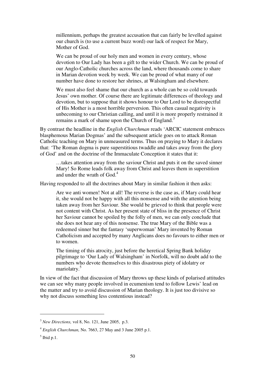millennium, perhaps the greatest accusation that can fairly be levelled against our church is (to use a current buzz word) our lack of respect for Mary, Mother of God.

We can be proud of our holy men and women in every century, whose devotion to Our Lady has been a gift to the wider Church. We can be proud of our Anglo-Catholic churches across the land, where thousands come to share in Marian devotion week by week. We can be proud of what many of our number have done to restore her shrines, at Walsingham and elsewhere.

We must also feel shame that our church as a whole can be so cold towards Jesus' own mother. Of course there are legitimate differences of theology and devotion, but to suppose that it shows honour to Our Lord to be disrespectful of His Mother is a most horrible perversion. This often casual negativity is unbecoming to our Christian calling, and until it is more properly restrained it remains a mark of shame upon the Church of England.<sup>3</sup>

By contrast the headline in the *English Churchman* reads 'ARCIC statement embraces blasphemous Marian Dogmas' and the subsequent article goes on to attack Roman Catholic teaching on Mary in unmeasured terms. Thus on praying to Mary it declares that: 'The Roman dogma is pure superstitious twaddle and takes away from the glory of God' and on the doctrine of the Immaculate Conception it states that it:

…takes attention away from the saviour Christ and puts it on the saved sinner Mary! So Rome leads folk away from Christ and leaves them in superstition and under the wrath of God.<sup>4</sup>

Having responded to all the doctrines about Mary in similar fashion it then asks:

Are we anti women! Not at all! The reverse is the case as, if Mary could hear it, she would not be happy with all this nonsense and with the attention being taken away from her Saviour. She would be grieved to think that people were not content with Christ. As her present state of bliss in the presence of Christ her Saviour cannot be spoiled by the folly of men, we can only conclude that she does not hear any of this nonsense. The true Mary of the Bible was a redeemed sinner but the fantasy 'superwoman' Mary invented by Roman Catholicism and accepted by many Anglicans does no favours to either men or to women.

The timing of this atrocity, just before the heretical Spring Bank holiday pilgrimage to 'Our Lady of Walsingham' in Norfolk, will no doubt add to the numbers who devote themselves to this disastrous piety of idolatry or mariolatry.<sup>5</sup>

In view of the fact that discussion of Mary throws up these kinds of polarised attitudes we can see why many people involved in ecumenism tend to follow Lewis' lead on the matter and try to avoid discussion of Marian theology. It is just too divisive so why not discuss something less contentious instead?

<sup>3</sup> *New Directions,* vol 8, No. 121, June 2005, p.3.

<sup>4</sup> *English Churchman,* No. 7663, 27 May and 3 June 2005 p.1.

 $<sup>5</sup>$  Ibid p.1.</sup>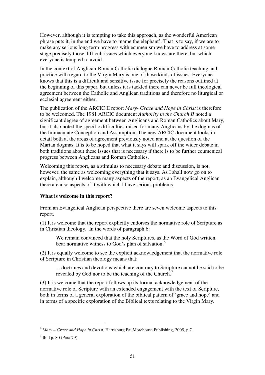However, although it is tempting to take this approach, as the wonderful American phrase puts it, in the end we have to 'name the elephant'. That is to say, if we are to make any serious long term progress with ecumenism we have to address at some stage precisely those difficult issues which everyone knows are there, but which everyone is tempted to avoid.

In the context of Anglican-Roman Catholic dialogue Roman Catholic teaching and practice with regard to the Virgin Mary is one of those kinds of issues. Everyone knows that this is a difficult and sensitive issue for precisely the reasons outlined at the beginning of this paper, but unless it is tackled there can never be full theological agreement between the Catholic and Anglican traditions and therefore no liturgical or ecclesial agreement either.

The publication of the ARCIC II report *Mary- Grace and Hope in Christ* is therefore to be welcomed. The 1981 ARCIC document *Authority in the Church II* noted a significant degree of agreement between Anglicans and Roman Catholics about Mary, but it also noted the specific difficulties raised for many Anglicans by the dogmas of the Immaculate Conception and Assumption. The new ARCIC document looks in detail both at the areas of agreement previously noted and at the question of the Marian dogmas. It is to be hoped that what it says will spark off the wider debate in both traditions about these issues that is necessary if there is to be further ecumenical progress between Anglicans and Roman Catholics.

Welcoming this report, as a stimulus to necessary debate and discussion, is not, however, the same as welcoming everything that it says. As I shall now go on to explain, although I welcome many aspects of the report, as an Evangelical Anglican there are also aspects of it with which I have serious problems.

# **What is welcome in this report?**

From an Evangelical Anglican perspective there are seven welcome aspects to this report.

(1) It is welcome that the report explicitly endorses the normative role of Scripture as in Christian theology. In the words of paragraph 6:

We remain convinced that the holy Scriptures, as the Word of God written, bear normative witness to God's plan of salvation.<sup>6</sup>

(2) It is equally welcome to see the explicit acknowledgement that the normative role of Scripture in Christian theology means that:

…doctrines and devotions which are contrary to Scripture cannot be said to be revealed by God nor to be the teaching of the Church.<sup>7</sup>

(3) It is welcome that the report follows up its formal acknowledgement of the normative role of Scripture with an extended engagement with the text of Scripture, both in terms of a general exploration of the biblical pattern of 'grace and hope' and in terms of a specific exploration of the Biblical texts relating to the Virgin Mary.

<sup>6</sup> *Mary – Grace and Hope in Christ*, Harrisburg Pa:,Morehouse Publishing, 2005, p.7.

 $<sup>7</sup>$  Ibid p. 80 (Para 79).</sup>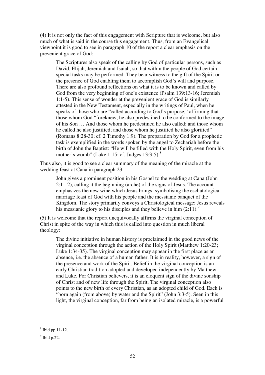(4) It is not only the fact of this engagement with Scripture that is welcome, but also much of what is said in the course this engagement. Thus, from an Evangelical viewpoint it is good to see in paragraph 10 of the report a clear emphasis on the prevenient grace of God:

The Scriptures also speak of the calling by God of particular persons, such as David, Elijah, Jeremiah and Isaiah, so that within the people of God certain special tasks may be performed. They bear witness to the gift of the Spirit or the presence of God enabling them to accomplish God's will and purpose. There are also profound reflections on what it is to be known and called by God from the very beginning of one's existence (Psalm 139:13-16; Jeremiah 1:1-5). This sense of wonder at the prevenient grace of God is similarly attested in the New Testament, especially in the writings of Paul, when he speaks of those who are "called according to God's purpose," affirming that those whom God "foreknew, he also predestined to be conformed to the image of his Son … And those whom he predestined he also called; and those whom he called he also justified; and those whom he justified he also glorified" (Romans 8:28-30; cf. 2 Timothy 1:9). The preparation by God for a prophetic task is exemplified in the words spoken by the angel to Zechariah before the birth of John the Baptist: "He will be filled with the Holy Spirit, even from his mother's womb" (Luke 1:15; cf. Judges  $13:3-5$ ).<sup>8</sup>

Thus also, it is good to see a clear summary of the meaning of the miracle at the wedding feast at Cana in paragraph 23:

John gives a prominent position in his Gospel to the wedding at Cana (John 2:1-12), calling it the beginning (arche) of the signs of Jesus. The account emphasizes the new wine which Jesus brings, symbolising the eschatological marriage feast of God with his people and the messianic banquet of the Kingdom. The story primarily conveys a Christological message: Jesus reveals his messianic glory to his disciples and they believe in him  $(2:11)$ .<sup>9</sup>

(5) It is welcome that the report unequivocally affirms the virginal conception of Christ in spite of the way in which this is called into question in much liberal theology:

The divine initiative in human history is proclaimed in the good news of the virginal conception through the action of the Holy Spirit (Matthew 1:20-23; Luke 1:34-35). The virginal conception may appear in the first place as an absence, i.e. the absence of a human father. It is in reality, however, a sign of the presence and work of the Spirit. Belief in the virginal conception is an early Christian tradition adopted and developed independently by Matthew and Luke. For Christian believers, it is an eloquent sign of the divine sonship of Christ and of new life through the Spirit. The virginal conception also points to the new birth of every Christian, as an adopted child of God. Each is "born again (from above) by water and the Spirit" (John 3:3-5). Seen in this light, the virginal conception, far from being an isolated miracle, is a powerful

<sup>8</sup> Ibid pp.11-12.

 $<sup>9</sup>$  Ibid p.22.</sup>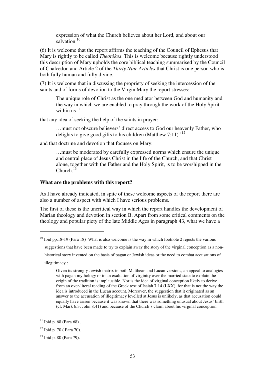expression of what the Church believes about her Lord, and about our salvation $10$ 

(6) It is welcome that the report affirms the teaching of the Council of Ephesus that Mary is rightly to be called *Theot*ό*kos*. This is welcome because rightly understood this description of Mary upholds the core biblical teaching summarised by the Council of Chalcedon and Article 2 of the *Thirty Nine Articles* that Christ is one person who is both fully human and fully divine.

(7) It is welcome that in discussing the propriety of seeking the intercession of the saints and of forms of devotion to the Virgin Mary the report stresses:

The unique role of Christ as the one mediator between God and humanity and the way in which we are enabled to pray through the work of the Holy Spirit within us  $11$ 

that any idea of seeking the help of the saints in prayer:

…must not obscure believers' direct access to God our heavenly Father, who delights to give good gifts to his children (Matthew  $7:11$ ).<sup>'12</sup>

and that doctrine and devotion that focuses on Mary:

…must be moderated by carefully expressed norms which ensure the unique and central place of Jesus Christ in the life of the Church, and that Christ alone, together with the Father and the Holy Spirit, is to be worshipped in the  $Church$ <sup>1</sup>

#### **What are the problems with this report?**

As I have already indicated, in spite of these welcome aspects of the report there are also a number of aspect with which I have serious problems.

The first of these is the uncritical way in which the report handles the development of Marian theology and devotion in section B. Apart from some critical comments on the theology and popular piety of the late Middle Ages in paragraph 43, what we have a

suggestions that have been made to try to explain away the story of the virginal conception as a non-

historical story invented on the basis of pagan or Jewish ideas or the need to combat accusations of

illegitimacy :

 $10$  Ibid pp.18-19 (Para 18) What is also welcome is the way in which footnote 2 rejects the various

Given its strongly Jewish matrix in both Matthean and Lucan versions, an appeal to analogies with pagan mythology or to an exaltation of virginity over the married state to explain the origin of the tradition is implausible. Nor is the idea of virginal conception likely to derive from an over-literal reading of the Greek text of Isaiah 7:14 (LXX), for that is not the way the idea is introduced in the Lucan account. Moreover, the suggestion that it originated as an answer to the accusation of illegitimacy levelled at Jesus is unlikely, as that accusation could equally have arisen because it was known that there was something unusual about Jesus' birth (cf. Mark 6:3; John 8:41) and because of the Church's claim about his virginal conception.

 $11$  Ibid p. 68 (Para 68).

 $12$  Ibid p. 70 ( Para 70).

<sup>13</sup> Ibid p. 80 (Para 79).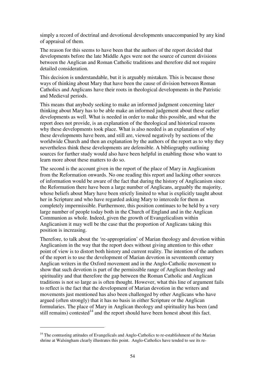simply a record of doctrinal and devotional developments unaccompanied by any kind of appraisal of them.

The reason for this seems to have been that the authors of the report decided that developments before the late Middle Ages were not the source of current divisions between the Anglican and Roman Catholic traditions and therefore did not require detailed consideration.

This decision is understandable, but it is arguably mistaken. This is because those ways of thinking about Mary that have been the cause of division between Roman Catholics and Anglicans have their roots in theological developments in the Patristic and Medieval periods.

This means that anybody seeking to make an informed judgment concerning later thinking about Mary has to be able make an informed judgement about these earlier developments as well. What is needed in order to make this possible, and what the report does not provide, is an explanation of the theological and historical reasons why these developments took place. What is also needed is an explanation of why these developments have been, and still are, viewed negatively by sections of the worldwide Church and then an explanation by the authors of the report as to why they nevertheless think these developments are defensible. A bibliography outlining sources for further study would also have been helpful in enabling those who want to learn more about these matters to do so.

The second is the account given in the report of the place of Mary in Anglicanism from the Reformation onwards. No one reading this report and lacking other sources of information would be aware of the fact that during the history of Anglicanism since the Reformation there have been a large number of Anglicans, arguably the majority, whose beliefs about Mary have been strictly limited to what is explicitly taught about her in Scripture and who have regarded asking Mary to intercede for them as completely impermissible. Furthermore, this position continues to be held by a very large number of people today both in the Church of England and in the Anglican Communion as whole. Indeed, given the growth of Evangelicalism within Anglicanism it may well be the case that the proportion of Anglicans taking this position is increasing.

Therefore, to talk about the 're-appropriation' of Marian theology and devotion within Anglicanism in the way that the report does without giving attention to this other point of view is to distort both history and current reality. The intention of the authors of the report is to use the development of Marian devotion in seventeenth century Anglican writers in the Oxford movement and in the Anglo-Catholic movement to show that such devotion is part of the permissible range of Anglican theology and spirituality and that therefore the gap between the Roman Catholic and Anglican traditions is not so large as is often thought. However, what this line of argument fails to reflect is the fact that the development of Marian devotion in the writers and movements just mentioned has also been challenged by other Anglicans who have argued (often strongly) that it has no basis in either Scripture or the Anglican formularies. The place of Mary in Anglican theology and spirituality has been (and still remains) contested<sup>14</sup> and the report should have been honest about this fact.

<sup>&</sup>lt;sup>14</sup> The contrasting attitudes of Evangelicals and Anglo-Catholics to re-establishment of the Marian shrine at Walsingham clearly illustrates this point. Anglo-Catholics have tended to see its re-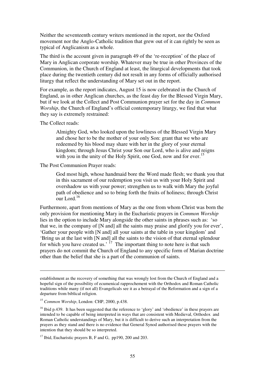Neither the seventeenth century writers mentioned in the report, nor the Oxford movement nor the Anglo-Catholic tradition that grew out of it can rightly be seen as typical of Anglicanism as a whole.

The third is the account given in paragraph 49 of the 're-reception' of the place of Mary in Anglican corporate worship. Whatever may be true in other Provinces of the Communion, in the Church of England at least, the liturgical developments that took place during the twentieth century did not result in any forms of officially authorised liturgy that reflect the understanding of Mary set out in the report.

For example, as the report indicates, August 15 is now celebrated in the Church of England, as in other Anglican churches, as the feast day for the Blessed Virgin Mary, but if we look at the Collect and Post Communion prayer set for the day in *Common Worship*, the Church of England's official contemporary liturgy, we find that what they say is extremely restrained:

The Collect reads:

 $\overline{a}$ 

Almighty God, who looked upon the lowliness of the Blessed Virgin Mary and chose her to be the mother of your only Son: grant that we who are redeemed by his blood may share with her in the glory of your eternal kingdom; through Jesus Christ your Son our Lord, who is alive and reigns with you in the unity of the Holy Spirit, one God, now and for ever.<sup>15</sup>

The Post Communion Prayer reads:

God most high, whose handmaid bore the Word made flesh; we thank you that in this sacrament of our redemption you visit us with your Holy Spirit and overshadow us with your power; strengthen us to walk with Mary the joyful path of obedience and so to bring forth the fruits of holiness; through Christ our Lord. $16$ 

Furthermore, apart from mentions of Mary as the one from whom Christ was born the only provision for mentioning Mary in the Eucharistic prayers in *Common Worship* lies in the option to include Mary alongside the other saints in phrases such as: 'so that we, in the company of [N and] all the saints may praise and glorify you for ever', 'Gather your people with [N and] all your saints at the table in your kingdom' and 'Bring us at the last with [N and] all the saints to the vision of that eternal splendour for which you have created us.'  $17$  The important thing to note here is that such prayers do not commit the Church of England to any specific form of Marian doctrine other than the belief that she is a part of the communion of saints.

establishment as the recovery of something that was wrongly lost from the Church of England and a hopeful sign of the possibility of ecumenical rapprochement with the Orthodox and Roman Catholic traditions while many (if not all) Evangelicals see it as a betrayal of the Reformation and a sign of a departure from biblical religion.

<sup>15</sup> *Common Worship*, London: CHP, 2000, p.438.

<sup>&</sup>lt;sup>16</sup> Ibid p.439. It has been suggested that the reference to 'glory' and 'obedience' in these prayers are intended to be capable of being interpreted in ways that are consistent with Medieval, Orthodox and Roman Catholic understandings of Mary, but it is difficult to derive such an interpretation from the prayers as they stand and there is no evidence that General Synod authorised these prayers with the intention that they should be so interpreted.

 $17$  Ibid, Eucharistic prayers B, F and G, pp190, 200 and 203.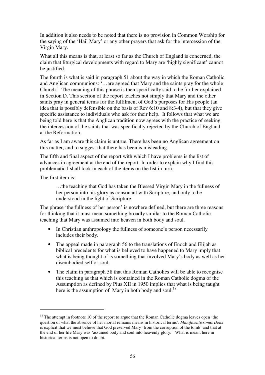In addition it also needs to be noted that there is no provision in Common Worship for the saying of the 'Hail Mary' or any other prayers that ask for the intercession of the Virgin Mary.

What all this means is that, at least so far as the Church of England is concerned, the claim that liturgical developments with regard to Mary are 'highly significant' cannot be justified.

The fourth is what is said in paragraph 51 about the way in which the Roman Catholic and Anglican communions: '…are agreed that Mary and the saints pray for the whole Church.' The meaning of this phrase is then specifically said to be further explained in Section D. This section of the report teaches not simply that Mary and the other saints pray in general terms for the fulfilment of God's purposes for His people (an idea that is possibly defensible on the basis of Rev 6:10 and 8:3-4), but that they give specific assistance to individuals who ask for their help. It follows that what we are being told here is that the Anglican tradition now agrees with the practice of seeking the intercession of the saints that was specifically rejected by the Church of England at the Reformation.

As far as I am aware this claim is untrue. There has been no Anglican agreement on this matter, and to suggest that there has been is misleading.

The fifth and final aspect of the report with which I have problems is the list of advances in agreement at the end of the report. In order to explain why I find this problematic I shall look in each of the items on the list in turn.

The first item is:

 $\overline{a}$ 

…the teaching that God has taken the Blessed Virgin Mary in the fullness of her person into his glory as consonant with Scripture, and only to be understood in the light of Scripture

The phrase 'the fullness of her person' is nowhere defined, but there are three reasons for thinking that it must mean something broadly similar to the Roman Catholic teaching that Mary was assumed into heaven in both body and soul.

- In Christian anthropology the fullness of someone's person necessarily includes their body.
- The appeal made in paragraph 56 to the translations of Enoch and Elijah as biblical precedents for what is believed to have happened to Mary imply that what is being thought of is something that involved Mary's body as well as her disembodied self or soul.
- The claim in paragraph 58 that this Roman Catholics will be able to recognise this teaching as that which is contained in the Roman Catholic dogma of the Assumption as defined by Pius XII in 1950 implies that what is being taught here is the assumption of Mary in both body and soul.<sup>18</sup>

 $18$  The attempt in footnote 10 of the report to argue that the Roman Catholic dogma leaves open 'the question of what the absence of her mortal remains means in historical terms'. *Munificentissimus Deus* is explicit that we must believe that God preserved Mary 'from the corruption of the tomb' and that at the end of her life Mary was 'assumed body and soul into heavenly glory.' What is meant here in historical terms is not open to doubt.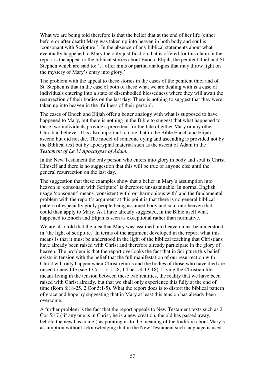What we are being told therefore is that the belief that at the end of her life (either before or after death) Mary was taken up into heaven in both body and soul is 'consonant with Scripture.' In the absence of any biblical statements about what eventually happened to Mary the only justification that is offered for this claim in the report is the appeal to the biblical stories about Enoch, Elijah, the penitent thief and St Stephen which are said to: '…offer hints or partial analogies that may throw light on the mystery of Mary's entry into glory.'

The problem with the appeal to these stories in the cases of the penitent thief and of St. Stephen is that in the case of both of these what we are dealing with is a case of individuals entering into a state of disembodied blessedness where they will await the resurrection of their bodies on the last day. There is nothing to suggest that they were taken up into heaven in the 'fullness of their person'.

The cases of Enoch and Elijah offer a better analogy with what is supposed to have happened to Mary, but there is nothing in the Bible to suggest that what happened to these two individuals provide a precedent for the fate of either Mary or any other Christian believer. It is also important to note that in the Bible Enoch and Elijah ascend but did not die. The model of someone dying and ascending is provided not by the Biblical text but by apocryphal material such as the ascent of Adam in the *Testament of Levi* / *Apocalypse of Adam*.

In the New Testament the only person who enters into glory in body and soul is Christ Himself and there is no suggestion that this will be true of anyone else until the general resurrection on the last day.

The suggestion that these examples show that a belief in Mary's assumption into heaven is 'consonant with Scripture' is therefore unsustainable. In normal English usage 'consonant' means 'consistent with' or 'harmonious with' and the fundamental problem with the report's argument at this point is that there is no general biblical pattern of especially godly people being assumed body and soul into heaven that could then apply to Mary. As I have already suggested, in the Bible itself what happened to Enoch and Elijah is seen as exceptional rather than normative.

We are also told that the idea that Mary was assumed into heaven must be understood in 'the light of scripture.' In terms of the argument developed in the report what this means is that it must be understood in the light of the biblical teaching that Christians have already been raised with Christ and therefore already participate in the glory of heaven. The problem is that the report overlooks the fact that in Scripture this belief exists in tension with the belief that the full manifestation of our resurrection with Christ will only happen when Christ returns and the bodies of those who have died are raised to new life (see 1 Cor 15: 1-58, 1 Thess 4:13-18). Living the Christian life means living in the tension between these two realities, the reality that we have been raised with Christ already, but that we shall only experience this fully at the end of time (Rom 8:18-25, 2 Cor 5:1-5). What the report does is to distort the biblical pattern of grace and hope by suggesting that in Mary at least this tension has already been overcome.

A further problem is the fact that the report appeals to New Testament texts such as 2 Cor 5:17 ('if any one is in Christ, he is a new creation, the old has passed away, behold the new has come') as pointing us to the meaning of the tradition about Mary's assumption without acknowledging that in the New Testament such language is used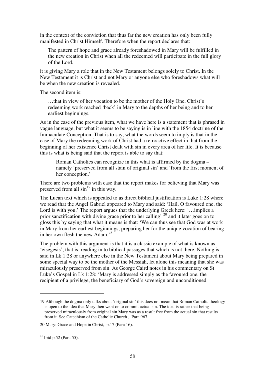in the context of the conviction that thus far the new creation has only been fully manifested in Christ Himself. Therefore when the report declares that:

The pattern of hope and grace already foreshadowed in Mary will be fulfilled in the new creation in Christ when all the redeemed will participate in the full glory of the Lord.

it is giving Mary a role that in the New Testament belongs solely to Christ. In the New Testament it is Christ and not Mary or anyone else who foreshadows what will be when the new creation is revealed.

The second item is:

…that in view of her vocation to be the mother of the Holy One, Christ's redeeming work reached 'back' in Mary to the depths of her being and to her earliest beginnings.

As in the case of the previous item, what we have here is a statement that is phrased in vague language, but what it seems to be saying is in line with the 1854 doctrine of the Immaculate Conception. That is to say, what the words seem to imply is that in the case of Mary the redeeming work of Christ had a retroactive effect in that from the beginning of her existence Christ dealt with sin in every area of her life. It is because this is what is being said that the report is able to say that:

Roman Catholics can recognize in this what is affirmed by the dogma – namely 'preserved from all stain of original sin' and 'from the first moment of her conception.'

There are two problems with case that the report makes for believing that Mary was preserved from all  $\sin^{19}$  in this way.

The Lucan text which is appealed to as direct biblical justification is Luke 1:28 where we read that the Angel Gabriel appeared to Mary and said: 'Hail, O favoured one, the Lord is with you.' The report argues that the underlying Greek here: '…implies a prior sanctification with divine grace prior to her calling' <sup>20</sup> and it later goes on to gloss this by saying that what it means is that: 'We can thus see that God was at work in Mary from her earliest beginnings, preparing her for the unique vocation of bearing in her own flesh the new Adam.<sup>'21</sup>

The problem with this argument is that it is a classic example of what is known as 'eisegesis', that is, reading in to biblical passages that which is not there. Nothing is said in Lk 1:28 or anywhere else in the New Testament about Mary being prepared in some special way to be the mother of the Messiah, let alone this meaning that she was miraculously preserved from sin. As George Caird notes in his commentary on St Luke's Gospel in Lk 1:28: 'Mary is addressed simply as the favoured one, the recipient of a privilege, the beneficiary of God's sovereign and unconditioned

<sup>19</sup> Although the dogma only talks about 'original sin' this does not mean that Roman Catholic theology is open to the idea that Mary then went on to commit actual sin. The idea is rather that being preserved miraculously from original sin Mary was as a result free from the actual sin that results from it. See Catechism of the Catholic Church , Para 967.

<sup>20</sup> Mary: Grace and Hope in Christ, p.17 (Para 16).

 $^{21}$  Ibid p.52 (Para 55).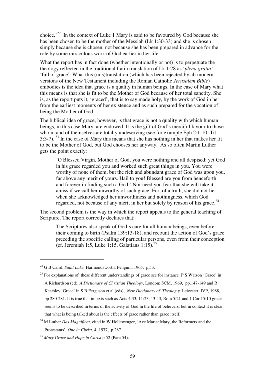choice.'<sup>22</sup> In the context of Luke 1 Mary is said to be favoured by God because she has been chosen to be the mother of the Messiah (Lk 1:30-33) and she is chosen simply because she is chosen, not because she has been prepared in advance for the role by some miraculous work of God earlier in her life.

What the report has in fact done (whether intentionally or not) is to perpetuate the theology reflected in the traditional Latin translation of Lk 1:28 as '*plena gratia'* – 'full of grace'. What this (mis)translation (which has been rejected by all modern versions of the New Testament including the Roman Catholic *Jerusalem Bible*) embodies is the idea that grace is a quality in human beings. In the case of Mary what this means is that she is fit to be the Mother of God because of her total sanctity. She is, as the report puts it, 'graced', that is to say made holy, by the work of God in her from the earliest moments of her existence and as such prepared for the vocation of being the Mother of God.

The biblical idea of grace, however, is that grace is not a quality with which human beings, in this case Mary, are endowed. It is the gift of God's merciful favour to those who in and of themselves are totally undeserving (see for example Eph 2:1-10, Tit 3:3-7).<sup>23</sup> In the case of Mary this means that she has nothing in her that makes her fit to be the Mother of God, but God chooses her anyway. As so often Martin Luther gets the point exactly:

'O Blessed Virgin, Mother of God, you were nothing and all despised; yet God in his grace regarded you and worked such great things in you. You were worthy of none of them, but the rich and abundant grace of God was upon you, far above any merit of yours. Hail to you! Blessed are you from henceforth and forever in finding such a God.' Nor need you fear that she will take it amiss if we call her unworthy of such grace. For, of a truth, she did not lie when she acknowledged her unworthiness and nothingness, which God regarded, not because of any merit in her but solely by reason of his grace.<sup>24</sup>

The second problem is the way in which the report appeals to the general teaching of Scripture. The report correctly declares that:

The Scriptures also speak of God's care for all human beings, even before their coming to birth (Psalm 139:13-18), and recount the action of God's grace preceding the specific calling of particular persons, even from their conception (cf. Jeremiah 1:5, Luke 1:15, Galatians  $1:15$ ).<sup>25</sup>

<sup>22</sup> G B Caird, *Saint Luke,* Harmondsworth: Penguin, 1965, p.53.

<sup>&</sup>lt;sup>23</sup> For explanations of these different understandings of grace see for instance P S Watson 'Grace' in A Richardson (ed), *A Dictionary of Christian Theology,* London: SCM, 1969, pp.147-149 and R Kearsley 'Grace' in S B Ferguson et al (eds), *New Dictionary of Theolog,y* Leicester: IVP, 1988, pp 280-281. It is true that in texts such as Acts 4:33, 11:23, 13:43, Rom 5:21 and 1 Cor 15:10 grace seems to be described in terms of the activity of God in the life of believers, but in context it is clear that what is being talked about is the effects of grace rather than grace itself.

<sup>&</sup>lt;sup>24</sup> M Luther *Das Magnificat*, cited in W Hollewenger, 'Ave Maria: Mary, the Reformers and the Protestants', *One in Christ,* 4, 1977, p.287.

<sup>25</sup> *Mary Grace and Hope in Christ* p 52 (Para 54).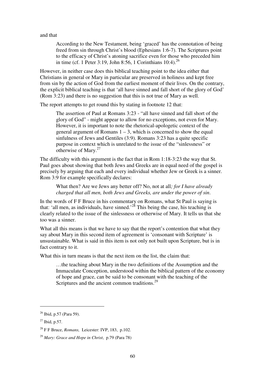and that

According to the New Testament, being 'graced' has the connotation of being freed from sin through Christ's blood (Ephesians 1:6-7). The Scriptures point to the efficacy of Christ's atoning sacrifice even for those who preceded him in time (cf. 1 Peter 3:19, John 8:56, 1 Corinthians  $10:4$ )<sup>26</sup>

However, in neither case does this biblical teaching point to the idea either that Christians in general or Mary in particular are preserved in holiness and kept free from sin by the action of God from the earliest moment of their lives. On the contrary, the explicit biblical teaching is that 'all have sinned and fall short of the glory of God' (Rom 3:23) and there is no suggestion that this is not true of Mary as well.

The report attempts to get round this by stating in footnote 12 that:

The assertion of Paul at Romans 3:23 - "all have sinned and fall short of the glory of God" - might appear to allow for no exceptions, not even for Mary. However, it is important to note the rhetorical-apologetic context of the general argument of Romans  $1 - 3$ , which is concerned to show the equal sinfulness of Jews and Gentiles (3:9). Romans 3:23 has a quite specific purpose in context which is unrelated to the issue of the "sinlessness" or otherwise of Mary.<sup>27</sup>

The difficulty with this argument is the fact that in Rom 1:18-3:23 the way that St. Paul goes about showing that both Jews and Greeks are in equal need of the gospel is precisely by arguing that each and every individual whether Jew or Greek is a sinner. Rom 3:9 for example specifically declares:

What then? Are we Jews any better off? No, not at all*; for I have already charged that all men, both Jews and Greeks, are under the power of sin*.

In the words of F F Bruce in his commentary on Romans, what St Paul is saying is that: 'all men, as individuals, have sinned.'<sup>28</sup> This being the case, his teaching is clearly related to the issue of the sinlessness or otherwise of Mary. It tells us that she too was a sinner.

What all this means is that we have to say that the report's contention that what they say about Mary in this second item of agreement is 'consonant with Scripture' is unsustainable. What is said in this item is not only not built upon Scripture, but is in fact contrary to it.

What this in turn means is that the next item on the list, the claim that:

…the teaching about Mary in the two definitions of the Assumption and the Immaculate Conception, understood within the biblical pattern of the economy of hope and grace, can be said to be consonant with the teaching of the Scriptures and the ancient common traditions.<sup>29</sup>

<sup>&</sup>lt;sup>26</sup> Ibid, p.57 (Para 59).

 $27$  Ibid, p.57.

<sup>28</sup> F F Bruce, *Romans,* Leicester: IVP, 183, p.102.

<sup>29</sup> *Mary: Grace and Hope in Christ*, p.79 (Para 78)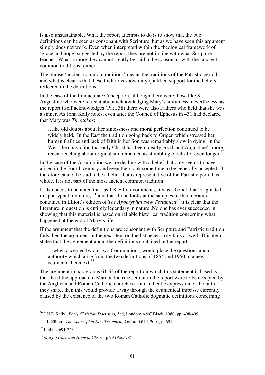is also unsustainable. What the report attempts to do is to show that the two definitions can be seen as consonant with Scripture, but as we have seen this argument simply does not work. Even when interpreted within the theological framework of 'grace and hope' suggested by the report they are not in line with what Scripture teaches. What is more they cannot rightly be said to be consonant with the 'ancient common traditions' either.

The phrase 'ancient common traditions' means the traditions of the Patristic period and what is clear is that these traditions show only qualified support for the beliefs reflected in the definitions.

In the case of the Immaculate Conception, although there were those like St. Augustine who were reticent about acknowledging Mary's sinfulness, nevertheless, as the report itself acknowledges (Para 38) there were also Fathers who held that she was a sinner. As John Kelly notes, even after the Council of Ephesus in 431 had declared that Mary was *Theot*ό*kos*:

…the old doubts about her sinlessness and moral perfection continued to be widely held. In the East the tradition going back to Origen which stressed her human frailties and lack of faith in her Son was remarkably slow in dying; in the West the conviction that only Christ has been ideally good, and Augustine's more recent teaching about original sin, remained as stumbling blocks for even longer.<sup>30</sup>

In the case of the Assumption we are dealing with a belief that only seems to have arisen in the Fourth century and even then took some time to be generally accepted. It therefore cannot be said to be a belief that is representative of the Patristic period as whole. It is not part of the most ancient common tradition.

It also needs to be noted that, as J K Elliott comments, it was a belief that 'originated in apocryphal literature,<sup>31</sup> and that if one looks at the samples of this literature contained in Elliott's edition of *The Apocryphal New Testament<sup>32</sup>* it is clear that the literature in question is entirely legendary in nature .No one has ever succeeded in showing that this material is based on reliable historical tradition concerning what happened at the end of Mary's life.

If the argument that the definitions are consonant with Scripture and Patristic tradition fails then the argument in the next item on the list necessarily fails as well. This item states that the agreement about the definitions contained in the report

…when accepted by our two Communions, would place the questions about authority which arise from the two definitions of 1854 and 1950 in a new ecumenical context.<sup>33</sup>

The argument in paragraphs 61-63 of the report on which this statement is based is that the if the approach to Marian doctrine set out in the report were to be accepted by the Anglican and Roman Catholic churches as an authentic expression of the faith they share, then this would provide a way through the ecumenical impasse currently caused by the existence of the two Roman Catholic dogmatic definitions concerning

<sup>30</sup> J N D Kelly, *Early Christian Doctrines,* 5ed, London: A&C Black, 1980, pp. 498-499.

<sup>31</sup> J K Elliott , *The Apocryphal New Testament,* Oxford:OUP, 2004, p. 691.

<sup>32</sup> Ibid pp. 691-723.

<sup>33</sup> *Mary: Grace and Hope in Christ*, p.79 (Para 78).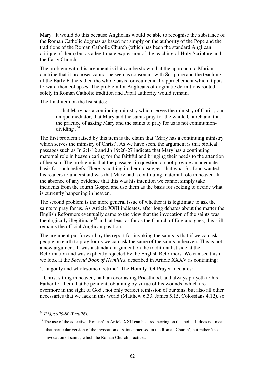Mary. It would do this because Anglicans would be able to recognise the substance of the Roman Catholic dogmas as based not simply on the authority of the Pope and the traditions of the Roman Catholic Church (which has been the standard Anglican critique of them) but as a legitimate expression of the teaching of Holy Scripture and the Early Church.

The problem with this argument is if it can be shown that the approach to Marian doctrine that it proposes cannot be seen as consonant with Scripture and the teaching of the Early Fathers then the whole basis for ecumenical rapprochement which it puts forward then collapses. The problem for Anglicans of dogmatic definitions rooted solely in Roman Catholic tradition and Papal authority would remain.

The final item on the list states:

…that Mary has a continuing ministry which serves the ministry of Christ, our unique mediator, that Mary and the saints pray for the whole Church and that the practice of asking Mary and the saints to pray for us is not communiondividing  $.^{34}$ 

The first problem raised by this item is the claim that 'Mary has a continuing ministry which serves the ministry of Christ'. As we have seen, the argument is that biblical passages such as Jn 2:1-12 and Jn 19:26-27 indicate that Mary has a continuing maternal role in heaven caring for the faithful and bringing their needs to the attention of her son. The problem is that the passages in question do not provide an adequate basis for such beliefs. There is nothing in them to suggest that what St..John wanted his readers to understand was that Mary had a continuing maternal role in heaven. In the absence of any evidence that this was his intention we cannot simply take incidents from the fourth Gospel and use them as the basis for seeking to decide what is currently happening in heaven.

The second problem is the more general issue of whether it is legitimate to ask the saints to pray for us. As Article XXII indicates, after long debates about the matter the English Reformers eventually came to the view that the invocation of the saints was theologically illegitimate<sup>35</sup> and, at least as far as the Church of England goes, this still remains the official Anglican position.

The argument put forward by the report for invoking the saints is that if we can ask people on earth to pray for us we can ask the same of the saints in heaven. This is not a new argument. It was a standard argument on the traditionalist side at the Reformation and was explicitly rejected by the English Reformers. We can see this if we look at the *Second Book of Homilies*, described in Article XXXV as containing:

'…a godly and wholesome doctrine'. The Homily 'Of Prayer' declares:

 Christ sitting in heaven, hath an everlasting Priesthood, and always prayeth to his Father for them that be penitent, obtaining by virtue of his wounds, which are evermore in the sight of God , not only perfect remission of our sins, but also all other necessaries that we lack in this world (Matthew 6.33, James 5.15, Colossians 4.12), so

<sup>34</sup> *Ibid,* pp.79-80 (Para 78).

<sup>&</sup>lt;sup>35</sup> The use of the adjective 'Romish' in Article XXII can be a red herring on this point. It does not mean 'that particular version of the invocation of saints practised in the Roman Church', but rather 'the invocation of saints, which the Roman Church practices.'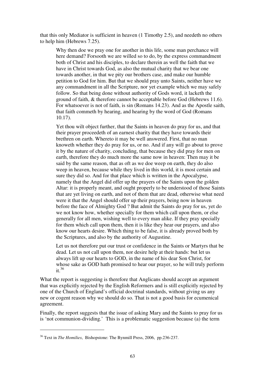that this only Mediator is sufficient in heaven (1 Timothy 2.5), and needeth no others to help him (Hebrews 7.25).

Why then doe we pray one for another in this life, some man perchance will here demand? Forsooth we are willed so to do, by the express commandment both of Christ and his disciples, to declare therein as well the faith that we have in Christ towards God, as also the mutual charity that we bear one towards another, in that we pity our brothers case, and make our humble petition to God for him. But that we should pray unto Saints, neither have we any commandment in all the Scripture, nor yet example which we may safely follow. So that being done without authority of Gods word, it lacketh the ground of faith, & therefore cannot be acceptable before God (Hebrews 11.6). For whatsoever is not of faith, is sin (Romans 14.23). And as the Apostle saith, that faith commeth by hearing, and hearing by the word of God (Romans 10.17).

Yet thou wilt object further, that the Saints in heaven do pray for us, and that their prayer proceedeth of an earnest charity that they have towards their brethren on earth. Whereto it may be well answered. First, that no man knoweth whether they do pray for us, or no. And if any will go about to prove it by the nature of charity, concluding, that because they did pray for men on earth, therefore they do much more the same now in heaven: Then may it be said by the same reason, that as oft as we doe weep on earth, they do also weep in heaven, because while they lived in this world, it is most certain and sure they did so. And for that place which is written in the Apocalypse, namely that the Angel did offer up the prayers of the Saints upon the golden Altar: it is properly meant, and ought properly to be understood of those Saints that are yet living on earth, and not of them that are dead, otherwise what need were it that the Angel should offer up their prayers, being now in heaven before the face of Almighty God ? But admit the Saints do pray for us, yet do we not know how, whether specially for them which call upon them, or else generally for all men, wishing well to every man alike. If they pray specially for them which call upon them, then it is like they hear our prayers, and also know our hearts desire. Which thing to be false, it is already proved both by the Scriptures, and also by the authority of Augustine.

Let us not therefore put our trust or confidence in the Saints or Martyrs that be dead. Let us not call upon them, nor desire help at their hands: but let us always lift up our hearts to GOD, in the name of his dear Son Christ, for whose sake as GOD hath promised to hear our prayer, so he will truly perform  $it<sup>36</sup>$ 

What the report is suggesting is therefore that Anglicans should accept an argument that was explicitly rejected by the English Reformers and is still explicitly rejected by one of the Church of England's official doctrinal standards, without giving us any new or cogent reason why we should do so. That is not a good basis for ecumenical agreement.

Finally, the report suggests that the issue of asking Mary and the Saints to pray for us is 'not communion-dividing.' This is a problematic suggestion because (a) the term

<sup>36</sup> Text in *The Homilies*, Bishopstone: The Bynmill Press, 2006, pp.236-237.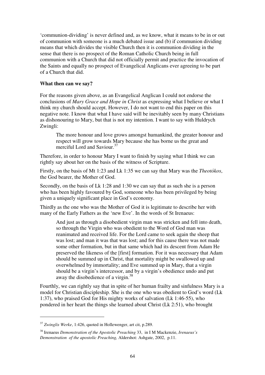'communion-dividing' is never defined and, as we know, what it means to be in or out of communion with someone is a much debated issue and (b) if communion dividing means that which divides the visible Church then it is communion dividing in the sense that there is no prospect of the Roman Catholic Church being in full communion with a Church that did not officially permit and practice the invocation of the Saints and equally no prospect of Evangelical Anglicans ever agreeing to be part of a Church that did.

# **What then can we say?**

For the reasons given above, as an Evangelical Anglican I could not endorse the conclusions of *Mary Grace and Hope in Christ* as expressing what I believe or what I think my church should accept. However, I do not want to end this paper on this negative note. I know that what I have said will be inevitably seen by many Christians as dishonouring to Mary, but that is not my intention. I want to say with Huldrych Zwingli:

The more honour and love grows amongst humankind, the greater honour and respect will grow towards Mary because she has borne us the great and merciful Lord and Saviour.<sup>37</sup>

Therefore, in order to honour Mary I want to finish by saying what I think we can rightly say about her on the basis of the witness of Scripture.

Firstly, on the basis of Mt 1:23 and Lk 1:35 we can say that Mary was the *Theot*ό*kos*, the God bearer, the Mother of God.

Secondly, on the basis of Lk 1:28 and 1:30 we can say that as such she is a person who has been highly favoured by God, someone who has been privileged by being given a uniquely significant place in God's economy.

Thirdly as the one who was the Mother of God it is legitimate to describe her with many of the Early Fathers as the 'new Eve'. In the words of St Irenaeus:

And just as through a disobedient virgin man was stricken and fell into death, so through the Virgin who was obedient to the Word of God man was reanimated and received life. For the Lord came to seek again the sheep that was lost; and man it was that was lost; and for this cause there was not made some other formation, but in that same which had its descent from Adam He preserved the likeness of the [first] formation. For it was necessary that Adam should be summed up in Christ, that mortality might be swallowed up and overwhelmed by immortality; and Eve summed up in Mary, that a virgin should be a virgin's intercessor, and by a virgin's obedience undo and put away the disobedience of a virgin.<sup>38</sup>

Fourthly, we can rightly say that in spite of her human frailty and sinfulness Mary is a model for Christian discipleship. She is the one who was obedient to God's word (Lk 1:37), who praised God for His mighty works of salvation (Lk 1:46-55), who pondered in her heart the things she learned about Christ (Lk 2:51), who brought

<sup>37</sup> *Zwinglis Werke*, 1:426, quoted in Hollewenger, art cit, p.289.

<sup>38</sup> Irenaeus *Demonstration of the Apostolic Preaching* 33, in I M Mackenzie, *Irenaeus's Demonstration of the apostolic Preaching,* Aldershot: Ashgate, 2002, p.11.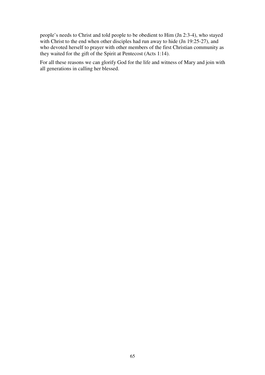people's needs to Christ and told people to be obedient to Him (Jn 2:3-4), who stayed with Christ to the end when other disciples had run away to hide (Jn  $19:25-27$ ), and who devoted herself to prayer with other members of the first Christian community as they waited for the gift of the Spirit at Pentecost (Acts 1:14).

For all these reasons we can glorify God for the life and witness of Mary and join with all generations in calling her blessed.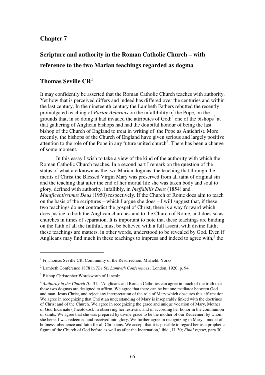# **Chapter 7**

# **Scripture and authority in the Roman Catholic Church – with reference to the two Marian teachings regarded as dogma**

# **Thomas Seville CR<sup>1</sup>**

It may confidently be asserted that the Roman Catholic Church teaches with authority. Yet how that is perceived differs and indeed has differed over the centuries and within the last century. In the nineteenth century the Lambeth Fathers rebutted the recently promulgated teaching of *Pastor Aeternus* on the infallibility of the Pope, on the grounds that, in so doing it had invaded the attributes of  $God<sub>i</sub><sup>2</sup>$  one of the bishops<sup>3</sup> at that gathering of Anglican bishops had had the doubtful honour of being the last bishop of the Church of England to treat in writing of the Pope as Antichrist. More recently, the bishops of the Church of England have given serious and largely positive attention to the role of the Pope in any future united church<sup>4</sup>. There has been a change of some moment.

 In this essay I wish to take a view of the kind of the authority with which the Roman Catholic Church teaches. In a second part I remark on the question of the status of what are known as the two Marian dogmas, the teaching that through the merits of Christ the Blessed Virgin Mary was preserved from all taint of original sin and the teaching that after the end of her mortal life she was taken body and soul to glory, defined with authority, infallibly, in *Ineffabilis Deus* (1854) and *Munificentissimus Deus* (1950) respectively. If the Church of Rome does aim to teach on the basis of the scriptures – which I argue she does – I will suggest that, if these two teachings do not contradict the gospel of Christ, there is a way forward which does justice to both the Anglican churches and to the Church of Rome, and does so as churches in times of separation. It is important to note that these teachings are binding on the faith of all the faithful, must be believed with a full assent, with divine faith; these teachings are matters, in other words, understood to be revealed by God. Even if Anglicans may find much in these teachings to impress and indeed to agree with, $5$  the

<sup>&</sup>lt;sup>1</sup> Fr Thomas Seville CR, Community of the Resurrection, Mirfield, Yorks.

<sup>2</sup> Lambeth Conference 1878 in *The Six Lambeth Conferences* , London, 1920, p. 94.

<sup>&</sup>lt;sup>3</sup> Bishop Christopher Wordsworth of Lincoln.

<sup>4</sup> *Authority in the Church II:* 31. 'Anglicans and Roman Catholics can agree in much of the truth that these two dogmas are designed to affirm. We agree that there can be but one mediator between God and man, Jesus Christ, and reject any interpretation of the role of Mary which obscures this affirmation. We agree in recognizing that Christian understanding of Mary is inseparably linked with the doctrines of Christ and of the Church. We agree in recognizing the grace and unique vocation of Mary, Mother of God Incarnate (Theotokos), in observing her festivals, and in according her honor in the communion of saints. We agree that she was prepared by divine grace to be the mother of our Redeemer, by whom she herself was redeemed and received into glory. We further agree in recognizing in Mary a model of holiness, obedience and faith for all Christians. We accept that it is possible to regard her as a prophetic figure of the Church of God before as well as after the Incarnation,' ibid., II 30; *Final report*, para 30.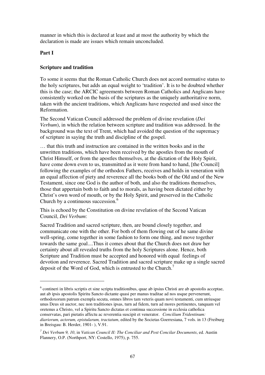manner in which this is declared at least and at most the authority by which the declaration is made are issues which remain unconcluded.

#### **Part I**

 $\overline{a}$ 

## **Scripture and tradition**

To some it seems that the Roman Catholic Church does not accord normative status to the holy scriptures, but adds an equal weight to 'tradition'. It is to be doubted whether this is the case; the ARCIC agreements between Roman Catholics and Anglicans have consistently worked on the basis of the scriptures as the uniquely authoritative norm, taken with the ancient traditions, which Anglicans have respected and used since the Reformation.

The Second Vatican Council addressed the problem of divine revelation (*Dei Verbum*), in which the relation between scripture and tradition was addressed. In the background was the text of Trent, which had avoided the question of the supremacy of scripture in saying the truth and discipline of the gospel.

… that this truth and instruction are contained in the written books and in the unwritten traditions, which have been received by the apostles from the mouth of Christ Himself, or from the apostles themselves, at the dictation of the Holy Spirit, have come down even to us, transmitted as it were from hand to hand, [the Council] following the examples of the orthodox Fathers, receives and holds in veneration with an equal affection of piety and reverence all the books both of the Old and of the New Testament, since one God is the author of both, and also the traditions themselves, those that appertain both to faith and to morals, as having been dictated either by Christ's own word of mouth, or by the Holy Spirit, and preserved in the Catholic Church by a continuous succession.<sup>6</sup>

This is echoed by the Constitution on divine revelation of the Second Vatican Council, *Dei Verbum*:

Sacred Tradition and sacred scripture, then, are bound closely together, and communicate one with the other. For both of them flowing out of he same divine well-spring, come together in some fashion to form one thing, and move together towards the same goal....Thus it comes about that the Church does not draw her certainty about all revealed truths from the holy Scriptures alone. Hence, both Scripture and Tradition must be accepted and honored with equal feelings of devotion and reverence. Sacred Tradition and sacred scripture make up a single sacred deposit of the Word of God, which is entrusted to the Church.<sup>7</sup>

<sup>&</sup>lt;sup>6</sup> contineri in libris scriptis et sine scripta traditionibus, quae ab ipsius Christi are ab apostolis acceptae, aut ab ipsis apostolis Spiritu Sancto dictante quasi per manus traditae ad nos usque pervenerunt, orthodoxorum patrum exempla secuta, omnes libros tam veteris quam novi testamenti, cum utriusque unus Deus sit auctor, nec non traditiones ipsas, turn ad fidem, turn ad mores pertinentes, tanquam vel oretenus a Christo, vel a Spiritu Sancto dictatas et continua successione in ecclesia catholica conservatas, pari pietatis affectu ac reverentia suscipit et venerator. *Concilium Tridentinum: diariorum, actorum, epistularum, tractatum*, edited by the Societas Goerresiana, 7 vols. in 13 (Freiburg in Breisgau: B. Herder, 1901- ), V.91.

*<sup>7</sup> Dei Verbum 9, 10*, in *Vatican Council II: The Conciliar and Post Concilar Documents*, ed. Austin Flannery, O.P. (Northport, NY: Costello, 1975), p. 755.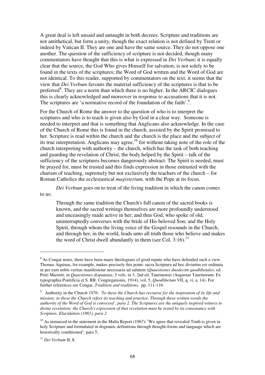A great deal is left unsaid and untaught in both decrees. Scripture and traditions are not antithetical, but form a unity, though the exact relation is not defined by Trent or indeed by Vatican II. They are one and have the same source. They do not oppose one another. The question of the sufficiency of scripture is not decided, though many commentators have thought that this is what is expressed in *Dei Verbum*; it is equally clear that the source, the God Who gives Himself for salvation, is not solely to be found in the texts of the scriptures; the Word of God written and the Word of God are not identical. To this reader, supported by commentators on the text, it seems that the view that *Dei Verbum* favours the material sufficiency of the scriptures is that to be preferred<sup>8</sup>. They are a norm than which there is no higher. In the ARCIC dialogues this is clearly acknowledged and moreover in response to accusations that it is not. The scriptures are 'a normative record of the foundation of the faith'.<sup>9</sup>.

For the Church of Rome the answer to the question of who is to interpret the scriptures and who is to teach is given also by God in a clear way. Someone is needed to interpret and that is something that Anglicans also acknowledge. In the case of the Church of Rome this is found in the church, assisted by the Spirit promised to her. Scripture is read within the church and the church is the place and the subject of its true interpretation. Anglicans may agree,<sup>10</sup> for without taking note of the role of the church interpreting with authority – the church, which has the task of both teaching and guarding the revelation of Christ, the body helped by the Spirit – talk of the sufficiency of the scriptures becomes dangerously abstract. The Spirit is needed, must be prayed for, must be trusted and this finds expression in those entrusted with the charism of teaching, supremely but not exclusively the teachers of the church – for Roman Catholics the ecclesiastical *magisterium,* with the Pope at its focus.

*Dei Verbum* goes on to treat of the living tradition in which the canon comes to us:

Through the same tradition the Church's full canon of the sacred books is known, and the sacred writings themselves are more profoundly understood and unceasingly made active in her; and thus God, who spoke of old, uninterruptedly converses with the bride of His beloved Son; and the Holy Spirit, through whom the living voice of the Gospel resounds in the Church, and through her, in the world, leads unto all truth those who believe and makes the word of Christ dwell abundantly in them (see Col. 3:16).<sup>11</sup>

 $8$  As Congar notes, there have been many theologians of good repute who have defended such a view. Thomas Aquinas, for example, makes precisely this point: sacra Scriptura ad hoc divinitus est ordinata ut per eam nobis veritas manifestetur necessaria ad salutem (*Quaestiones duodecim quodlibetales*, ed. Petri Marietti, in *Quaestiones disputatae*, 5 vols. in 3, 2nd ed. Taurinensis (Augustae Taurinorum: Ex typographia Pontificia et S. RR. Congregationis, 1914), vol. 5, *Quodlibetum* VII, q. vi, a. 14). For further references see Congar, *Tradition and traditions*, pp. 111-116.

*<sup>9</sup>* Authority in the Church *1976: 'To these the Church has recourse for the inspiration of its life and mission; to these the Church refers its teaching and practice. Through these written words the authority of the Word of God is conveyed', para 2. The Scriptures are the uniquely inspired witness to divine revelation; the Church's expression of that revelation must be tested by its consonance with Scripture. Elucidation (1981), para 2*

 $10$  As instanced in the statement in the Malta Report (1967): 'We agree that revealed Truth is given in holy Scripture and formulated in dogmatic definitions through thought-forms and language which are historically conditioned': para 5.

<sup>11</sup> *Dei Verbum* II, 8.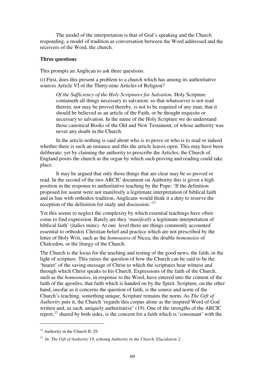The model of the interpretation is that of God's speaking and the Church responding, a model of tradition as conversation between the Word addressed and the receivers of the Word, the church.

#### **Three questions**

This prompts an Anglican to ask three questions.

(i) First, does this present a problem to a church which has among its authoritative sources Article VI of the Thirty-nine Articles of Religion?

*Of the Sufficiency of the Holy Scriptures for Salvation.* Holy Scripture containeth all things necessary to salvation: so that whatsoever is not read therein, nor may be proved thereby, is not to be required of any man, that it should be believed as an article of the Faith, or be thought requisite or necessary to salvation. In the name of the Holy Scripture we do understand those canonical Books of the Old and New Testament, of whose authority was never any doubt in the Church.

 In the article nothing is said about who is to prove or who is to read or indeed whether there is such an instance and this the article leaves open. This may have been deliberate; yet by claiming the authority to prescribe the Articles, the Church of England posits the church as the organ by which such proving and reading could take place.

 It may be argued that only those things that are clear may be so proved or read. In the second of the two ARCIC document on Authority this is given a high position in the response to authoritative teaching by the Pope: 'If the definition proposed for assent were not manifestly a legitimate interpretation of biblical faith and in line with orthodox tradition, Anglicans would think it a duty to reserve the reception of the definition for study and discussion.<sup>'12</sup>

Yet this seems to neglect the complexity by which essential teachings have often come to find expression. Rarely are they '*manifestly* a legitimate interpretation of biblical faith' (italics mine). At one level there are things commonly accounted essential to orthodox Christian belief and practice which are not prescribed by the letter of Holy Writ, such as the *homousios* of Nicea, the double *homousios* of Chalcedon, or the liturgy of the Church.

The Church is the locus for the teaching and testing of the good news, the faith, in the light of scripture. This raises the question of how the Church can be said to be the 'bearer' of the saving message of Christ to which the scriptures bear witness and through which Christ speaks to his Church. Expressions of the faith of the Church, such as the *homoousios*, in response to the Word, have entered into the content of the faith of the apostles, that faith which is handed on by the Spirit. Scripture, on the other hand, insofar as it concerns the question of faith, is the source and norm of the Church's teaching, something unique. Scripture remains the norm. As *The Gift of Authority* puts it, the Church 'regards this corpus alone as the inspired Word of God written and, as such, uniquely authoritative' (19). One of the strengths of the ARCIC report, $^{13}$  shared by both sides, is the concern for a faith which is 'consonant' with the

 $12$  Authority in the Church II, 29.

<sup>13</sup> In *The Gift of Authority* 19, echoing *Authority in the Church. Elucidation 2*.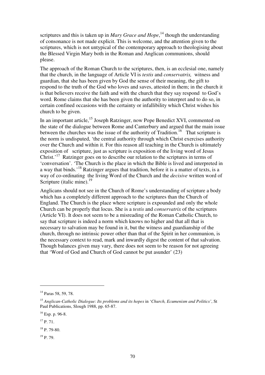scriptures and this is taken up in *Mary Grace and Hope*,<sup>14</sup> though the understanding of consonance is not made explicit. This is welcome, and the attention given to the scriptures, which is not untypical of the contemporary approach to theologising about the Blessed Virgin Mary both in the Roman and Anglican communions, should please.

The approach of the Roman Church to the scriptures, then, is an ecclesial one, namely that the church, in the language of Article VI is *testis* and *conservatrix,* witness and guardian, that she has been given by God the sense of their meaning, the gift to respond to the truth of the God who loves and saves, attested in them; in the church it is that believers receive the faith and with the church that they say respond to God's word. Rome claims that she has been given the authority to interpret and to do so, in certain confined occasions with the certainty or infallibility which Christ wishes his church to be given.

In an important article,<sup>15</sup> Joseph Ratzinger, now Pope Benedict XVI, commented on the state of the dialogue between Rome and Canterbury and argued that the main issue between the churches was the issue of the authority of Tradition.<sup>16</sup> That scripture is the norm is undisputed, 'the central authority through which Christ exercises authority over the Church and within it. For this reason all teaching in the Church is ultimately exposition of scripture, just as scripture is exposition of the living word of Jesus Christ.<sup>17</sup> Ratzinger goes on to describe our relation to the scriptures in terms of 'conversation'. 'The Church is the place in which the Bible is lived and interpreted in a way that binds.'<sup>18</sup> Ratzinger argues that tradition, before it is a matter of texts, is a way of co-ordinating the living Word of the Church and the *decisive* written word of Scripture (italic mine). $19$ 

Anglicans should not see in the Church of Rome's understanding of scripture a body which has a completely different approach to the scriptures than the Church of England. The Church is the place where scripture is expounded and only the whole Church can be properly that locus. She is a *testis* and *conservatrix* of the scriptures (Article VI). It does not seem to be a misreading of the Roman Catholic Church, to say that scripture is indeed a norm which knows no higher and that all that is necessary to salvation may be found in it, but the witness and guardianship of the church, through no intrinsic power other than that of the Spirit in her communion, is the necessary context to read, mark and inwardly digest the content of that salvation. Though balances given may vary, there does not seem to be reason for not agreeing that 'Word of God and Church of God cannot be put asunder' (23)

<sup>14</sup> Paras 58, 59, 78.

<sup>15</sup> *Anglican-Catholic Dialogue: Its problems and its hopes* in '*Church, Ecumenism and Politics'*, St Paul Publications, Slough 1988, pp. 65-87.

<sup>16</sup> Esp. p. 96-8.

 $17$  P. 71.

 $18 \text{ p}$ . 79-80.

 $19$  P. 79.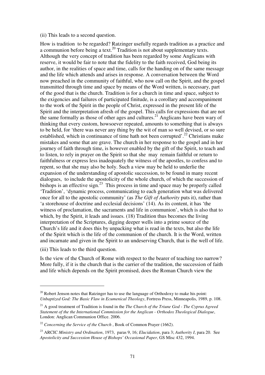#### (ii) This leads to a second question.

How is tradition to be regarded? Ratzinger usefully regards tradition as a practice and a communion before being a text.<sup>20</sup> Tradition is not about supplementary texts. Although the very concept of tradition has been regarded by some Anglicans with reserve, it would be fair to note that the fidelity to the faith received, God being its author, in the realities of space and time, calls for the handing on of the same message and the life which attends and arises in response. A conversation between the Word now preached in the community of faithful, who now call on the Spirit, and the gospel transmitted through time and space by means of the Word written, is necessary, part of the good that is the church. Tradition is for a church in time and space, subject to the exigencies and failures of participated finitude, is a corollary and accompaniment to the work of the Spirit in the people of Christ, expressed in the present life of the Spirit and the interpretation afresh of the gospel. This calls for expressions that are not the same formally as those of other ages and cultures.<sup>21</sup> Anglicans have been wary of thinking that every custom, howsoever repeated, amounts to something that is always to be held, for 'there was never any thing by the wit of man so well devised, or so sure established, which in continuance of time hath not been corrupted'.<sup>22</sup> Christians make mistakes and some that are grave. The church in her response to the gospel and in her journey of faith through time, is however enabled by the gift of the Spirit, to teach and to listen, to rely in prayer on the Spirit so that she may remain faithful or return to faithfulness or express less inadequately the witness of the apostles, to confess and to repent, so that she may also be holy. Such a view may be held to underlie the expansion of the understanding of apostolic succession, to be found in many recent dialogues, to include the apostolicity of the whole church, of which the succession of bishops is an effective sign.<sup>23</sup> This process in time and space may be properly called 'Tradition', 'dynamic process, communicating to each generation what was delivered once for all to the apostolic community' (as *The Gift of Authority* puts it), rather than 'a storehouse of doctrine and ecclesial decisions' (14). As its content, it has 'the witness of proclamation, the sacraments and life in communion', which is also that to which, by the Spirit, it leads and issues. (18) Tradition thus becomes the living interpretation of the Scriptures, digging deeper wells into a prime source of the Church's life and it does this by unpacking what is read in the texts, but also the life of the Spirit which is the life of the communion of the church. It is the Word, written and incarnate and given in the Spirit to an undeserving Church, that is the well of life.

(iii) This leads to the third question.

 $\overline{a}$ 

Is the view of the Church of Rome with respect to the bearer of teaching too narrow? More fully, if it is the church that is the carrier of the tradition, the succession of faith and life which depends on the Spirit promised, does the Roman Church view the

 $20$  Robert Jenson notes that Ratzinger has to use the language of Orthodoxy to make his point: *Unbaptized God: The Basic Flaw in Ecumenical Theology*, Fortress Press, Minneapolis, 1989, p. 108.

<sup>21</sup> A good treatment of Tradition is found in the *The Church of the Triune God - The Cyprus Agreed Statement of the the International Commission for the Anglican - Orthodox Theological Dialogue*, London: Anglican Communion Office. 2006.

<sup>&</sup>lt;sup>22</sup> *Concerning the Service of the Church*, Book of Common Prayer (1662).

<sup>23</sup> ARCIC *Ministry and Ordination*, 1973, paras 9, 16; *Elucidation*, para 3; *Authority I*, para 20. See *Apostolicity and Succession House of Bishops' Occasional Paper*, GS Misc 432, 1994.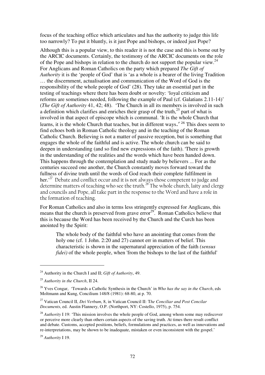focus of the teaching office which articulates and has the authority to judge this life too narrowly? To put it bluntly, is it just Pope and bishops, or indeed just Pope?

Although this is a popular view, to this reader it is not the case and this is borne out by the ARCIC documents. Certainly, the testimony of the ARCIC documents on the role of the Pope and bishops in relation to the church do not support the popular view.<sup>24</sup> For Anglicans and Roman Catholics on the party which prepared *The Gift of Authority* it is the 'people of God' that is 'as a whole is a bearer of the living Tradition … the discernment, actualisation and communication of the Word of God is the responsibility of the whole people of God' (28). They take an essential part in the testing of teachings where there has been doubt or novelty: 'loyal criticism and reforms are sometimes needed, following the example of Paul (cf. Galatians 2.11-14)' (*The Gift of Authority* 41, 42; 48). 'The Church in all its members is involved in such a definition which clarifies and enriches their grasp of the truth, $^{25}$  part of what is involved in that aspect of episcope which is communal. 'It is the whole Church that learns, it is the whole Church that teaches, but in different ways.' <sup>26</sup> This does seem to find echoes both in Roman Catholic theology and in the teaching of the Roman Catholic Church. Believing is not a matter of passive reception, but is something that engages the whole of the faithful and is active. The whole church can be said to deepen in understanding (and so find new expressions of the faith). 'There is growth in the understanding of the realities and the words which have been handed down. This happens through the contemplation and study made by believers ... For as the centuries succeed one another, the Church constantly moves forward toward the fullness of divine truth until the words of God reach their complete fulfilment in her.' $^{27}$  Debate and conflict occur and it is not always those competent to judge and determine matters of teaching who see the truth.<sup>28</sup> The whole church, laity and clergy and councils and Pope, all take part in the response to the Word and have a role in the formation of teaching.

For Roman Catholics and also in terms less stringently expressed for Anglicans, this means that the church is preserved from grave  $eror<sup>29</sup>$ . Roman Catholics believe that this is because the Word has been received by the Church and the Curch has been anointed by the Spirit:

The whole body of the faithful who have an anointing that comes from the holy one (cf. 1 John. 2:20 and 27) cannot err in matters of belief. This characteristic is shown in the supernatural appreciation of the faith *(sensus fidei*) of the whole people, when 'from the bishops to the last of the faithful'

<sup>24</sup> Authority in the Church I and II; *Gift of Authority*, 49.

<sup>25</sup> *Authority in the Church*, II 24.

<sup>26</sup> Yves Congar, 'Towards a Catholic Synthesis in the Church' in *Who has the say in the Church*, eds Moltmann and Kung, Concilium 148/8 (1981): 68-80, at p. 70.

<sup>27</sup> Vatican Council II, *Dei Verbum*, 8, in Vatican Council II: T*he Conciliar and Post Concilar Documents*, ed. Austin Flannery, O.P. (Northport, NY: Costello, 1975), p. 754.

<sup>&</sup>lt;sup>28</sup> *Authority* I 19: 'This mission involves the whole people of God, among whom some may rediscover or perceive more clearly than others certain aspects of the saving truth. At times there result conflict and debate. Customs, accepted positions, beliefs, formulations and practices, as well as innovations and re-interpretations, may be shown to be inadequate, mistaken or even inconsistent with the gospel.'

<sup>29</sup> *Authority* I 19.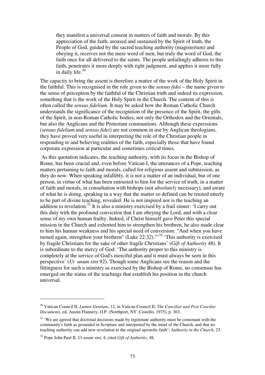they manifest a universal consent in matters of faith and morals. By this appreciation of the faith, aroused and sustained by the Spirit of truth, the People of God, guided by the sacred teaching authority (magisterium) and obeying it, receives not the mere word of men, but truly the word of God, the faith once for all delivered to the saints. The people unfailingly adheres to this faith, penetrates it more deeply with right judgment, and applies it more fully in daily life. $30$ 

The capacity to bring the assent is therefore a matter of the work of the Holy Spirit in the faithful. This is recognised in the role given to the *sensus fidei* – the name given to the sense of perception by the faithful of the Christian truth and indeed its expression, something that is the work of the Holy Spirit in the Church. The content of this is often called the *sensus fidelium*. It may be asked how the Roman Catholic Church understands the significance of the recognition of the presence of the Spirit, the gifts of the Spirit, in non-Roman Catholic bodies, not only the Orthodox and the Orientals, but also the Anglicans and the Protestant communions. Although these expressions (*sensus fidelium* and *sensus fidei*) are not common in use by Anglican theologians, they have proved very useful in interpreting the role of the Christian people in responding to and believing realities of the faith, especially those that have found corporate expression at particular and sometimes critical times.

 As this quotation indicates, the teaching authority, with its focus in the Bishop of Rome, has been crucial and, even before Vatican I, the utterances of a Pope, teaching matters pertaining to faith and morals, called for religious assent and submission, as they do now. When speaking infallibly, it is not a matter of an individual, but of one person, in virtue of what has been entrusted to him for the service of truth, in a matter of faith and morals, in consultation with bishops (not *absolutely* necessary), and aware of what he is doing, speaking in a way that the matter so defined can be trusted utterly to be part of divine teaching, revealed. He is not inspired nor is the teaching an addition to revelation.<sup>31</sup> It is also a ministry exercised by a frail sinner:  $\dot{I}$  carry out this duty with the profound conviction that I am obeying the Lord, and with a clear sense of my own human frailty. Indeed, if Christ himself gave Peter this special mission in the Church and exhorted him to strengthen his brethren, he also made clear to him his human weakness and his special need of conversion: "And when you have turned again, strengthen your brethren" (Luke 22:32)."'<sup>32</sup> 'This authority is exercised by fragile Christians for the sake of other fragile Christians' (*Gift of Authority* 48). It is subordinate to the mercy of God: 'The authority proper to this ministry is completely at the service of God's merciful plan and it must always be seen in this perspective' (*Ut unum sint* 92). Though some Anglicans see the reason and the fittingness for such a ministry as exercised by the Bishop of Rome, no consensus has emerged on the status of the teachings that establish his position in the church universal.

<sup>30</sup> Vatican Council II, *Lumen Gentium*, 12, in Vatican Council II: *The Conciliar and Post Concilar Documents*, ed. Austin Flannery, O.P. (Northport, NY: Costello, 1975), p. 363.

<sup>&</sup>lt;sup>31</sup> 'We are agreed that doctrinal decisions made by legitimate authority must be consonant with the community's faith as grounded in Scripture and interpreted by the mind of the Church, and that no teaching authority can add new revelation to the original apostolic faith': *Authority in the Church*, 23.

<sup>32</sup> Pope John Paul II, *Ut unum sint*, 4, cited *Gift of Authority*, 48.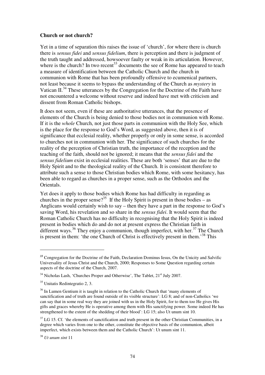#### **Church or not church?**

Yet in a time of separation this raises the issue of 'church', for where there is church there is *sensus fidei* and *sensus fidelium*, there is perception and there is judgment of the truth taught and addressed, howsoever faulty or weak in its articulation. However, where is the church? In two recent<sup>33</sup> documents the see of Rome has appeared to teach a measure of identification between the Catholic Church and the church in communion with Rome that has been profoundly offensive to ecumenical partners, not least because it seems to bypass the understanding of the Church as *mystery* in Vatican II.<sup>34</sup> These utterances by the Congregation for the Doctrine of the Faith have not encountered a welcome without reserve and indeed have met with criticism and dissent from Roman Catholic bishops.

It does not seem, even if these are authoritative utterances, that the presence of elements of the Church is being denied to those bodies not in communion with Rome. If it is the *whole* Church, not just those parts in communion with the Holy See, which is the place for the response to God's Word, as suggested above, then it is of significance that ecclesial reality, whether properly or only in some sense, is accorded to churches not in communion with her. The significance of such churches for the reality of the perception of Christian truth, the importance of the reception and the teaching of the faith, should not be ignored; it means that the *sensus fidei* and the *sensus fidelium* exist in ecclesial realities. These are both 'senses' that are due to the Holy Spirit and to the theological reality of the Church. It is consistent therefore to attribute such a sense to those Christian bodies which Rome, with some hesitancy, has been able to regard as churches in a proper sense, such as the Orthodox and the Orientals.

Yet does it apply to those bodies which Rome has had difficulty in regarding as churches in the proper sense?<sup>35</sup> If the Holy Spirit is present in those bodies – as Anglicans would certainly wish to say – then they have a part in the response to God's saving Word, his revelation and so share in the *sensus fidei*. It would seem that the Roman Catholic Church has no difficulty in recognising that the Holy Spirit is indeed present in bodies which do and do not at present express the Christian faith in different ways.<sup>36</sup> They enjoy a communion, though imperfect, with her.<sup>37</sup> The Church is present in them: 'the one Church of Christ is effectively present in them.'<sup>38</sup> This

*<sup>33</sup>* Congregation for the Doctrine of the Faith, Declaration Dominus Iesus, On the Unicity and Salvific Universality of Jesus Christ and the Church, 2000; Responses to Some Question regarding certain aspects of the doctrine of the Church, 2007.

 $34$  Nicholas Lash, 'Churches Proper and Otherwise', The Tablet,  $21<sup>st</sup>$  July 2007.

<sup>35</sup> Unitatis Redintegratio 2, 3.

<sup>&</sup>lt;sup>36</sup> In Lumen Gentium it is taught in relation to the Catholic Church that 'many elements of sanctification and of truth are found outside of its visible structure': LG 8; and of non-Catholics 'we can say that in some real way they are joined with us in the Holy Spirit, for to them too He gives His gifts and graces whereby He is operative among them with His sanctifying power. Some indeed He has strengthened to the extent of the shedding of their blood': LG 15; also Ut unum sint 10.

 $37$  LG 15. Cf. 'the elements of sanctification and truth present in the other Christian Communities, in a degree which varies from one to the other, constitute the objective basis of the communion, albeit imperfect, which exists between them and the Catholic Church': Ut unum sint 11.

<sup>38</sup> *Ut unum sint* 11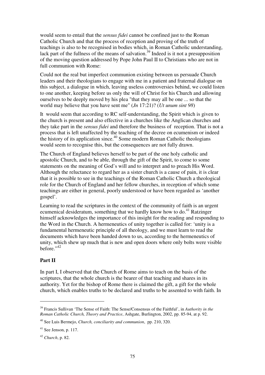would seem to entail that the *sensus fidei* cannot be confined just to the Roman Catholic Church and that the process of reception and proving of the truth of teachings is also to be recognised in bodies which, in Roman Catholic understanding, lack part of the fullness of the means of salvation.<sup>39</sup> Indeed is it not a presupposition of the moving question addressed by Pope John Paul II to Christians who are not in full communion with Rome:

Could not the real but imperfect communion existing between us persuade Church leaders and their theologians to engage with me in a patient and fraternal dialogue on this subject, a dialogue in which, leaving useless controversies behind, we could listen to one another, keeping before us only the will of Christ for his Church and allowing ourselves to be deeply moved by his plea "that they may all be one ... so that the world may believe that you have sent me" (*Jn* 17:21)? (*Ut unum sint 98*)

It would seem that according to RC self-understanding, the Spirit which is given to the church is present and also effective in a churches like the Anglican churches and they take part in the *sensus fidei* and therefore the business of reception. That is not a process that is left unaffected by the teaching of the decree on ecumenism or indeed the history of its application since.<sup>40</sup> Some modern Roman Catholic theologians would seem to recognise this, but the consequences are not fully drawn.

The Church of England believes herself to be part of the one holy catholic and apostolic Church, and to be able, through the gift of the Spirit, to come to some statements on the meaning of God's will and to interpret and to preach His Word. Although the reluctance to regard her as a sister church is a cause of pain, it is clear that it is possible to see in the teachings of the Roman Catholic Church a theological role for the Church of England and her fellow churches, in reception of which some teachings are either in general, poorly understood or have been regarded as 'another gospel'.

Learning to read the scriptures in the context of the community of faith is an urgent ecumenical desideratum, something that we hardly know how to do.<sup>41</sup> Ratzinger himself acknowledges the importance of this insight for the reading and responding to the Word in the Church. A hermeneutics of unity together is called for: 'unity is a fundamental hermeneutic principle of all theology, and we must learn to read the documents which have been handed down to us, according to the hermeneutics of unity, which shew up much that is new and open doors where only bolts were visible before $^{.,42}$ 

## **Part II**

 $\overline{a}$ 

In part I, I observed that the Church of Rome aims to teach on the basis of the scriptures, that the whole church is the bearer of that teaching and shares in its authority. Yet for the bishop of Rome there is claimed the gift, a gift for the whole church, which enables truths to be declared and truths to be assented to with faith. In

<sup>39</sup> Francis Sullivan 'The Sense of Faith: The Sense/Consensus of the Faithful', in *Authority in the Roman Catholic Church, Theory and Practice*, Ashgate, Burlington, 2002, pp. 85-94, at p. 92.

<sup>40</sup> See Luis Bermejo, *Church, conciliarity and communion*, pp. 210, 320.

 $41$  See Jenson, p. 117.

<sup>42</sup> *Church*, p. 82.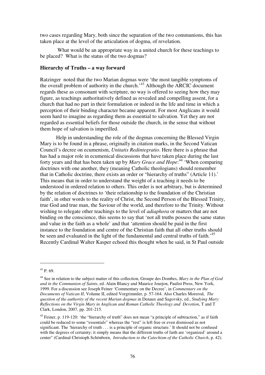two cases regarding Mary, both since the separation of the two communions, this has taken place at the level of the articulation of dogma, of revelation.

 What would be an appropriate way in a united church for these teachings to be placed? What is the status of the two dogmas?

#### **Hierarchy of Truths – a way forward**

Ratzinger noted that the two Marian dogmas were 'the most tangible symptoms of the overall problem of authority in the church.'<sup>43</sup> Although the ARCIC document regards these as consonant with scripture, no way is offered to seeing how they may figure, as teachings authoritatively defined as revealed and compelling assent, for a church that had no part in their formulation or indeed in the life and time in which a perception of their binding character became apparent. For most Anglicans it would seem hard to imagine as regarding them as essential to salvation. Yet they are not regarded as essential beliefs for those outside the church, in the sense that without them hope of salvation is imperilled.

 Help in understanding the role of the dogmas concerning the Blessed Virgin Mary is to be found in a phrase, originally in citation marks, in the Second Vatican Council's decree on ecumenism, *Unitatis Redintegratio*. Here there is a phrase that has had a major role in ecumenical discussions that have taken place during the last forty years and that has been taken up by *Mary Grace and Hope*: <sup>44</sup> 'When comparing doctrines with one another, they (meaning Catholic theologians) should remember that in Catholic doctrine, there exists an order or "hierarchy of truths" (Article 11).' This means that in order to understand the weight of a teaching it needs to be understood in ordered relation to others. This order is not arbitrary, but is determined by the relation of doctrines to 'their relationship to the foundation of the Christian faith', in other words to the reality of Christ, the Second Person of the Blessed Trinity, true God and true man, the Saviour of the world, and therefore to the Trinity. Without wishing to relegate other teachings to the level of *adiaphora* or matters that are not binding on the conscience, this seems to say that 'not all truths possess the same status and value in the faith as a whole' and that 'attention should be paid in the first instance to the foundation and centre of the Christian faith that all other truths should be seen and evaluated in the light of the fundamental and central truths of faith.<sup>45</sup> Recently Cardinal Walter Kasper echoed this thought when he said, in St Paul outside

 $43 \text{ p } 69$ 

<sup>44</sup> See in relation to the subject matter of this collection, Groupe des Dombes, *Mary in the Plan of God and in the Communion of Saints*, ed. Alain Blancy and Maurice Jourjon, Paulist Press, New York, 1999. For a discussion see Joseph Feiner 'Commentary on the Decree', in *Commentary on the Documents of Vatican II*, Volume II, edited Vorgrimmler, p. 57-164. Also Charles Morerod, *The question of the authority of the recent Marian dogmas* in Denaux and Sagovsky, ed., *Studying Mary: Reflections on the Virgin Mary in Anglican and Roman Catholic Theology and Devotion*, T and T Clark, London, 2007, pp. 201-215.

<sup>&</sup>lt;sup>45</sup> Feiner, p. 119-120: 'the "hierarchy of truth" does not mean "a principle of subtraction," as if faith could be reduced to some "essentials" whereas the "rest" is left free or even dismissed as not significant. The 'hierarchy of truth . . . is a principle of organic structure.' It should not be confused with the degrees of certainty; it simply means that the different truths of faith are 'organized' around a center" (Cardinal Christoph Schönborn, *Introduction to the Catechism of the Catholic Church*, p. 42).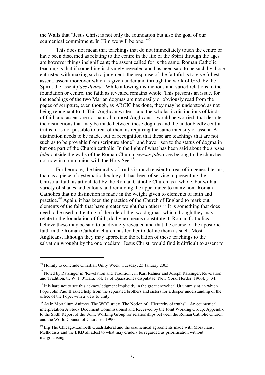the Walls that "Jesus Christ is not only the foundation but also the goal of our ecumenical commitment. In Him we will be one."<sup>46</sup>

 This does not mean that teachings that do not immediately touch the centre or have been discerned as relating to the centre in the life of the Spirit through the ages are however things insignificant; the assent called for is the same. Roman Catholic teaching is that if something is divinely revealed and has been said to be such by those entrusted with making such a judgment, the response of the faithful is to give fullest assent, assent moreover which is given under and through the work of God, by the Spirit, the assent *fides divina*. While allowing distinctions and varied relations to the foundation or centre, the faith as revealed remains whole. This presents an issue, for the teachings of the two Marian dogmas are not easily or obviously read from the pages of scripture, even though, as ARCIC has done, they may be understood as not being repugnant to it. This Anglican writer – and the scholastic distinctions of kinds of faith and assent are not natural to most Anglicans – would be worried that despite the distinctions that may be made between these dogmas and the undoubtedly central truths, it is not possible to treat of them as requiring the same intensity of assent. A distinction needs to be made, out of recognition that these are teachings that are not such as to be provable from scripture alone<sup>47</sup> and have risen to the status of dogma in but one part of the Church catholic. In the light of what has been said about the *sensus fidei* outside the walls of the Roman Church, *sensus fidei* does belong to the churches not now in communion with the Holy See.<sup>48</sup>

 Furthermore, the hierarchy of truths is much easier to treat of in general terms, than as a piece of systematic theology. It has been of service in presenting the Christian faith as articulated by the Roman Catholic Church as a whole, but with a variety of shades and colours and removing the appearance to many non- Roman Catholics that no distinction is made in the weight given to elements of faith and practice.<sup>49</sup> Again, it has been the practice of the Church of England to mark out elements of the faith that have greater weight than others.<sup>50</sup> It is something that does need to be used in treating of the role of the two dogmas, which though they may relate to the foundation of faith, do by no means constitute it. Roman Catholics believe these may be said to be divinely revealed and that the course of the apostolic faith in the Roman Catholic church has led her to define them as such. Most Anglicans, although they may appreciate the relation of these teachings to the salvation wrought by the one mediator Jesus Christ, would find it difficult to assent to

<sup>46</sup> Homily to conclude Christian Unity Week, Tuesday, 25 January 2005

<sup>&</sup>lt;sup>47</sup> Noted by Ratzinger in 'Revelation and Tradition', in Karl Rahner and Joseph Ratzinger, Revelation and Tradition, tr. W. J. 0'Hara, vol. 17 of Quaestiones disputatae (New York: Herder, 1966), p. 34.

<sup>&</sup>lt;sup>48</sup> It is hard not to see this acknowledgment implicitly in the great encyclical Ut unum sint, in which Pope John Paul II asked help from the separated brothers and sisters for a deeper understanding of the office of the Pope, with a view to unity.

<sup>&</sup>lt;sup>49</sup> As in Mortalium Animos. The WCC study The Notion of "Hierarchy of truths" : An ecumenical interpretation A Study Document Commissioned and Received by the Joint Working Group; Appendix to the Sixth Report of the Joint Working Group for relationships between the Roman Catholic Church and the World Council of Churches, 1990.

 $50$  E.g The Chicago-Lambeth Quadrilateral and the ecumenical agreements made with Moravians, Methodists and the EKD all attest to what may crudely be regarded as prioritisation without marginalising.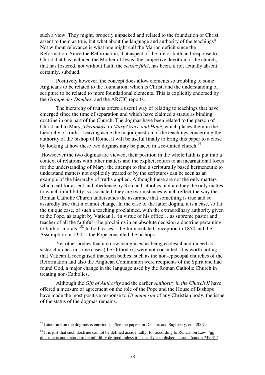such a view. They might, properly unpacked and related to the foundation of Christ, assent to them as true, but what about the language and authority of the teachings? Not without relevance is what one might call the Marian deficit since the Reformation. Since the Reformation, that aspect of the life of faith and response to Christ that has included the Mother of Jesus, the subjective devotion of the church, that has fostered, not without fault, the *sensus fidei*, has been, if not actually absent, certainly, subdued.

 Positively however, the concept does allow elements so troubling to some Anglicans to be related to the foundation, which is Christ, and the understanding of scripture to be related to more foundational elements. This is explicitly endorsed by the *Groupe des Dombes* and the ARCIC reports.

 The hierarchy of truths offers a useful way of relating to teachings that have emerged since the time of separation and which have claimed a status as binding doctrine in one part of the Church. The dogmas have been related to the person of Christ and to Mary, *Theotókos*, in *Mary Grace and Hope*, which places them in the hierarchy of truths. Leaving aside the major question of the teachings concerning the authority of the bishop of Rome, it will be useful finally to bring this paper to a close by looking at how these two dogmas may be placed in a re-united church.<sup>51</sup>

 Howsoever the two dogmas are viewed, their position in the whole faith is put into a context of relations with other matters and the explicit return to an incarnational focus for the understanding of Mary; the attempt to find a scripturally based hermeneutic to understand matters not explicitly treated of by the scriptures can be seen as an example of the hierarchy of truths applied. Although these are not the only matters which call for assent and obedience by Roman Catholics, not are they the only mattes to which infallibility is associated, they are two instances which reflect the way the Roman Catholic Church understands the assurance that something is true and so assuredly true that it cannot change. In the case of the latter dogma, it is a case, so far the unique case, of such a teaching proclaimed, with the extraordinary authority given to the Pope, as taught by Vatican I, 'in virtue of his office… as supreme pastor and teacher of all the faithful – he proclaims in an absolute decision a doctrine pertaining to faith or morals.<sup>52</sup> In both cases – the Immaculate Conception in 1854 and the Assumption in 1950 – the Pope consulted the bishops.

 Yet other bodies that are now recognised as being ecclesial and indeed as sister churches in some cases (the Orthodox) were not consulted. It is worth noting that Vatican II recognised that such bodies, such as the non-episcopal churches of the Reformation and also the Anglican Communion were recipients of the Spirit and had found God, a major change in the language used by the Roman Catholic Church in treating non-Catholics.

 Although the *Gift of Authority* and the earlier *Authority in the Church II* have offered a measure of agreement on the role of the Pope and the House of Bishops have made the most positive response to *Ut unum sint* of any Christian body, the issue of the status of the dogmas remains.

 $<sup>51</sup>$  Literature on the dogmas is enormous. See the papers in Denaux and Sagovsky, ed., 2007.</sup>

 $52$  It is just that such doctrine cannot be defined accidentally, for according to RC Canon Law 'no doctrine is understood to be infallibly defined unless it is clearly established as such (canon 749.3).'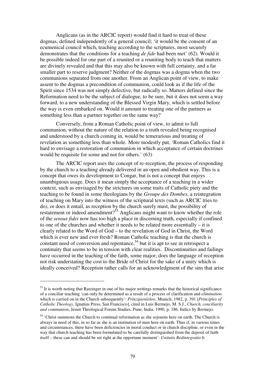Anglicans (as in the ARCIC report) would find it hard to treat of these dogmas, defined independently of a general council; 'it would be the consent of an ecumenical council which, teaching according to the scriptures, most securely demonstrates that the conditions for a teaching *de fide* had been met' (62). Would it be possible indeed for one part of a reunited or a reuniting body to teach that matters are divinely revealed and that this may also be known with full certainty, and a far smaller part to reserve judgment? Neither of the dogmas was a dogma when the two communions separated from one another. From an Anglican point of view, to make assent to the dogmas a precondition of communion, could look as if the life of the Spirit since 1534 was not simply defective, but radically so. Matters defined since the Reformation need to be the subject of dialogue, to be sure, but it does not seem a way forward, to a new understanding of the Blessed Virgin Mary, which is settled before the way is even embarked on. Would it amount to treating one of the partners as something less than a partner together on the same way?

 Conversely, from a Roman Catholic point of view, to admit to full communion, without the nature of the relation to a truth revealed being recognised and understood by a church coming in, would be temerarious and treating of revelation as something less than whole. More modestly put, 'Roman Catholics find it hard to envisage a restoration of communion in which acceptance of certain doctrines would be requisite for some and not for others.' (63)

 The ARCIC report uses the concept of re-reception, the process of responding by the church to a teaching already delivered in an open and obedient way. This is a concept that owes its development to Congar, but is not a concept that enjoys unambiguous usage. Does it mean simply the acceptance of a teaching in a wider context, such as envisaged by the strictures on some traits of Catholic piety and the teaching to be found in some theologians by the *Groupe des Dombes*, a reintegration of teaching on Mary into the witness of the scriptural texts (such as ARCIC tries to do), or does it entail, as reception by the church surely must, the possibility of restatement or indeed amendment?<sup>53</sup> Anglicans might want to know whether the role of the *sensus fidei* now has too high a place in discerning truth, especially if confined to one of the churches and whether it needs to be related more essentially – it is clearly related to the Word of God – to the revelation of God in Christ, the Word which is ever new and ever fresh? Roman Catholic teaching is that the church is constant need of conversion and repentance,  $54$  but it is apt to see in retrospect a continuity that seems to be in tension with clear realities. Discontinuities and failings have occurred in the teaching of the faith, some major; does the language of reception not risk understating the cost to the Bride of Christ for the sake of a unity which is ideally conceived? Reception rather calls for an acknowledgment of the sins that arise

 $<sup>53</sup>$  It is worth noting that Ratzinger in one of his major writings remarks that the historical significance</sup> of a conciliar teaching 'can only be determined as a result of a process of clarification and *elimination*  which is carried on in the Church subsequently': *Prinzipienlehre*, Munich, 1982, p. 391 [*Principles of Catholic Theology*, Ignatius Press, San Francisco], cited in Luis Bermejo, M. S.J., *Church, conciliarity and communion*, Jesuit Theological Forum Studies, Pune, India. 1990, p. 186. Italics by Bermejo.

<sup>&</sup>lt;sup>54</sup> 'Christ summons the Church to continual reformation as she sojourns here on earth. The Church is always in need of this, in so far as she is an institution of men here on earth. Thus if, in various times and circumstances, there have been deficiencies in moral conduct or in church discipline, or even in the way that church teaching has been formulated-to be carefully distinguished from the deposit of faith itself – these can and should be set right at the opportune moment': *Unitatis Redintegratio* 6.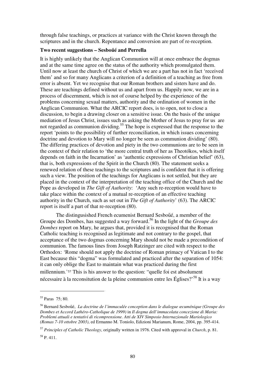through false teachings, or practices at variance with the Christ known through the scriptures and in the church. Repentance and conversion are part of re-reception.

#### **Two recent suggestions – Sesbo**ű**é and Perrella**

It is highly unlikely that the Anglican Communion will at once embrace the dogmas and at the same time agree on the status of the authority which promulgated them. Until now at least the church of Christ of which we are a part has not in fact 'received them' and so for many Anglicans a criterion of a definition of a teaching as free from error is absent. Yet we recognise that our Roman brothers and sisters have and do. These are teachings defined without us and apart from us. Happily now, we are in a process of discernment, which is not of course helped by the experience of the problems concerning sexual matters, authority and the ordination of women in the Anglican Communion. What the ARCIC report does, is to open, not to close a discussion, to begin a drawing closer on a sensitive issue. On the basis of the unique mediation of Jesus Christ, issues such as asking the Mother of Jesus to pray for us are not regarded as communion dividing.<sup>55</sup> The hope is expressed that the response to the report 'points to the possibility of further reconciliation, in which issues concerning doctrine and devotion to Mary will no longer be seen as communion dividing' (80). The differing practices of devotion and piety in the two communions are to be seen in the context of their relation to 'the more central truth of her as Theotókos, which itself depends on faith in the Incarnation' as 'authentic expressions of Christian belief' (63), that is, both expressions of the Spirit in the Church (80). The statement seeks a renewed relation of these teachings to the scriptures and is confident that it is offering such a view. The position of the teachings for Anglicans is not settled, but they are placed in the context of the interpretation of the teaching office of the Church and the Pope as developed in *The Gift of Authority*: 'Any such re-reception would have to take place within the context of a mutual re-reception of an effective teaching authority in the Church, such as set out in *The Gift of Authority*' (63). The ARCIC report is itself a part of that re-reception (80).

 The distingusished French ecumenist Bernard Sesboűé, a member of the Groupe des Dombes, has suggested a way forward.<sup>56</sup> In the light of the *Groupe des Dombes* report on Mary, he argues that, provided it is recognised that the Roman Catholic teaching is recognised as legitimate and not contrary to the gospel, that acceptance of the two dogmas concerning Mary should not be made a precondition of communion. The famous lines from Joseph Ratzinger are cited with respect to the Orthodox: 'Rome should not apply the doctrine of Roman primacy of Vatican I to the East because this "dogma" was formulated and practiced after the separation of 1054: it can only oblige the East to maintain what was practiced during the first millennium.'<sup>57</sup> This is his answer to the question: "quelle foi est absolument nécessaire à la reconsitution de la pleine communion entre les Églises?'<sup>58</sup> It is a way

 $\overline{a}$ 

<sup>58</sup> P. 411.

<sup>55</sup> Paras 75; 80.

<sup>56</sup> Bernard Sesboűé, *La doctrine de l'immaculée conception dans le dialogue œcuménique (Groupe des Dombes et Accord Luthéro-Catholique de 1999)* in *Il dogma dell'immacolata concezione di Maria: Problemi attuali e tentativi di ricomprensione. Atti de XIV Simposio Internazionale Mariologico (Romas 7-10 ottobre 2003)*, ed Ermanno M. Toniolo, Edizioni Marianum, Rome, 2004, pp. 395-414.

<sup>57</sup> *Principles of Catholic Theology*, originally written in 1976. Cited with approval in *Church*, p. 81.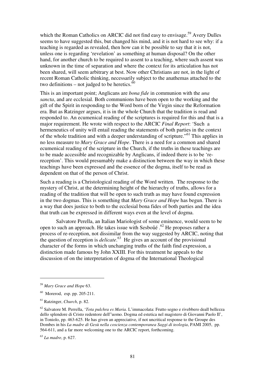which the Roman Catholics on ARCIC did not find easy to envisage.<sup>59</sup> Avery Dulles seems to have suggested this, but changed his mind, and it is not hard to see why: if a teaching is regarded as revealed, then how can it be possible to say that it is not, unless one is regarding 'revelation' as something at human disposal? On the other hand, for another church to be required to assent to a teaching, where such assent was unknown in the time of separation and where the context for its articulation has not been shared, will seem arbitrary at best. Now other Christians are not, in the light of recent Roman Catholic thinking, necessarily subject to the anathemas attached to the two definitions – not judged to be heretics. $60$ 

This is an important point; Anglicans are *bona fide* in communion with the *una sancta*, and are ecclesial. Both communions have been open to the working and the gift of the Spirit in responding to the Word born of the Virgin since the Reformation era. But as Ratzinger argues, it is in the whole Church that the tradition is read and responded to. An ecumenical reading of the scriptures is required for this and that is a major requirement. He wrote with respect to the ARCIC *Final Report*: 'Such a hermeneutics of unity will entail reading the statements of both parties in the context of the whole tradition and with a deeper understanding of scripture."<sup>61</sup> This applies in no less measure to *Mary Grace and Hope*. There is a need for a common and shared ecumenical reading of the scripture in the Church, if the truths in these teachings are to be made accessible and recognizable by Anglicans, if indeed there is to be 'rereception'. This would presumably make a distinction between the way in which these teachings have been expressed and the essence of the dogma, itself to be read as dependent on that of the person of Christ.

Such a reading is a Christological reading of the Word written. The response to the mystery of Christ, at the determining height of the hierarchy of truths, allows for a reading of the tradition that will be open to such truth as may have found expression in the two dogmas. This is something that *Mary Grace and Hope* has begun. There is a way that does justice to both to the ecclesial bona fides of both parties and the idea that truth can be expressed in different ways even at the level of dogma.

 Salvatore Perella, an Italian Mariologist of some eminence, would seem to be open to such an approach. He takes issue with Sesbo $\tilde{a}^6$ . He proposes rather a process of re-reception, not dissimilar from the way suggested by ARCIC, noting that the question of reception is *delicate*. <sup>63</sup> He gives an account of the provisional character of the forms in which unchanging truths of the faith find expression, a distinction made famous by John XXIII. For this treatment he appeals to the discussion of on the interpretation of dogma of the International Theological

<sup>59</sup> *Mary Grace and Hope* 63.

 $60$  Morerod, esp. pp. 205-211.

<sup>61</sup> Ratzinger, *Church*, p. 82.

<sup>62</sup> Salvatore M. Perrella, '*Tota pulchra es Maria.* L'immacolata: Frutto segno e rivebbero deall bellezza dello splendore di Cristo redentore dell"uomo. Dogma ed estetica nel magistero di Giovanni Paolo II', in Toniolo, pp. 463-625. He has given an appreciative, if not uncritical response to the Groupe des Dombes in his *La madre di Gesù nella coscienza contemporanea Saggi di teologia*, PAMI 2005, pp. 564-611, and a far more welcoming one to the ARCIC report, forthcoming.

<sup>63</sup> *La madre*, p. 627.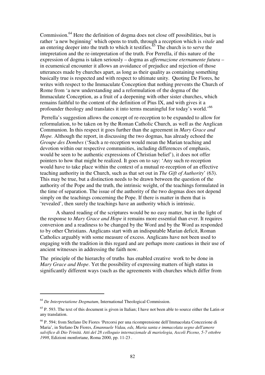Commission.<sup>64</sup> Here the definition of dogma does not close off possibilities, but is rather 'a new beginning' which opens to truth, through a reception which is *vitale* and an entering deeper into the truth to which it testifies. $65$  The church is to serve the intepretation and the re-intepretation of the truth. For Perrella, if this nature of the expression of dogma is taken seriously – dogma as *affermazione eternamente futura* – in ecumenical encounter it allows an avoidance of prejudice and rejection of those utterances made by churches apart, as long as their quality as containing something basically true is respected and with respect to ultimate unity. Quoting De Fiores, he writes with respect to the Immaculate Conception that nothing prevents the Church of Rome from 'a new understanding and a reformulation of the dogma of the Immaculate Conception, as a fruit of a deepening with other sister churches, which remains faithful to the content of the definition of Pius IX, and with gives it a profounder theology and translates it into terms meaningful for today's world.'<sup>66</sup>

 Perrella's suggestion allows the concept of re-reception to be expanded to allow for reformulation, to be taken on by the Roman Catholic Church, as well as the Anglican Communion. In this respect it goes further than the agreement in *Mary Grace and Hope.* Although the report, in discussing the two dogmas, has already echoed the *Groupe des Dombes* ('Such a re-reception would mean the Marian teaching and devotion within our respective communities, including differences of emphasis, would be seen to be authentic expressions of Christian belief'), it does not offer pointers to how that might be realized. It goes on to say: 'Any such re-reception would have to take place within the context of a mutual re-reception of an effective teaching authority in the Church, such as that set out in *The Gift of Authority*' (63). This may be true, but a distinction needs to be drawn between the question of the authority of the Pope and the truth, the intrinsic weight, of the teachings formulated in the time of separation. The issue of the authority of the two dogmas does not depend simply on the teachings concerning the Pope. If there is matter in them that is 'revealed', then surely the teachings have an authority which is intrinsic.

 A shared reading of the scriptures would be no easy matter, but in the light of the response to *Mary Grace and Hope* it remains more essential than ever. It requires conversion and a readiness to be changed by the Word and by the Word as responded to by other Christians. Anglicans start with an indisputable Marian deficit, Roman Catholics arguably with some measure of excess. Anglicans have not been used to engaging with the tradition in this regard and are perhaps more cautious in their use of ancient witnesses in addressing the faith now.

The principle of the hierarchy of truths has enabled creative work to be done in *Mary Grace and Hope*. Yet the possibility of expressing matters of high status in significantly different ways (such as the agreements with churches which differ from

<sup>64</sup> *De Interpretatione Dogmatum*, International Theological Commission.

<sup>&</sup>lt;sup>65</sup> P. 593. The text of this document is given in Italian; I have not been able to source either the Latin or any translation.

<sup>66</sup> P. 594; from Stefano De Fiores 'Percorsi per una ricomprensione dell'Immacolata Concezione di Maria', in Stefano De Fiores, *Emannuele Vidau, eds, Maria santa e immacolata segno dell'amore salvifico di Dio Trinità. Atti del 28 colloquio internazionale di mariologia, Ascoli Piceno, 5-7 ottobre 1998*, Edizioni monfortane, Roma 2000, pp. 11-23 .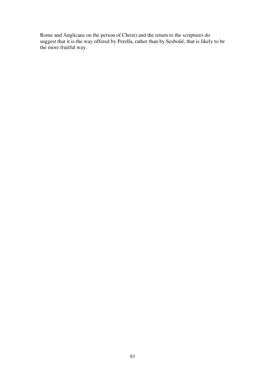Rome and Anglicans on the person of Christ) and the return to the scriptures do suggest that it is the way offered by Perella, rather than by Sesboűé, that is likely to be the more fruitful way.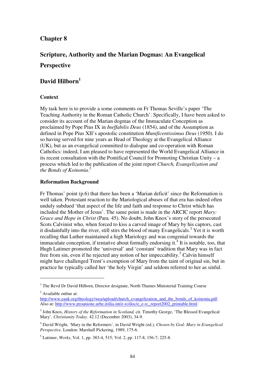## **Chapter 8**

# **Scripture, Authority and the Marian Dogmas: An Evangelical Perspective**

# **David Hilborn<sup>1</sup>**

## **Context**

My task here is to provide a some comments on Fr Thomas Seville's paper 'The Teaching Authority in the Roman Catholic Church'. Specifically, I have been asked to consider its account of the Marian dogmas of the Immaculate Conception as proclaimed by Pope Pius IX in *Ineffabilis Deus* (1854), and of the Assumption as defined in Pope Pius XII's apostolic constitution *Munificentissimus Deus* (1950). I do so having served for nine years as Head of Theology at the Evangelical Alliance (UK), but as an evangelical committed to dialogue and co-operation with Roman Catholics: indeed, I am pleased to have represented the World Evangelical Alliance in its recent consultation with the Pontifical Council for Promoting Christian Unity – a process which led to the publication of the joint report *Church, Evangelization and the Bonds of Koinonia*. 2

#### **Reformation Background**

Fr Thomas' point (p.6) that there has been a 'Marian deficit' since the Reformation is well taken. Protestant reaction to the Mariological abuses of that era has indeed often unduly subdued 'that aspect of the life and faith and response to Christ which has included the Mother of Jesus'. The same point is made in the ARCIC report *Mary: Grace and Hope in Christ* (Para. 45). No doubt, John Knox's story of the persecuted Scots Calvinist who, when forced to kiss a carved image of Mary by his captors, cast it disdainfully into the river, still stirs the blood of many Evangelicals.<sup>3</sup> Yet it is worth recalling that Luther maintained a high Mariology and was congenial towards the immaculate conception, if tentative about formally endorsing it.<sup>4</sup> It is notable, too, that Hugh Latimer promoted the 'universal' and 'constant' tradition that Mary was in fact free from sin, even if he rejected any notion of her impeccability.<sup>5</sup> Calvin himself might have challenged Trent's exemption of Mary from the taint of original sin, but in practice he typically called her 'the holy Virgin' and seldom referred to her as sinful.

<sup>2</sup> Available online at:

<sup>&</sup>lt;sup>1</sup> The Revd Dr David Hilborn, Director designate, North Thames Ministerial Training Course

http://www.eauk.org/theology/wea/upload/church\_evangelization\_and\_the\_bonds\_of\_koinonia.pdf. Also at: http://www.prounione.urbe.it/dia-int/e-rc/doc/e\_e-rc\_report2002\_printable.html

<sup>3</sup> John Knox, *History of the Reformation in Scotland,* cit. Timothy George, 'The Blessed Evangelical Mary', *Christianity Today.* 42.12 (December 2003), 34-9.

<sup>4</sup> David Wright, 'Mary in the Reformers', in David Wright (ed.), *Chosen by God: Mary in Evangelical Perspective.* London: Marshall Pickering, 1989, 175-6.

<sup>5</sup> Latimer, *Works*, Vol. 1, pp. 383-4, 515; Vol. 2, pp. 117-8, 156-7; 225-8.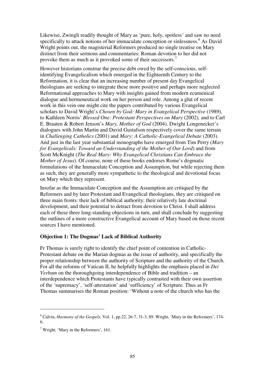Likewise, Zwingli readily thought of Mary as 'pure, holy, spotless' and saw no need specifically to attack notions of her immaculate conception or sinlessness.<sup>6</sup> As David Wright points out, the magisterial Reformers produced no single treatise on Mary distinct from their sermons and commentaries: Roman devotion to her did not provoke them as much as it provoked some of their successors.<sup>7</sup>

However historians construe the precise debt owed by the self-conscious, selfidentifying Evangelicalism which emerged in the Eighteenth Century to the Reformation, it is clear that an increasing number of present day Evangelical theologians are seeking to integrate these more positive and perhaps more neglected Reformational approaches to Mary with insights gained from modern ecumenical dialogue and hermeneutical work on her person and role. Among a glut of recent work in this vein one might cite the papers contributed by various Evangelical scholars to David Wright's *Chosen by God: Mary in Evangelical Perspective* (1989)*,*  to Kathleen Norris' *Blessed One: Protestant Perspectives on Mary* (2002)*,* and to Carl E. Braaten & Robert Jenson's *Mary, Mother of God* (2004). Dwight Longenecker's dialogues with John Martin and David Gustafson respectively cover the same terrain in *Challenging Catholics* (2001) and *Mary: A Catholic-Evangelical Debate* (2003). And just in the last year substantial monographs have emerged from Tim Perry (*Mary for Evangelicals: Toward an Understanding of the Mother of Our Lord*) and from Scott McKnight (*The Real Mary: Why Evangelical Christians Can Embrace the Mother of Jesus*). Of course, none of these books endorses Rome's dogmatic formulations of the Immaculate Conception and Assumption, but while rejecting them as such, they are generally more sympathetic to the theological and devotional focus on Mary which they represent.

Insofar as the Immaculate Conception and the Assumption are critiqued by the Reformers and by later Protestant and Evangelical theologians, they are critiqued on three main fronts: their lack of biblical authority; their relatively late doctrinal development, and their potential to detract from devotion to Christ. I shall address each of these three long-standing objections in turn, and shall conclude by suggesting the outlines of a more constructive Evangelical account of Mary based on those recent sources I have mentioned.

## **Objection 1: The Dogmas' Lack of Biblical Authority**

Fr Thomas is surely right to identify the chief point of contention in Catholic-Protestant debate on the Marian dogmas as the issue of authority, and specifically the proper relationship between the authority of Scripture and the authority of the Church. For all the reforms of Vatican II, he helpfully highlights the emphasis placed in *Dei Verbum* on the thoroughgoing interdependence of Bible and tradition – an interdependence which Protestants have typically contrasted with their own assertion of the 'supremacy', 'self-attestation' and 'sufficiency' of Scripture. Thus as Fr Thomas summarises the Roman position: 'Without a note of the church who has the

<sup>6</sup> Calvin, *Harmony of the Gospels,* Vol. 1, pp.22, 26-7, 31-3, 89. Wright, 'Mary in the Reformers', 174- 6.

<sup>&</sup>lt;sup>7</sup> Wright, 'Mary in the Reformers', 161.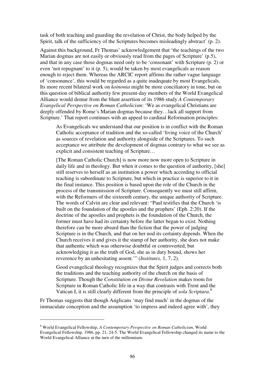task of both teaching and guarding the revelation of Christ, the body helped by the Spirit, talk of the sufficiency of the Scriptures becomes misleadingly abstract' (p. 2).

Against this background, Fr Thomas' acknowledgement that 'the teachings of the two Marian dogmas are not easily or obviously read from the pages of Scripture' (p.5), and that in any case those dogmas need only to be 'consonant' with Scripture (p. 2) or even 'not repugnant' to it (p. 5), would be taken by most evangelicals as reason enough to reject them. Whereas the ARCIC report affirms the rather vague language of 'consonance', this would be regarded as a quite inadequate by most Evangelicals. Its more recent bilateral work on *koinonia* might be more conciliatory in tone, but on this question of biblical authority few present-day members of the World Evangelical Alliance would demur from the blunt assertion of its 1986 study *A Contemporary Evangelical Perspective on Roman Catholicism*: 'We as evangelical Christians are deeply offended by Rome's Marian dogmas because they…lack all support from Scripture.' That report continues with an appeal to cardinal Reformation principles:

As Evangelicals we understand that our position is in conflict with the Roman Catholic acceptance of tradition and the so-called 'living voice of the Church' as sources of revelation and authority alongside of the Scriptures. To such acceptance we attribute the development of dogmas contrary to what we see as explicit and consistent teaching of Scripture…

[The Roman Catholic Church] is now more now more open to Scripture in daily life and in theology. But when it comes to the question of authority, [she] still reserves to herself as an institution a power which according to official teaching is subordinate to Scripture, but which in practice is superior to it in the final instance. This position is based upon the role of the Church in the process of the transmission of Scripture. Consequently we must still affirm, with the Reformers of the sixteenth century, the unique authority of Scripture. The words of Calvin are clear and relevant: "Paul testifies that the Church 'is built on the foundation of the apostles and the prophets' (Eph. 2:20). If the doctrine of the apostles and prophets is the foundation of the Church, the former must have had its certainty before the latter began to exist. Nothing therefore can be more absurd than the fiction that the power of judging Scripture is in the Church, and that on her nod its certainty depends. When the Church receives it and gives it the stamp of her authority, she does not make that authentic which was otherwise doubtful or controverted, but acknowledging it as the truth of God, she as in duty bound, shows her reverence by an unhesitating assent.'" (*Institutes,* 1, 7, 2).

Good evangelical theology recognizes that the Spirit judges and corrects both the traditions and the teaching authority of the church on the basis of Scripture. Though the *Constitution on Divine Revelation* makes room for Scripture in Roman Catholic life in a way that contrasts with Trent and the Vatican I, it is still clearly different from the principle of *sola Scriptura*. 8

Fr Thomas suggests that though Anglicans 'may find much' in the dogmas of the immaculate conception and the assumption 'to impress and indeed agree with', they

<sup>8</sup> World Evangelical Fellowship, *A Contemporary Perspective on Roman Catholicism,* World Evangelical Fellowship, 1986, pp. 21, 24-5. The World Evangelical Fellowship changed its name to the World Evangelical Alliance at the turn of the millennium.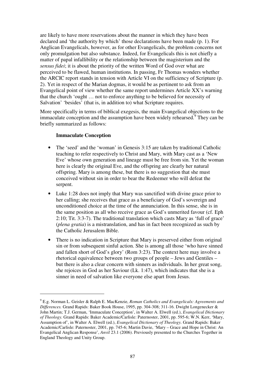are likely to have more reservations about the manner in which they have been declared and 'the authority by which' those declarations have been made (p. 1). For Anglican Evangelicals, however, as for other Evangelicals, the problem concerns not only promulgation but also substance. Indeed, for Evangelicals this is not chiefly a matter of papal infallibility or the relationship between the magisterium and the *sensus fidei*; it is about the priority of the written Word of God over what are perceived to be flawed, human institutions. In passing, Fr Thomas wonders whether the ARCIC report stands in tension with Article VI on the sufficiency of Scripture (p. 2). Yet in respect of the Marian dogmas, it would be as pertinent to ask from an Evangelical point of view whether the same report undermines Article XX's warning that the church 'ought … not to enforce anything to be believed for necessity of Salvation' 'besides' (that is, in addition to) what Scripture requires.

More specifically in terms of biblical exegesis, the main Evangelical objections to the immaculate conception and the assumption have been widely rehearsed.<sup>9</sup> They can be briefly summarized as follows:

#### **Immaculate Conception**

- The 'seed' and the 'woman' in Genesis 3:15 are taken by traditional Catholic teaching to refer respectively to Christ and Mary, with Mary cast as a 'New Eve' whose own generation and lineage must be free from sin. Yet the woman here is clearly the original Eve, and the offspring are clearly her natural offspring. Mary is among these, but there is no suggestion that she must conceived without sin in order to bear the Redeemer who will defeat the serpent.
- Luke 1:28 does not imply that Mary was sanctified with divine grace prior to her calling; she receives that grace as a beneficiary of God's sovereign and unconditioned choice at the time of the annunciation. In this sense, she is in the same position as all who receive grace as God's unmerited favour (cf. Eph 2:10; Tit. 3:3-7). The traditional translation which casts Mary as 'full of grace' (*plena gratia*) is a mistranslation, and has in fact been recognized as such by the Catholic Jerusalem Bible.
- There is no indication in Scripture that Mary is preserved either from original sin or from subsequent sinful action. She is among all those 'who have sinned and fallen short of God's glory' (Rom 3:23). The context here may involve a rhetorical equivalence between two groups of people – Jews and Gentiles – but there is also a clear concern with sinners as individuals. In her great song, she rejoices in God as her Saviour (Lk. 1:47), which indicates that she is a sinner in need of salvation like everyone else apart from Jesus.

<sup>9</sup> E.g. Norman L. Geisler & Ralph E. MacKenzie, *Roman Catholics and Evangelicals: Agreements and Differences.* Grand Rapids: Baker Book House, 1995, pp. 304-308; 311-16. Dwight Longenecker & John Martin; T.J. German, 'Immaculate Conception', in Walter A. Elwell (ed.), *Evangelical Dictionary of Theology.* Grand Rapids: Baker Academic/Carlisle: Paternoster, 2001, pp. 595-6; W.N. Kerr, 'Mary, Assumption of', in Walter A. Elwell (ed.), *Evangelical Dictionary of Theology.* Grand Rapids: Baker Academic/Carlisle: Paternoster, 2001, pp. 745-6; Martin Davie, 'Mary – Grace and Hope in Christ: An Evangelical Anglican Response', *Anvil* 23.1 (2006). Previously presented to the Churches Together in England Theology and Unity Group.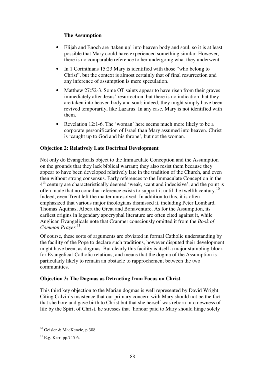## **The Assumption**

- Elijah and Enoch are 'taken up' into heaven body and soul, so it is at least possible that Mary could have experienced something similar. However, there is no comparable reference to her undergoing what they underwent.
- In 1 Corinthians 15:23 Mary is identified with those "who belong to Christ", but the context is almost certainly that of final resurrection and any inference of assumption is mere speculation.
- Matthew 27:52-3. Some OT saints appear to have risen from their graves immediately after Jesus' resurrection, but there is no indication that they are taken into heaven body and soul; indeed, they might simply have been revived temporarily, like Lazarus. In any case, Mary is not identified with them.
- Revelation 12:1-6. The 'woman' here seems much more likely to be a corporate personification of Israel than Mary assumed into heaven. Christ is 'caught up to God and his throne', but not the woman.

## **Objection 2: Relatively Late Doctrinal Development**

Not only do Evangelicals object to the Immaculate Conception and the Assumption on the grounds that they lack biblical warrant; they also resist them because they appear to have been developed relatively late in the tradition of the Church, and even then without strong consensus. Early references to the Immaculate Conception in the 4<sup>th</sup> century are characteristically deemed 'weak, scant and indecisive', and the point is often made that no conciliar reference exists to support it until the twelfth century.<sup>10</sup> Indeed, even Trent left the matter unresolved. In addition to this, it is often emphasized that various major theologians dismissed it, including Peter Lombard, Thomas Aquinas, Albert the Great and Bonaventure. As for the Assumption, its earliest origins in legendary apocryphal literature are often cited against it, while Anglican Evangelicals note that Cranmer consciously omitted it from the *Book of Common Prayer.*<sup>11</sup>

Of course, these sorts of arguments are obviated in formal Catholic understanding by the facility of the Pope to declare such traditions, however disputed their development might have been, as dogmas. But clearly this facility is itself a major stumbling-block for Evangelical-Catholic relations, and means that the dogma of the Assumption is particularly likely to remain an obstacle to rapprochement between the two communities.

## **Objection 3: The Dogmas as Detracting from Focus on Christ**

This third key objection to the Marian dogmas is well represented by David Wright. Citing Calvin's insistence that our primary concern with Mary should not be the fact that she bore and gave birth to Christ but that she herself was reborn into newness of life by the Spirit of Christ, he stresses that 'honour paid to Mary should hinge solely

<sup>10</sup> Geisler & MacKenzie, p.308

 $^{11}$  E.g. Kerr, pp.745-6.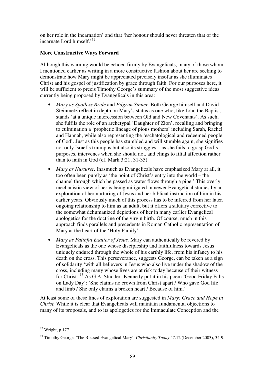on her role in the incarnation' and that 'her honour should never threaten that of the incarnate Lord himself.'<sup>12</sup>

### **More Constructive Ways Forward**

Although this warning would be echoed firmly by Evangelicals, many of those whom I mentioned earlier as writing in a more constructive fashion about her are seeking to demonstrate how Mary might be appreciated precisely insofar as she illuminates Christ and his gospel of justification by grace through faith. For our purposes here, it will be sufficient to precis Timothy George's summary of the most suggestive ideas currently being proposed by Evangelicals in this area:

- *Mary as Spotless Bride* and *Pilgrim Sinner.* Both George himself and David Steinmetz reflect in depth on Mary's status as one who, like John the Baptist, stands 'at a unique intercession between Old and New Covenants'. As such, she fulfils the role of an archetypal 'Daughter of Zion', recalling and bringing to culmination a 'prophetic lineage of pious mothers' including Sarah, Rachel and Hannah, while also representing the 'eschatological and redeemed people of God'. Just as this people has stumbled and will stumble again, she signifies not only Israel's triumphs but also its struggles – as she fails to grasp God's purposes, intervenes when she should not, and clings to filial affection rather than to faith in God (cf. Mark 3:21; 31-35).
- *Mary as Nurturer*. Inasmuch as Evangelicals have emphasized Mary at all, it too often been purely as 'the point of Christ's entry into the world – the channel through which he passed as water flows through a pipe.' This overly mechanistic view of her is being mitigated in newer Evangelical studies by an exploration of her nurturing of Jesus and her biblical instruction of him in his earlier years. Obviously much of this process has to be inferred from her later, ongoing relationship to him as an adult, but it offers a salutary corrective to the somewhat dehumanized depictions of her in many earlier Evangelical apologetics for the doctrine of the virgin birth. Of course, much in this approach finds parallels and precedents in Roman Catholic representation of Mary at the heart of the 'Holy Family'.
- *Mary as Faithful Exalter of Jesus.* Mary can authentically be revered by Evangelicals as the one whose discipleship and faithfulness towards Jesus uniquely endured through the whole of his earthly life, from his infancy to his death on the cross. This perseverance, suggests George, can be taken as a sign of solidarity 'with all believers in Jesus who also live under the shadow of the cross, including many whose lives are at risk today because of their witness for Christ.'<sup>13</sup> As G.A. Studdert-Kennedy put it in his poem 'Good Friday Falls on Lady Day': 'She claims no crown from Christ apart / Who gave God life and limb / She only claims a broken heart / Because of him.'

At least some of these lines of exploration are suggested in *Mary: Grace and Hope in Christ.* While it is clear that Evangelicals will maintain fundamental objections to many of its proposals, and to its apologetics for the Immaculate Conception and the

 $12$  Wright, p.177.

<sup>13</sup> Timothy George, 'The Blessed Evangelical Mary', *Christianity Today* 47.12 (December 2003), 34-9.